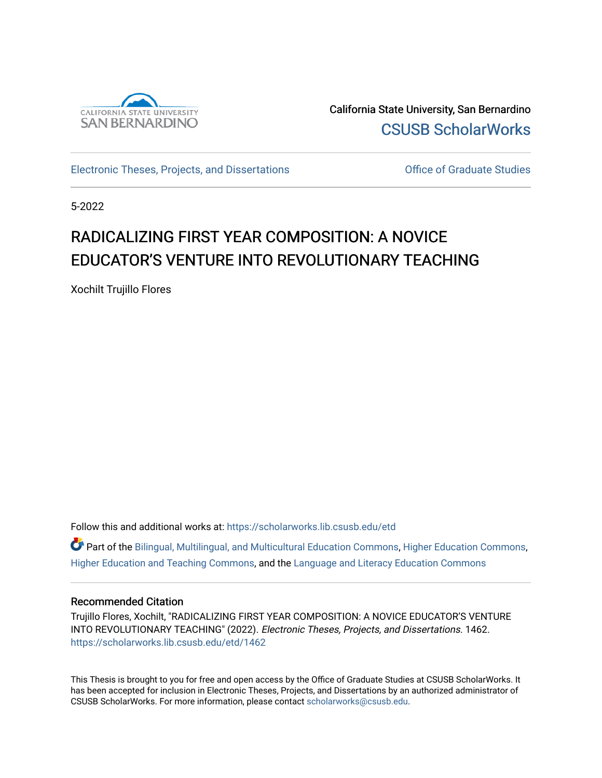

California State University, San Bernardino [CSUSB ScholarWorks](https://scholarworks.lib.csusb.edu/) 

[Electronic Theses, Projects, and Dissertations](https://scholarworks.lib.csusb.edu/etd) **Electronic Studies** Office of Graduate Studies

5-2022

# RADICALIZING FIRST YEAR COMPOSITION: A NOVICE EDUCATOR'S VENTURE INTO REVOLUTIONARY TEACHING

Xochilt Trujillo Flores

Follow this and additional works at: [https://scholarworks.lib.csusb.edu/etd](https://scholarworks.lib.csusb.edu/etd?utm_source=scholarworks.lib.csusb.edu%2Fetd%2F1462&utm_medium=PDF&utm_campaign=PDFCoverPages) 

Part of the [Bilingual, Multilingual, and Multicultural Education Commons,](http://network.bepress.com/hgg/discipline/785?utm_source=scholarworks.lib.csusb.edu%2Fetd%2F1462&utm_medium=PDF&utm_campaign=PDFCoverPages) [Higher Education Commons,](http://network.bepress.com/hgg/discipline/1245?utm_source=scholarworks.lib.csusb.edu%2Fetd%2F1462&utm_medium=PDF&utm_campaign=PDFCoverPages) [Higher Education and Teaching Commons,](http://network.bepress.com/hgg/discipline/806?utm_source=scholarworks.lib.csusb.edu%2Fetd%2F1462&utm_medium=PDF&utm_campaign=PDFCoverPages) and the [Language and Literacy Education Commons](http://network.bepress.com/hgg/discipline/1380?utm_source=scholarworks.lib.csusb.edu%2Fetd%2F1462&utm_medium=PDF&utm_campaign=PDFCoverPages) 

### Recommended Citation

Trujillo Flores, Xochilt, "RADICALIZING FIRST YEAR COMPOSITION: A NOVICE EDUCATOR'S VENTURE INTO REVOLUTIONARY TEACHING" (2022). Electronic Theses, Projects, and Dissertations. 1462. [https://scholarworks.lib.csusb.edu/etd/1462](https://scholarworks.lib.csusb.edu/etd/1462?utm_source=scholarworks.lib.csusb.edu%2Fetd%2F1462&utm_medium=PDF&utm_campaign=PDFCoverPages) 

This Thesis is brought to you for free and open access by the Office of Graduate Studies at CSUSB ScholarWorks. It has been accepted for inclusion in Electronic Theses, Projects, and Dissertations by an authorized administrator of CSUSB ScholarWorks. For more information, please contact [scholarworks@csusb.edu](mailto:scholarworks@csusb.edu).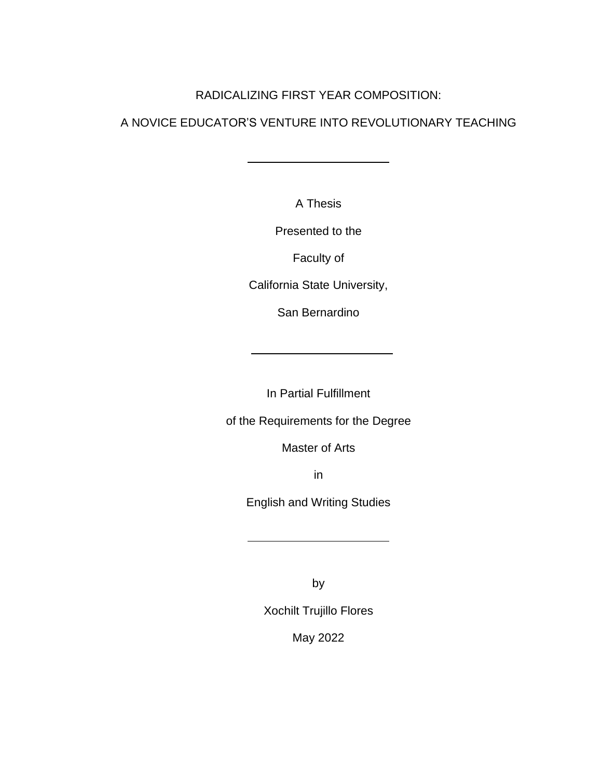### RADICALIZING FIRST YEAR COMPOSITION:

### A NOVICE EDUCATOR'S VENTURE INTO REVOLUTIONARY TEACHING

A Thesis

Presented to the

Faculty of

California State University,

San Bernardino

In Partial Fulfillment

of the Requirements for the Degree

Master of Arts

in

English and Writing Studies

by

Xochilt Trujillo Flores

May 2022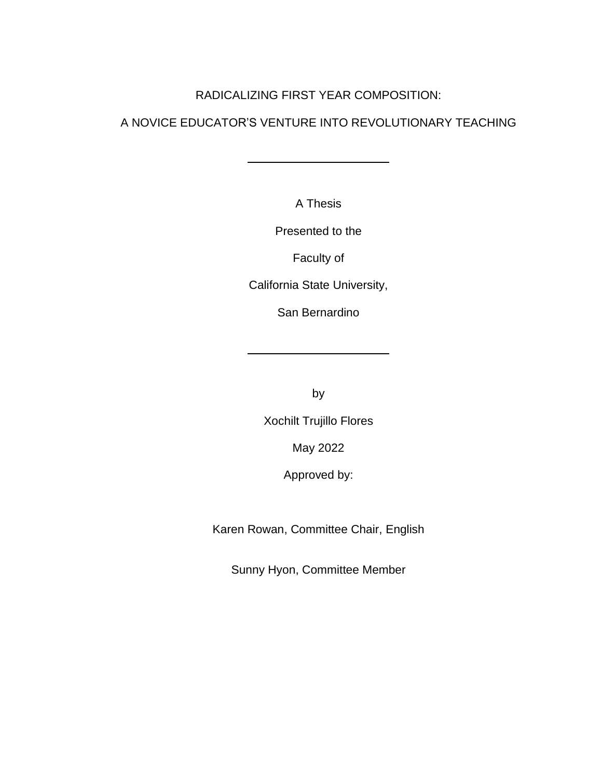### RADICALIZING FIRST YEAR COMPOSITION:

# A NOVICE EDUCATOR'S VENTURE INTO REVOLUTIONARY TEACHING

A Thesis

Presented to the

Faculty of

California State University,

San Bernardino

by

Xochilt Trujillo Flores

May 2022

Approved by:

Karen Rowan, Committee Chair, English

Sunny Hyon, Committee Member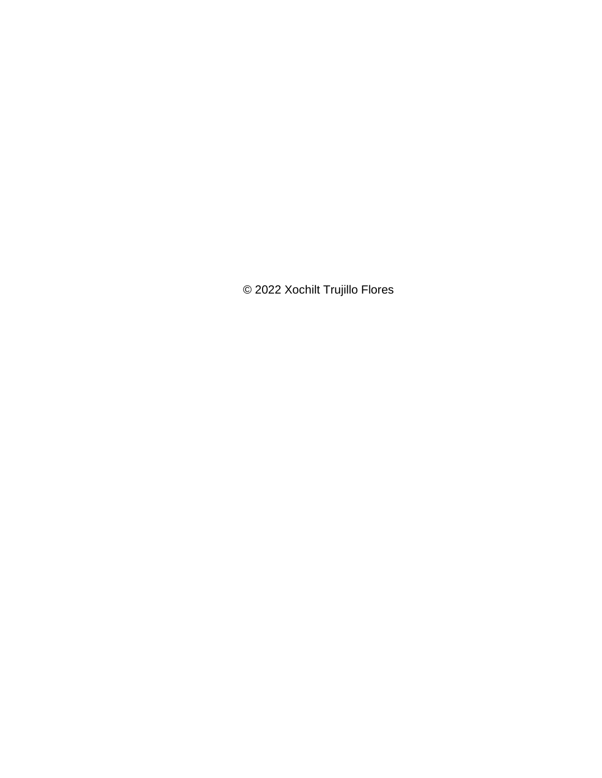© 2022 Xochilt Trujillo Flores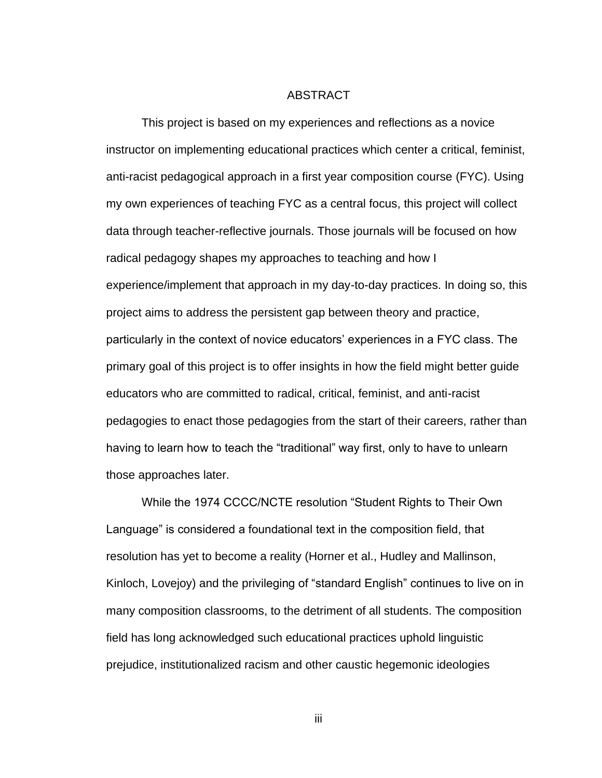#### ABSTRACT

<span id="page-4-0"></span>This project is based on my experiences and reflections as a novice instructor on implementing educational practices which center a critical, feminist, anti-racist pedagogical approach in a first year composition course (FYC). Using my own experiences of teaching FYC as a central focus, this project will collect data through teacher-reflective journals. Those journals will be focused on how radical pedagogy shapes my approaches to teaching and how I experience/implement that approach in my day-to-day practices. In doing so, this project aims to address the persistent gap between theory and practice, particularly in the context of novice educators' experiences in a FYC class. The primary goal of this project is to offer insights in how the field might better guide educators who are committed to radical, critical, feminist, and anti-racist pedagogies to enact those pedagogies from the start of their careers, rather than having to learn how to teach the "traditional" way first, only to have to unlearn those approaches later.

While the 1974 CCCC/NCTE resolution "Student Rights to Their Own Language" is considered a foundational text in the composition field, that resolution has yet to become a reality (Horner et al., Hudley and Mallinson, Kinloch, Lovejoy) and the privileging of "standard English" continues to live on in many composition classrooms, to the detriment of all students. The composition field has long acknowledged such educational practices uphold linguistic prejudice, institutionalized racism and other caustic hegemonic ideologies

iii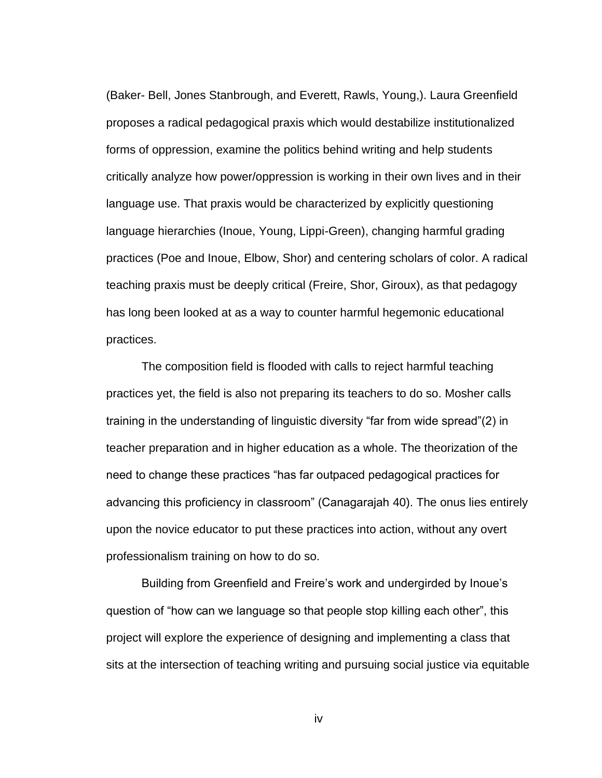(Baker- Bell, Jones Stanbrough, and Everett, Rawls, Young,). Laura Greenfield proposes a radical pedagogical praxis which would destabilize institutionalized forms of oppression, examine the politics behind writing and help students critically analyze how power/oppression is working in their own lives and in their language use. That praxis would be characterized by explicitly questioning language hierarchies (Inoue, Young, Lippi-Green), changing harmful grading practices (Poe and Inoue, Elbow, Shor) and centering scholars of color. A radical teaching praxis must be deeply critical (Freire, Shor, Giroux), as that pedagogy has long been looked at as a way to counter harmful hegemonic educational practices.

The composition field is flooded with calls to reject harmful teaching practices yet, the field is also not preparing its teachers to do so. Mosher calls training in the understanding of linguistic diversity "far from wide spread"(2) in teacher preparation and in higher education as a whole. The theorization of the need to change these practices "has far outpaced pedagogical practices for advancing this proficiency in classroom" (Canagarajah 40). The onus lies entirely upon the novice educator to put these practices into action, without any overt professionalism training on how to do so.

Building from Greenfield and Freire's work and undergirded by Inoue's question of "how can we language so that people stop killing each other", this project will explore the experience of designing and implementing a class that sits at the intersection of teaching writing and pursuing social justice via equitable

iv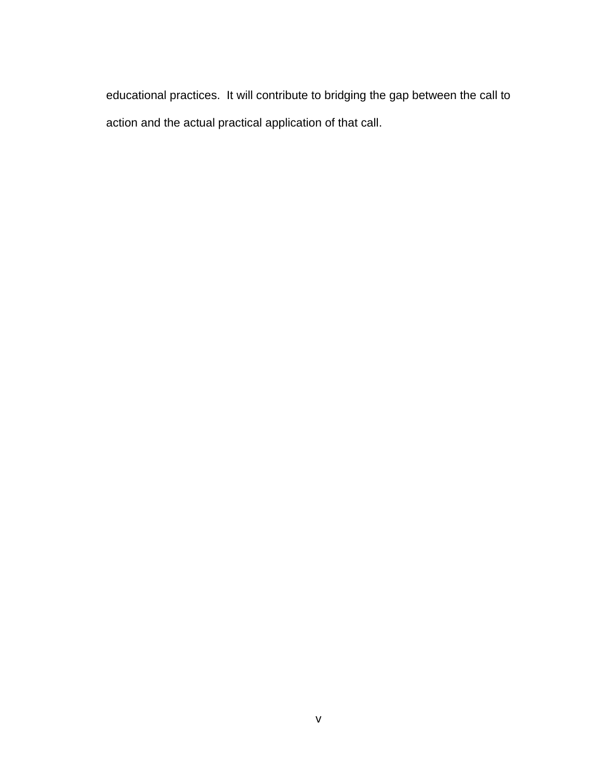educational practices. It will contribute to bridging the gap between the call to action and the actual practical application of that call.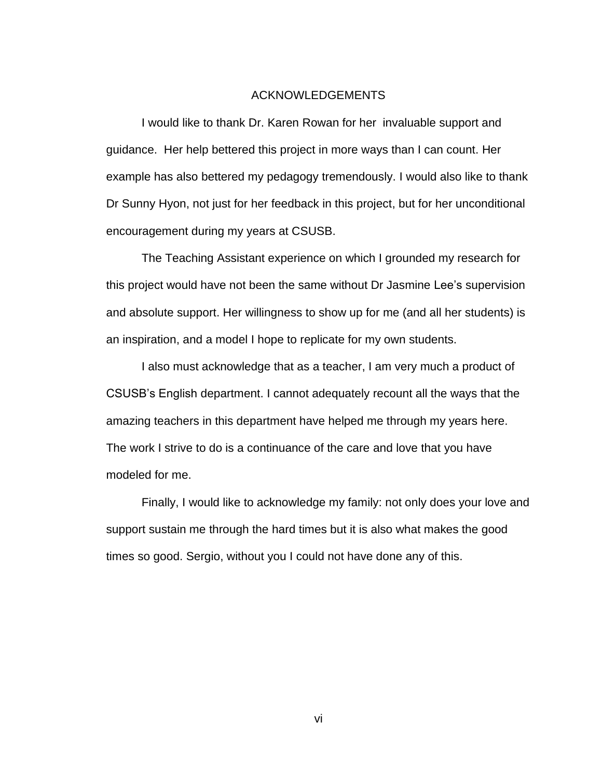### ACKNOWLEDGEMENTS

<span id="page-7-0"></span>I would like to thank Dr. Karen Rowan for her invaluable support and guidance. Her help bettered this project in more ways than I can count. Her example has also bettered my pedagogy tremendously. I would also like to thank Dr Sunny Hyon, not just for her feedback in this project, but for her unconditional encouragement during my years at CSUSB.

The Teaching Assistant experience on which I grounded my research for this project would have not been the same without Dr Jasmine Lee's supervision and absolute support. Her willingness to show up for me (and all her students) is an inspiration, and a model I hope to replicate for my own students.

I also must acknowledge that as a teacher, I am very much a product of CSUSB's English department. I cannot adequately recount all the ways that the amazing teachers in this department have helped me through my years here. The work I strive to do is a continuance of the care and love that you have modeled for me.

Finally, I would like to acknowledge my family: not only does your love and support sustain me through the hard times but it is also what makes the good times so good. Sergio, without you I could not have done any of this.

vi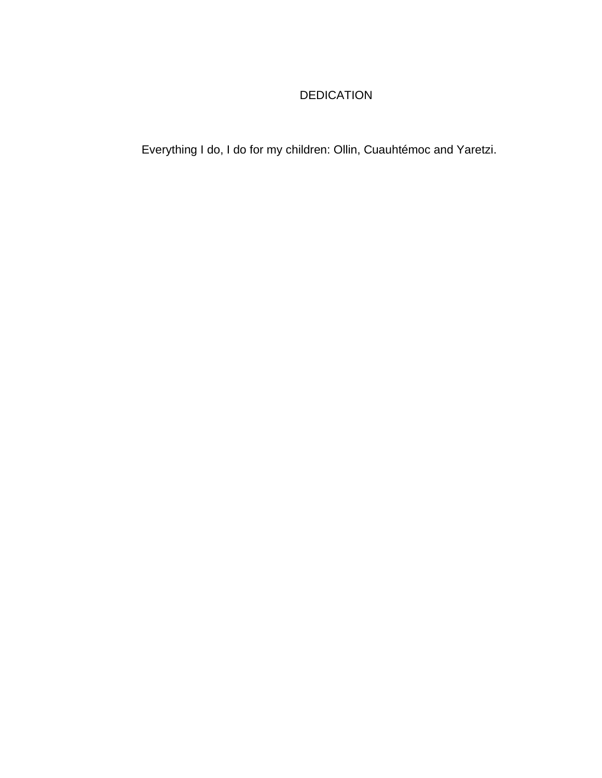# DEDICATION

Everything I do, I do for my children: Ollin, Cuauhtémoc and Yaretzi.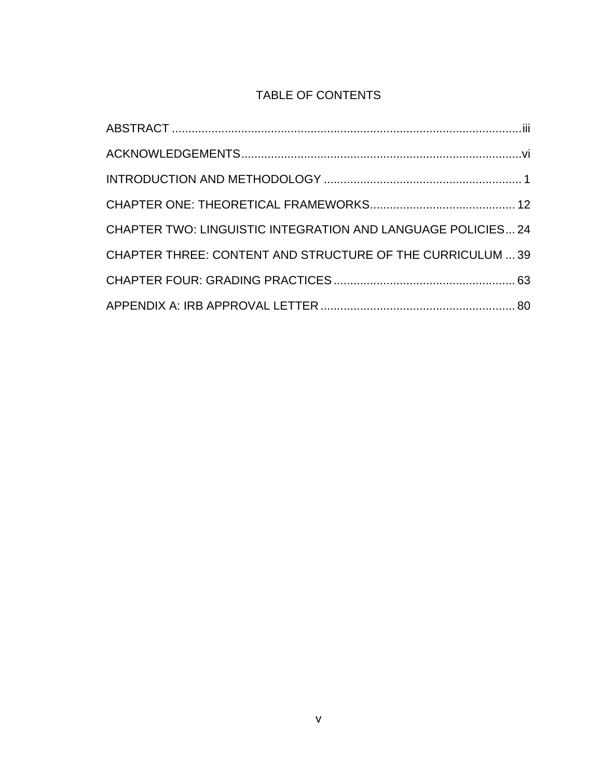## TABLE OF CONTENTS

| <b>CHAPTER TWO: LINGUISTIC INTEGRATION AND LANGUAGE POLICIES24</b> |  |
|--------------------------------------------------------------------|--|
| CHAPTER THREE: CONTENT AND STRUCTURE OF THE CURRICULUM  39         |  |
|                                                                    |  |
|                                                                    |  |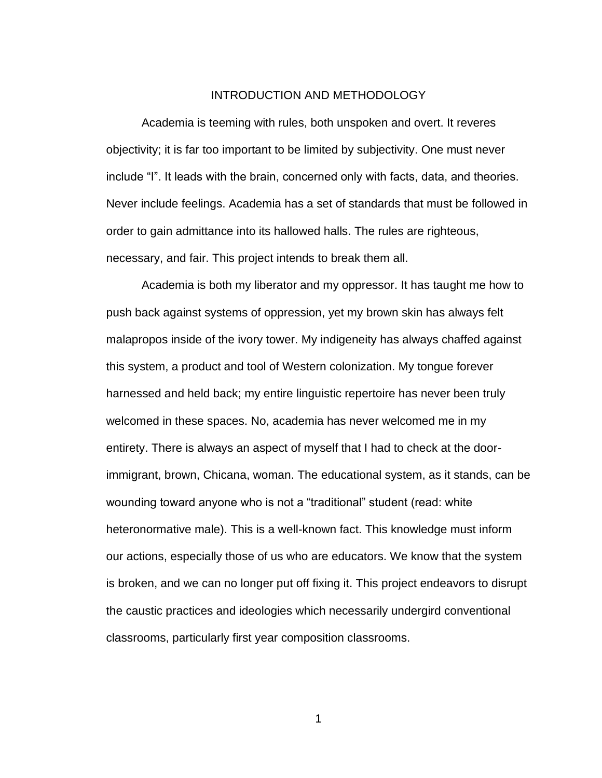### INTRODUCTION AND METHODOLOGY

<span id="page-10-0"></span>Academia is teeming with rules, both unspoken and overt. It reveres objectivity; it is far too important to be limited by subjectivity. One must never include "I". It leads with the brain, concerned only with facts, data, and theories. Never include feelings. Academia has a set of standards that must be followed in order to gain admittance into its hallowed halls. The rules are righteous, necessary, and fair. This project intends to break them all.

Academia is both my liberator and my oppressor. It has taught me how to push back against systems of oppression, yet my brown skin has always felt malapropos inside of the ivory tower. My indigeneity has always chaffed against this system, a product and tool of Western colonization. My tongue forever harnessed and held back; my entire linguistic repertoire has never been truly welcomed in these spaces. No, academia has never welcomed me in my entirety. There is always an aspect of myself that I had to check at the doorimmigrant, brown, Chicana, woman. The educational system, as it stands, can be wounding toward anyone who is not a "traditional" student (read: white heteronormative male). This is a well-known fact. This knowledge must inform our actions, especially those of us who are educators. We know that the system is broken, and we can no longer put off fixing it. This project endeavors to disrupt the caustic practices and ideologies which necessarily undergird conventional classrooms, particularly first year composition classrooms.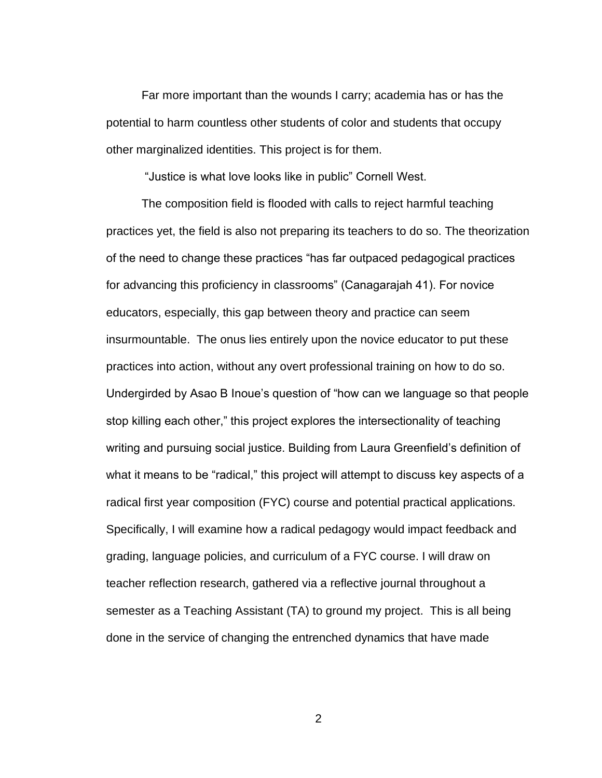Far more important than the wounds I carry; academia has or has the potential to harm countless other students of color and students that occupy other marginalized identities. This project is for them.

"Justice is what love looks like in public" Cornell West.

The composition field is flooded with calls to reject harmful teaching practices yet, the field is also not preparing its teachers to do so. The theorization of the need to change these practices "has far outpaced pedagogical practices for advancing this proficiency in classrooms" (Canagarajah 41). For novice educators, especially, this gap between theory and practice can seem insurmountable. The onus lies entirely upon the novice educator to put these practices into action, without any overt professional training on how to do so. Undergirded by Asao B Inoue's question of "how can we language so that people stop killing each other," this project explores the intersectionality of teaching writing and pursuing social justice. Building from Laura Greenfield's definition of what it means to be "radical," this project will attempt to discuss key aspects of a radical first year composition (FYC) course and potential practical applications. Specifically, I will examine how a radical pedagogy would impact feedback and grading, language policies, and curriculum of a FYC course. I will draw on teacher reflection research, gathered via a reflective journal throughout a semester as a Teaching Assistant (TA) to ground my project. This is all being done in the service of changing the entrenched dynamics that have made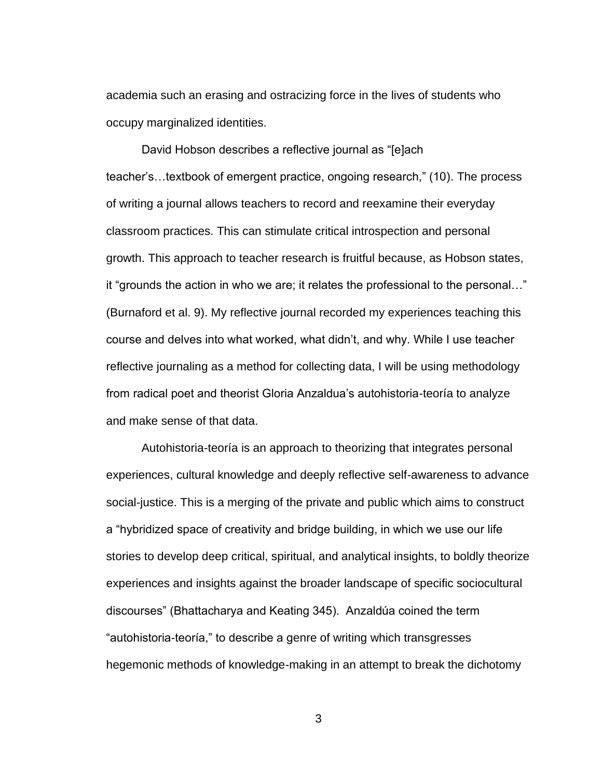academia such an erasing and ostracizing force in the lives of students who occupy marginalized identities.

David Hobson describes a reflective journal as "[e]ach teacher's…textbook of emergent practice, ongoing research," (10). The process of writing a journal allows teachers to record and reexamine their everyday classroom practices. This can stimulate critical introspection and personal growth. This approach to teacher research is fruitful because, as Hobson states, it "grounds the action in who we are; it relates the professional to the personal…" (Burnaford et al. 9). My reflective journal recorded my experiences teaching this course and delves into what worked, what didn't, and why. While I use teacher reflective journaling as a method for collecting data, I will be using methodology from radical poet and theorist Gloria Anzaldua's autohistoria-teoría to analyze and make sense of that data.

Autohistoria-teoría is an approach to theorizing that integrates personal experiences, cultural knowledge and deeply reflective self-awareness to advance social-justice. This is a merging of the private and public which aims to construct a "hybridized space of creativity and bridge building, in which we use our life stories to develop deep critical, spiritual, and analytical insights, to boldly theorize experiences and insights against the broader landscape of specific sociocultural discourses" (Bhattacharya and Keating 345). Anzaldúa coined the term "autohistoria-teoría," to describe a genre of writing which transgresses hegemonic methods of knowledge-making in an attempt to break the dichotomy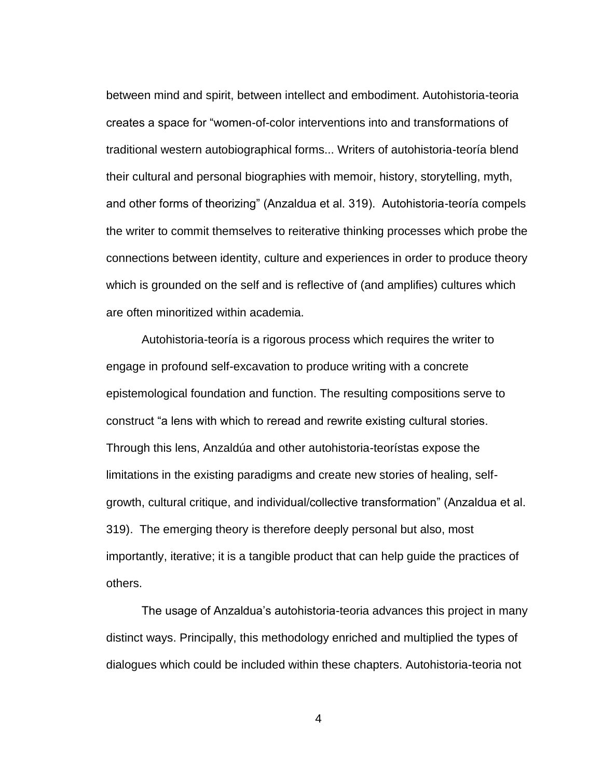between mind and spirit, between intellect and embodiment. Autohistoria-teoria creates a space for "women-of-color interventions into and transformations of traditional western autobiographical forms... Writers of autohistoria-teoría blend their cultural and personal biographies with memoir, history, storytelling, myth, and other forms of theorizing" (Anzaldua et al. 319). Autohistoria-teoría compels the writer to commit themselves to reiterative thinking processes which probe the connections between identity, culture and experiences in order to produce theory which is grounded on the self and is reflective of (and amplifies) cultures which are often minoritized within academia.

Autohistoria-teoría is a rigorous process which requires the writer to engage in profound self-excavation to produce writing with a concrete epistemological foundation and function. The resulting compositions serve to construct "a lens with which to reread and rewrite existing cultural stories. Through this lens, Anzaldúa and other autohistoria-teorístas expose the limitations in the existing paradigms and create new stories of healing, selfgrowth, cultural critique, and individual/collective transformation" (Anzaldua et al. 319). The emerging theory is therefore deeply personal but also, most importantly, iterative; it is a tangible product that can help guide the practices of others.

The usage of Anzaldua's autohistoria-teoria advances this project in many distinct ways. Principally, this methodology enriched and multiplied the types of dialogues which could be included within these chapters. Autohistoria-teoria not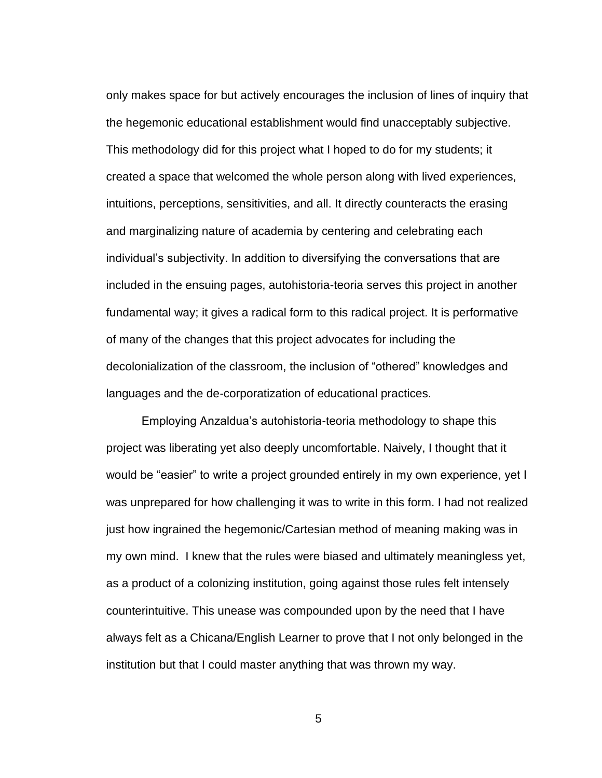only makes space for but actively encourages the inclusion of lines of inquiry that the hegemonic educational establishment would find unacceptably subjective. This methodology did for this project what I hoped to do for my students; it created a space that welcomed the whole person along with lived experiences, intuitions, perceptions, sensitivities, and all. It directly counteracts the erasing and marginalizing nature of academia by centering and celebrating each individual's subjectivity. In addition to diversifying the conversations that are included in the ensuing pages, autohistoria-teoria serves this project in another fundamental way; it gives a radical form to this radical project. It is performative of many of the changes that this project advocates for including the decolonialization of the classroom, the inclusion of "othered" knowledges and languages and the de-corporatization of educational practices.

Employing Anzaldua's autohistoria-teoria methodology to shape this project was liberating yet also deeply uncomfortable. Naively, I thought that it would be "easier" to write a project grounded entirely in my own experience, yet I was unprepared for how challenging it was to write in this form. I had not realized just how ingrained the hegemonic/Cartesian method of meaning making was in my own mind. I knew that the rules were biased and ultimately meaningless yet, as a product of a colonizing institution, going against those rules felt intensely counterintuitive. This unease was compounded upon by the need that I have always felt as a Chicana/English Learner to prove that I not only belonged in the institution but that I could master anything that was thrown my way.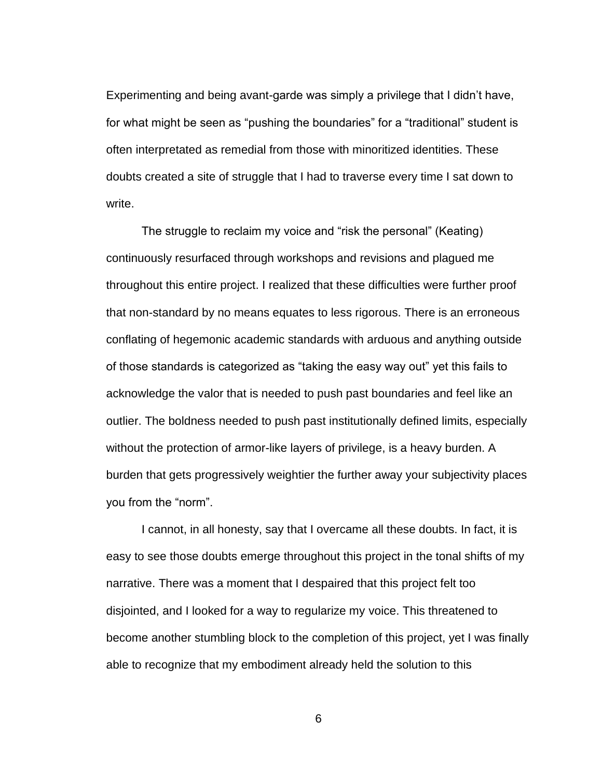Experimenting and being avant-garde was simply a privilege that I didn't have, for what might be seen as "pushing the boundaries" for a "traditional" student is often interpretated as remedial from those with minoritized identities. These doubts created a site of struggle that I had to traverse every time I sat down to write.

The struggle to reclaim my voice and "risk the personal" (Keating) continuously resurfaced through workshops and revisions and plagued me throughout this entire project. I realized that these difficulties were further proof that non-standard by no means equates to less rigorous. There is an erroneous conflating of hegemonic academic standards with arduous and anything outside of those standards is categorized as "taking the easy way out" yet this fails to acknowledge the valor that is needed to push past boundaries and feel like an outlier. The boldness needed to push past institutionally defined limits, especially without the protection of armor-like layers of privilege, is a heavy burden. A burden that gets progressively weightier the further away your subjectivity places you from the "norm".

I cannot, in all honesty, say that I overcame all these doubts. In fact, it is easy to see those doubts emerge throughout this project in the tonal shifts of my narrative. There was a moment that I despaired that this project felt too disjointed, and I looked for a way to regularize my voice. This threatened to become another stumbling block to the completion of this project, yet I was finally able to recognize that my embodiment already held the solution to this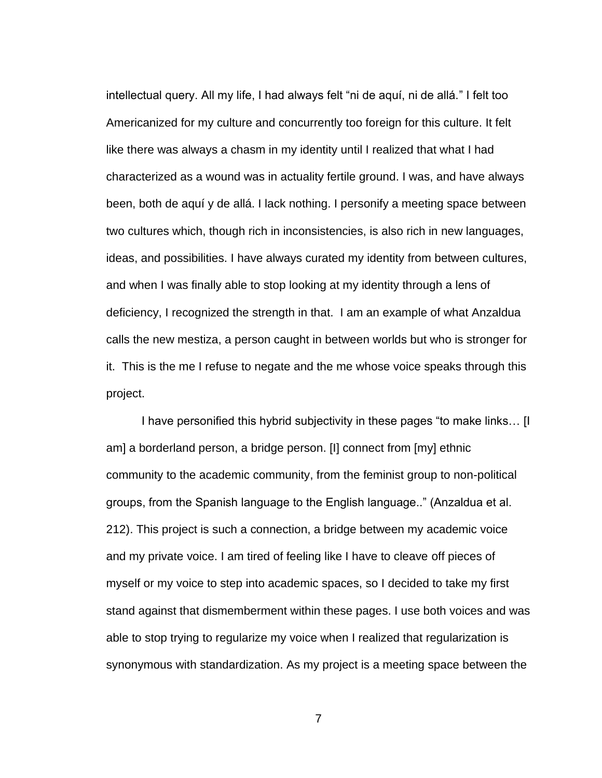intellectual query. All my life, I had always felt "ni de aquí, ni de allá." I felt too Americanized for my culture and concurrently too foreign for this culture. It felt like there was always a chasm in my identity until I realized that what I had characterized as a wound was in actuality fertile ground. I was, and have always been, both de aquí y de allá. I lack nothing. I personify a meeting space between two cultures which, though rich in inconsistencies, is also rich in new languages, ideas, and possibilities. I have always curated my identity from between cultures, and when I was finally able to stop looking at my identity through a lens of deficiency, I recognized the strength in that. I am an example of what Anzaldua calls the new mestiza, a person caught in between worlds but who is stronger for it. This is the me I refuse to negate and the me whose voice speaks through this project.

I have personified this hybrid subjectivity in these pages "to make links… [I am] a borderland person, a bridge person. [I] connect from [my] ethnic community to the academic community, from the feminist group to non-political groups, from the Spanish language to the English language.." (Anzaldua et al. 212). This project is such a connection, a bridge between my academic voice and my private voice. I am tired of feeling like I have to cleave off pieces of myself or my voice to step into academic spaces, so I decided to take my first stand against that dismemberment within these pages. I use both voices and was able to stop trying to regularize my voice when I realized that regularization is synonymous with standardization. As my project is a meeting space between the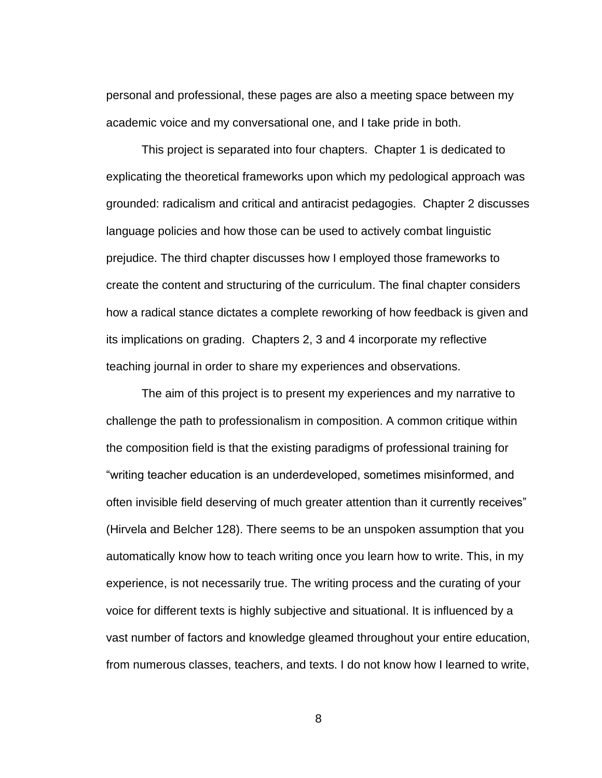personal and professional, these pages are also a meeting space between my academic voice and my conversational one, and I take pride in both.

This project is separated into four chapters. Chapter 1 is dedicated to explicating the theoretical frameworks upon which my pedological approach was grounded: radicalism and critical and antiracist pedagogies. Chapter 2 discusses language policies and how those can be used to actively combat linguistic prejudice. The third chapter discusses how I employed those frameworks to create the content and structuring of the curriculum. The final chapter considers how a radical stance dictates a complete reworking of how feedback is given and its implications on grading. Chapters 2, 3 and 4 incorporate my reflective teaching journal in order to share my experiences and observations.

The aim of this project is to present my experiences and my narrative to challenge the path to professionalism in composition. A common critique within the composition field is that the existing paradigms of professional training for "writing teacher education is an underdeveloped, sometimes misinformed, and often invisible field deserving of much greater attention than it currently receives" (Hirvela and Belcher 128). There seems to be an unspoken assumption that you automatically know how to teach writing once you learn how to write. This, in my experience, is not necessarily true. The writing process and the curating of your voice for different texts is highly subjective and situational. It is influenced by a vast number of factors and knowledge gleamed throughout your entire education, from numerous classes, teachers, and texts. I do not know how I learned to write,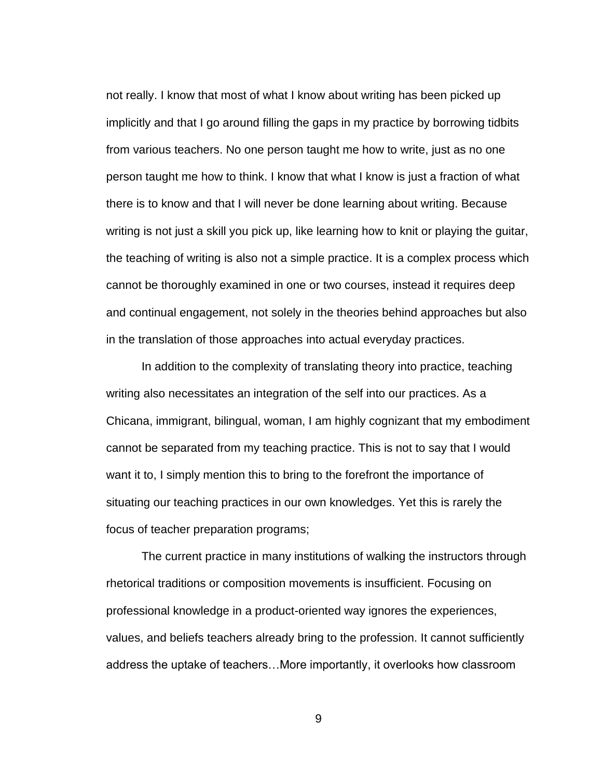not really. I know that most of what I know about writing has been picked up implicitly and that I go around filling the gaps in my practice by borrowing tidbits from various teachers. No one person taught me how to write, just as no one person taught me how to think. I know that what I know is just a fraction of what there is to know and that I will never be done learning about writing. Because writing is not just a skill you pick up, like learning how to knit or playing the guitar, the teaching of writing is also not a simple practice. It is a complex process which cannot be thoroughly examined in one or two courses, instead it requires deep and continual engagement, not solely in the theories behind approaches but also in the translation of those approaches into actual everyday practices.

In addition to the complexity of translating theory into practice, teaching writing also necessitates an integration of the self into our practices. As a Chicana, immigrant, bilingual, woman, I am highly cognizant that my embodiment cannot be separated from my teaching practice. This is not to say that I would want it to, I simply mention this to bring to the forefront the importance of situating our teaching practices in our own knowledges. Yet this is rarely the focus of teacher preparation programs;

The current practice in many institutions of walking the instructors through rhetorical traditions or composition movements is insufficient. Focusing on professional knowledge in a product-oriented way ignores the experiences, values, and beliefs teachers already bring to the profession. It cannot sufficiently address the uptake of teachers…More importantly, it overlooks how classroom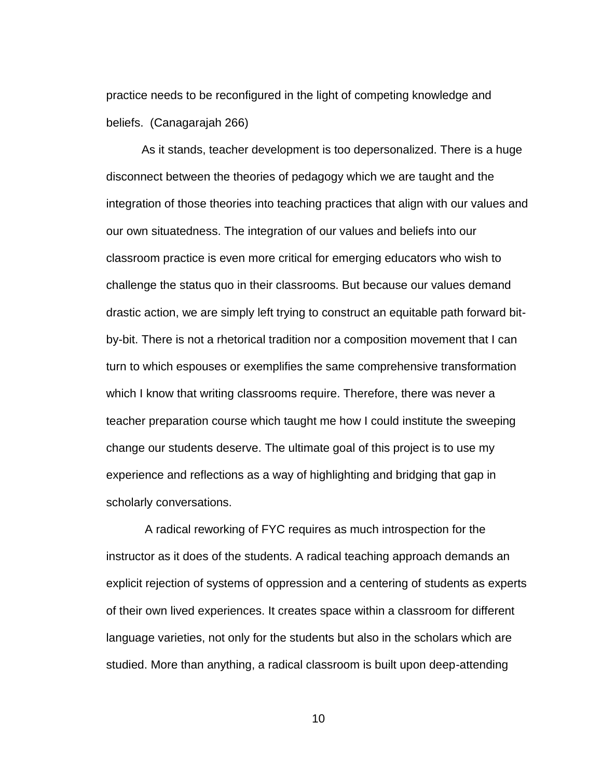practice needs to be reconfigured in the light of competing knowledge and beliefs. (Canagarajah 266)

As it stands, teacher development is too depersonalized. There is a huge disconnect between the theories of pedagogy which we are taught and the integration of those theories into teaching practices that align with our values and our own situatedness. The integration of our values and beliefs into our classroom practice is even more critical for emerging educators who wish to challenge the status quo in their classrooms. But because our values demand drastic action, we are simply left trying to construct an equitable path forward bitby-bit. There is not a rhetorical tradition nor a composition movement that I can turn to which espouses or exemplifies the same comprehensive transformation which I know that writing classrooms require. Therefore, there was never a teacher preparation course which taught me how I could institute the sweeping change our students deserve. The ultimate goal of this project is to use my experience and reflections as a way of highlighting and bridging that gap in scholarly conversations.

A radical reworking of FYC requires as much introspection for the instructor as it does of the students. A radical teaching approach demands an explicit rejection of systems of oppression and a centering of students as experts of their own lived experiences. It creates space within a classroom for different language varieties, not only for the students but also in the scholars which are studied. More than anything, a radical classroom is built upon deep-attending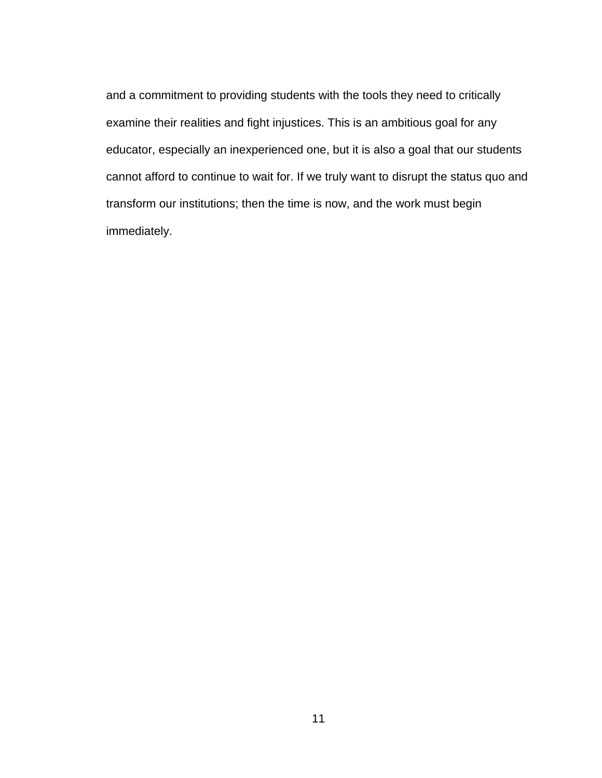and a commitment to providing students with the tools they need to critically examine their realities and fight injustices. This is an ambitious goal for any educator, especially an inexperienced one, but it is also a goal that our students cannot afford to continue to wait for. If we truly want to disrupt the status quo and transform our institutions; then the time is now, and the work must begin immediately.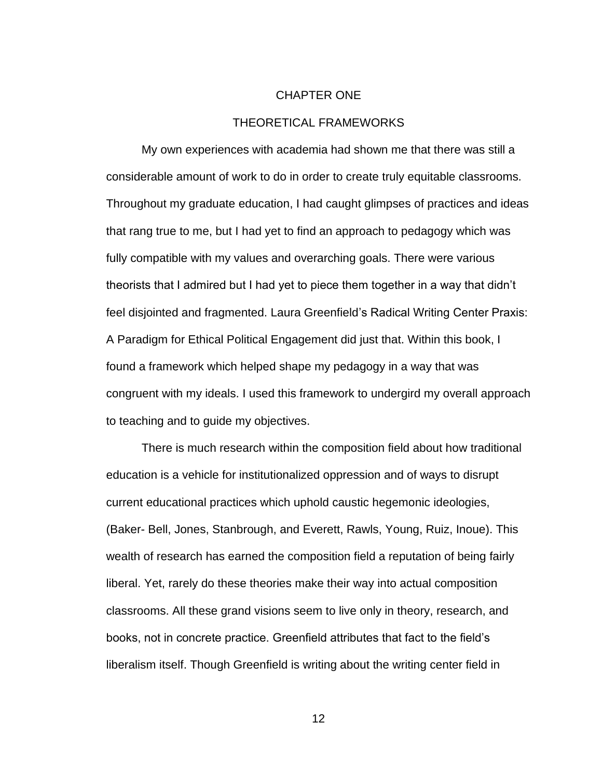#### CHAPTER ONE

### THEORETICAL FRAMEWORKS

<span id="page-21-0"></span>My own experiences with academia had shown me that there was still a considerable amount of work to do in order to create truly equitable classrooms. Throughout my graduate education, I had caught glimpses of practices and ideas that rang true to me, but I had yet to find an approach to pedagogy which was fully compatible with my values and overarching goals. There were various theorists that I admired but I had yet to piece them together in a way that didn't feel disjointed and fragmented. Laura Greenfield's Radical Writing Center Praxis: A Paradigm for Ethical Political Engagement did just that. Within this book, I found a framework which helped shape my pedagogy in a way that was congruent with my ideals. I used this framework to undergird my overall approach to teaching and to guide my objectives.

There is much research within the composition field about how traditional education is a vehicle for institutionalized oppression and of ways to disrupt current educational practices which uphold caustic hegemonic ideologies, (Baker- Bell, Jones, Stanbrough, and Everett, Rawls, Young, Ruiz, Inoue). This wealth of research has earned the composition field a reputation of being fairly liberal. Yet, rarely do these theories make their way into actual composition classrooms. All these grand visions seem to live only in theory, research, and books, not in concrete practice. Greenfield attributes that fact to the field's liberalism itself. Though Greenfield is writing about the writing center field in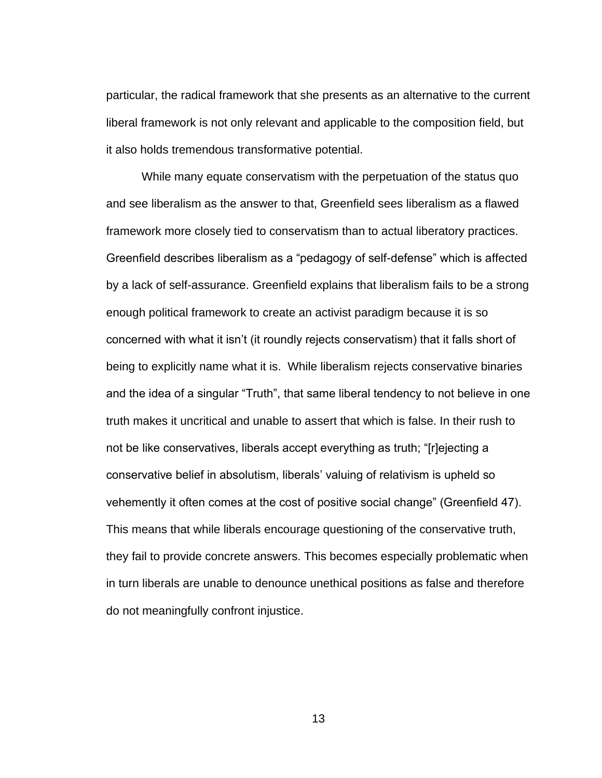particular, the radical framework that she presents as an alternative to the current liberal framework is not only relevant and applicable to the composition field, but it also holds tremendous transformative potential.

While many equate conservatism with the perpetuation of the status quo and see liberalism as the answer to that, Greenfield sees liberalism as a flawed framework more closely tied to conservatism than to actual liberatory practices. Greenfield describes liberalism as a "pedagogy of self-defense" which is affected by a lack of self-assurance. Greenfield explains that liberalism fails to be a strong enough political framework to create an activist paradigm because it is so concerned with what it isn't (it roundly rejects conservatism) that it falls short of being to explicitly name what it is. While liberalism rejects conservative binaries and the idea of a singular "Truth", that same liberal tendency to not believe in one truth makes it uncritical and unable to assert that which is false. In their rush to not be like conservatives, liberals accept everything as truth; "[r]ejecting a conservative belief in absolutism, liberals' valuing of relativism is upheld so vehemently it often comes at the cost of positive social change" (Greenfield 47). This means that while liberals encourage questioning of the conservative truth, they fail to provide concrete answers. This becomes especially problematic when in turn liberals are unable to denounce unethical positions as false and therefore do not meaningfully confront injustice.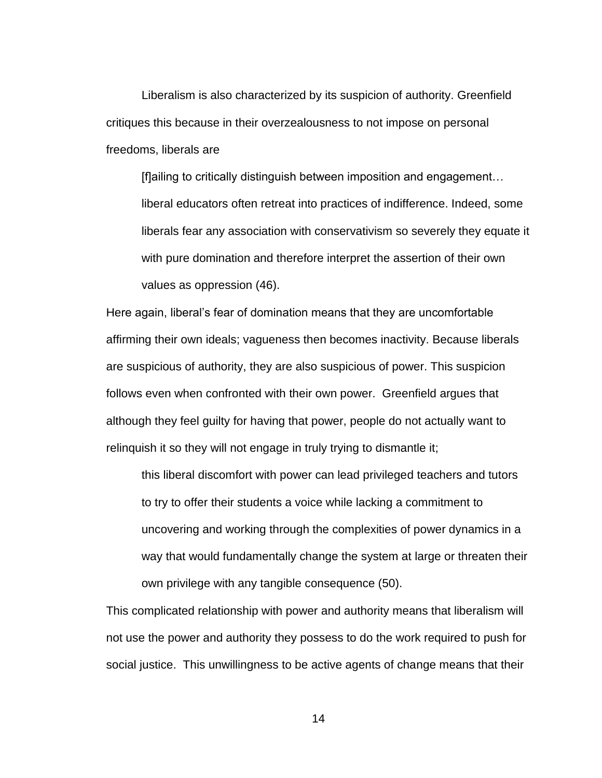Liberalism is also characterized by its suspicion of authority. Greenfield critiques this because in their overzealousness to not impose on personal freedoms, liberals are

[f]ailing to critically distinguish between imposition and engagement… liberal educators often retreat into practices of indifference. Indeed, some liberals fear any association with conservativism so severely they equate it with pure domination and therefore interpret the assertion of their own values as oppression (46).

Here again, liberal's fear of domination means that they are uncomfortable affirming their own ideals; vagueness then becomes inactivity. Because liberals are suspicious of authority, they are also suspicious of power. This suspicion follows even when confronted with their own power. Greenfield argues that although they feel guilty for having that power, people do not actually want to relinquish it so they will not engage in truly trying to dismantle it;

this liberal discomfort with power can lead privileged teachers and tutors to try to offer their students a voice while lacking a commitment to uncovering and working through the complexities of power dynamics in a way that would fundamentally change the system at large or threaten their own privilege with any tangible consequence (50).

This complicated relationship with power and authority means that liberalism will not use the power and authority they possess to do the work required to push for social justice. This unwillingness to be active agents of change means that their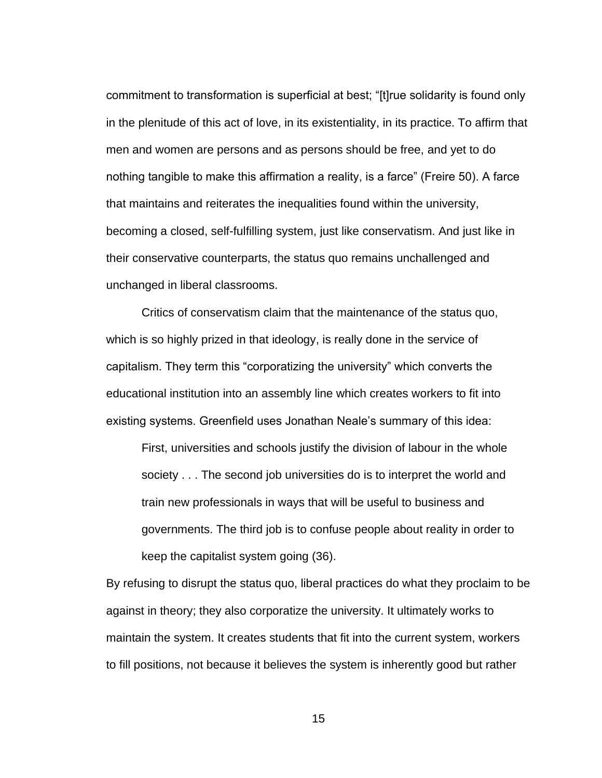commitment to transformation is superficial at best; "[t]rue solidarity is found only in the plenitude of this act of love, in its existentiality, in its practice. To affirm that men and women are persons and as persons should be free, and yet to do nothing tangible to make this affirmation a reality, is a farce" (Freire 50). A farce that maintains and reiterates the inequalities found within the university, becoming a closed, self-fulfilling system, just like conservatism. And just like in their conservative counterparts, the status quo remains unchallenged and unchanged in liberal classrooms.

Critics of conservatism claim that the maintenance of the status quo, which is so highly prized in that ideology, is really done in the service of capitalism. They term this "corporatizing the university" which converts the educational institution into an assembly line which creates workers to fit into existing systems. Greenfield uses Jonathan Neale's summary of this idea:

First, universities and schools justify the division of labour in the whole society . . . The second job universities do is to interpret the world and train new professionals in ways that will be useful to business and governments. The third job is to confuse people about reality in order to keep the capitalist system going (36).

By refusing to disrupt the status quo, liberal practices do what they proclaim to be against in theory; they also corporatize the university. It ultimately works to maintain the system. It creates students that fit into the current system, workers to fill positions, not because it believes the system is inherently good but rather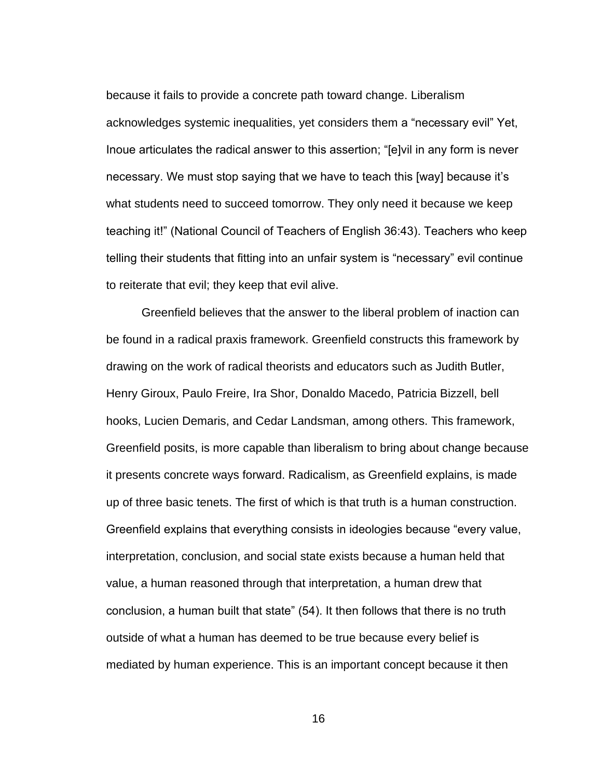because it fails to provide a concrete path toward change. Liberalism acknowledges systemic inequalities, yet considers them a "necessary evil" Yet, Inoue articulates the radical answer to this assertion; "[e]vil in any form is never necessary. We must stop saying that we have to teach this [way] because it's what students need to succeed tomorrow. They only need it because we keep teaching it!" (National Council of Teachers of English 36:43). Teachers who keep telling their students that fitting into an unfair system is "necessary" evil continue to reiterate that evil; they keep that evil alive.

Greenfield believes that the answer to the liberal problem of inaction can be found in a radical praxis framework. Greenfield constructs this framework by drawing on the work of radical theorists and educators such as Judith Butler, Henry Giroux, Paulo Freire, Ira Shor, Donaldo Macedo, Patricia Bizzell, bell hooks, Lucien Demaris, and Cedar Landsman, among others. This framework, Greenfield posits, is more capable than liberalism to bring about change because it presents concrete ways forward. Radicalism, as Greenfield explains, is made up of three basic tenets. The first of which is that truth is a human construction. Greenfield explains that everything consists in ideologies because "every value, interpretation, conclusion, and social state exists because a human held that value, a human reasoned through that interpretation, a human drew that conclusion, a human built that state" (54). It then follows that there is no truth outside of what a human has deemed to be true because every belief is mediated by human experience. This is an important concept because it then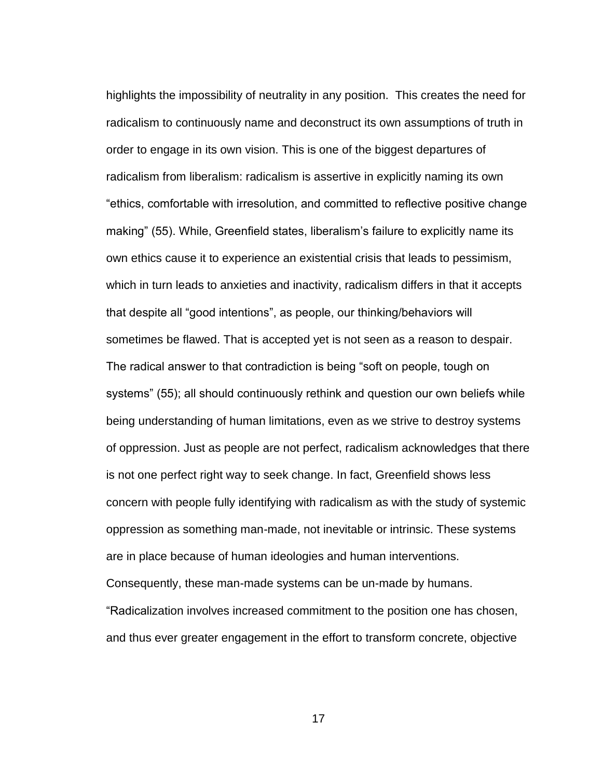highlights the impossibility of neutrality in any position. This creates the need for radicalism to continuously name and deconstruct its own assumptions of truth in order to engage in its own vision. This is one of the biggest departures of radicalism from liberalism: radicalism is assertive in explicitly naming its own "ethics, comfortable with irresolution, and committed to reflective positive change making" (55). While, Greenfield states, liberalism's failure to explicitly name its own ethics cause it to experience an existential crisis that leads to pessimism, which in turn leads to anxieties and inactivity, radicalism differs in that it accepts that despite all "good intentions", as people, our thinking/behaviors will sometimes be flawed. That is accepted yet is not seen as a reason to despair. The radical answer to that contradiction is being "soft on people, tough on systems" (55); all should continuously rethink and question our own beliefs while being understanding of human limitations, even as we strive to destroy systems of oppression. Just as people are not perfect, radicalism acknowledges that there is not one perfect right way to seek change. In fact, Greenfield shows less concern with people fully identifying with radicalism as with the study of systemic oppression as something man-made, not inevitable or intrinsic. These systems are in place because of human ideologies and human interventions. Consequently, these man-made systems can be un-made by humans. "Radicalization involves increased commitment to the position one has chosen, and thus ever greater engagement in the effort to transform concrete, objective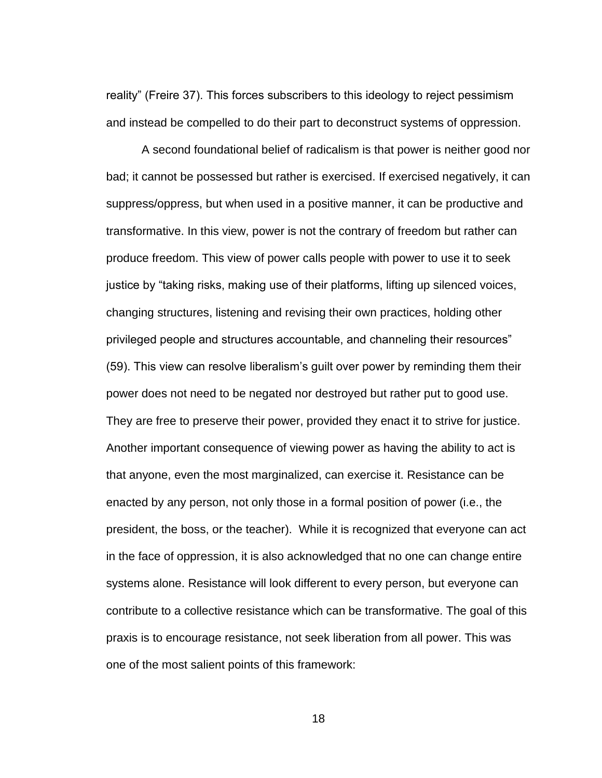reality" (Freire 37). This forces subscribers to this ideology to reject pessimism and instead be compelled to do their part to deconstruct systems of oppression.

A second foundational belief of radicalism is that power is neither good nor bad; it cannot be possessed but rather is exercised. If exercised negatively, it can suppress/oppress, but when used in a positive manner, it can be productive and transformative. In this view, power is not the contrary of freedom but rather can produce freedom. This view of power calls people with power to use it to seek justice by "taking risks, making use of their platforms, lifting up silenced voices, changing structures, listening and revising their own practices, holding other privileged people and structures accountable, and channeling their resources" (59). This view can resolve liberalism's guilt over power by reminding them their power does not need to be negated nor destroyed but rather put to good use. They are free to preserve their power, provided they enact it to strive for justice. Another important consequence of viewing power as having the ability to act is that anyone, even the most marginalized, can exercise it. Resistance can be enacted by any person, not only those in a formal position of power (i.e., the president, the boss, or the teacher). While it is recognized that everyone can act in the face of oppression, it is also acknowledged that no one can change entire systems alone. Resistance will look different to every person, but everyone can contribute to a collective resistance which can be transformative. The goal of this praxis is to encourage resistance, not seek liberation from all power. This was one of the most salient points of this framework: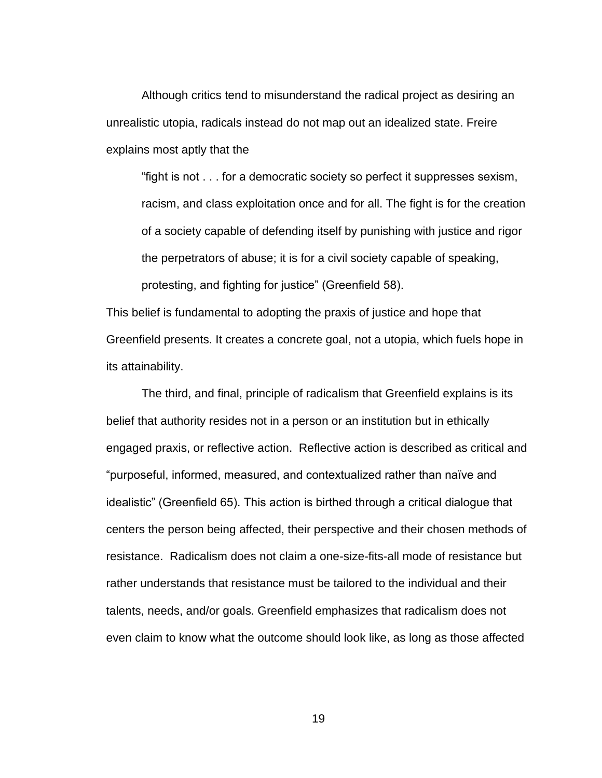Although critics tend to misunderstand the radical project as desiring an unrealistic utopia, radicals instead do not map out an idealized state. Freire explains most aptly that the

"fight is not . . . for a democratic society so perfect it suppresses sexism, racism, and class exploitation once and for all. The fight is for the creation of a society capable of defending itself by punishing with justice and rigor the perpetrators of abuse; it is for a civil society capable of speaking, protesting, and fighting for justice" (Greenfield 58).

This belief is fundamental to adopting the praxis of justice and hope that Greenfield presents. It creates a concrete goal, not a utopia, which fuels hope in its attainability.

The third, and final, principle of radicalism that Greenfield explains is its belief that authority resides not in a person or an institution but in ethically engaged praxis, or reflective action. Reflective action is described as critical and "purposeful, informed, measured, and contextualized rather than naïve and idealistic" (Greenfield 65). This action is birthed through a critical dialogue that centers the person being affected, their perspective and their chosen methods of resistance. Radicalism does not claim a one-size-fits-all mode of resistance but rather understands that resistance must be tailored to the individual and their talents, needs, and/or goals. Greenfield emphasizes that radicalism does not even claim to know what the outcome should look like, as long as those affected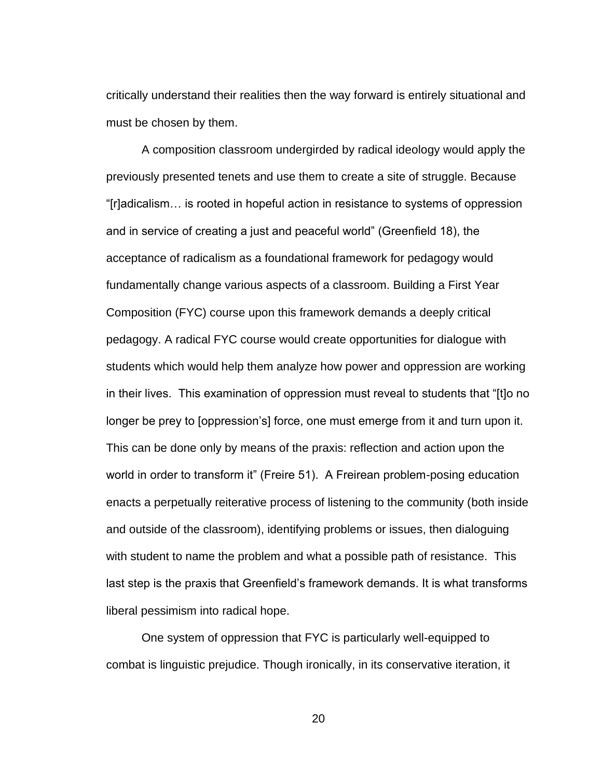critically understand their realities then the way forward is entirely situational and must be chosen by them.

A composition classroom undergirded by radical ideology would apply the previously presented tenets and use them to create a site of struggle. Because "[r]adicalism… is rooted in hopeful action in resistance to systems of oppression and in service of creating a just and peaceful world" (Greenfield 18), the acceptance of radicalism as a foundational framework for pedagogy would fundamentally change various aspects of a classroom. Building a First Year Composition (FYC) course upon this framework demands a deeply critical pedagogy. A radical FYC course would create opportunities for dialogue with students which would help them analyze how power and oppression are working in their lives. This examination of oppression must reveal to students that "[t]o no longer be prey to [oppression's] force, one must emerge from it and turn upon it. This can be done only by means of the praxis: reflection and action upon the world in order to transform it" (Freire 51). A Freirean problem-posing education enacts a perpetually reiterative process of listening to the community (both inside and outside of the classroom), identifying problems or issues, then dialoguing with student to name the problem and what a possible path of resistance. This last step is the praxis that Greenfield's framework demands. It is what transforms liberal pessimism into radical hope.

One system of oppression that FYC is particularly well-equipped to combat is linguistic prejudice. Though ironically, in its conservative iteration, it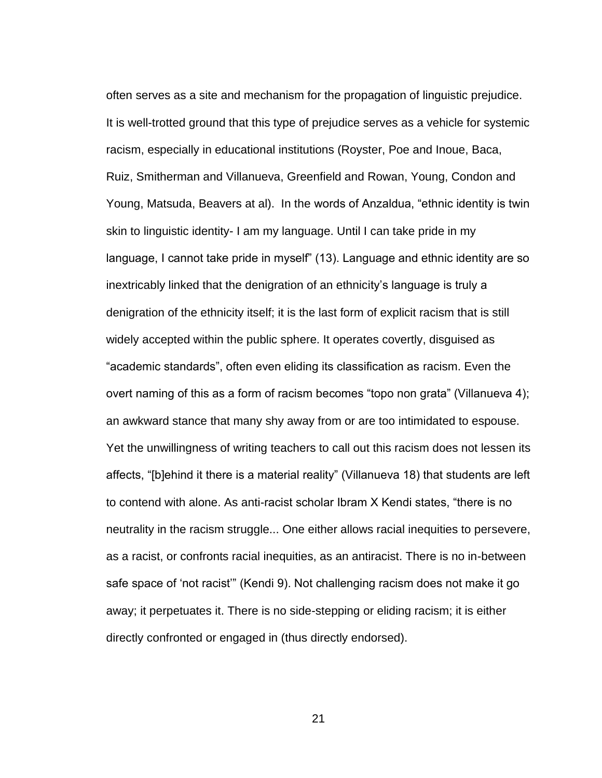often serves as a site and mechanism for the propagation of linguistic prejudice. It is well-trotted ground that this type of prejudice serves as a vehicle for systemic racism, especially in educational institutions (Royster, Poe and Inoue, Baca, Ruiz, Smitherman and Villanueva, Greenfield and Rowan, Young, Condon and Young, Matsuda, Beavers at al). In the words of Anzaldua, "ethnic identity is twin skin to linguistic identity- I am my language. Until I can take pride in my language, I cannot take pride in myself" (13). Language and ethnic identity are so inextricably linked that the denigration of an ethnicity's language is truly a denigration of the ethnicity itself; it is the last form of explicit racism that is still widely accepted within the public sphere. It operates covertly, disguised as "academic standards", often even eliding its classification as racism. Even the overt naming of this as a form of racism becomes "topo non grata" (Villanueva 4); an awkward stance that many shy away from or are too intimidated to espouse. Yet the unwillingness of writing teachers to call out this racism does not lessen its affects, "[b]ehind it there is a material reality" (Villanueva 18) that students are left to contend with alone. As anti-racist scholar Ibram X Kendi states, "there is no neutrality in the racism struggle... One either allows racial inequities to persevere, as a racist, or confronts racial inequities, as an antiracist. There is no in-between safe space of 'not racist'" (Kendi 9). Not challenging racism does not make it go away; it perpetuates it. There is no side-stepping or eliding racism; it is either directly confronted or engaged in (thus directly endorsed).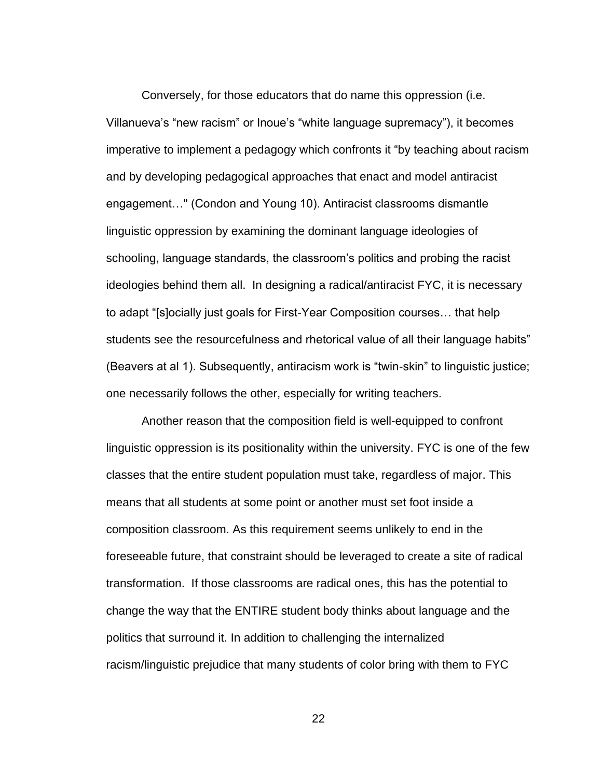Conversely, for those educators that do name this oppression (i.e. Villanueva's "new racism" or Inoue's "white language supremacy"), it becomes imperative to implement a pedagogy which confronts it "by teaching about racism and by developing pedagogical approaches that enact and model antiracist engagement…" (Condon and Young 10). Antiracist classrooms dismantle linguistic oppression by examining the dominant language ideologies of schooling, language standards, the classroom's politics and probing the racist ideologies behind them all. In designing a radical/antiracist FYC, it is necessary to adapt "[s]ocially just goals for First-Year Composition courses… that help students see the resourcefulness and rhetorical value of all their language habits" (Beavers at al 1). Subsequently, antiracism work is "twin-skin" to linguistic justice; one necessarily follows the other, especially for writing teachers.

Another reason that the composition field is well-equipped to confront linguistic oppression is its positionality within the university. FYC is one of the few classes that the entire student population must take, regardless of major. This means that all students at some point or another must set foot inside a composition classroom. As this requirement seems unlikely to end in the foreseeable future, that constraint should be leveraged to create a site of radical transformation. If those classrooms are radical ones, this has the potential to change the way that the ENTIRE student body thinks about language and the politics that surround it. In addition to challenging the internalized racism/linguistic prejudice that many students of color bring with them to FYC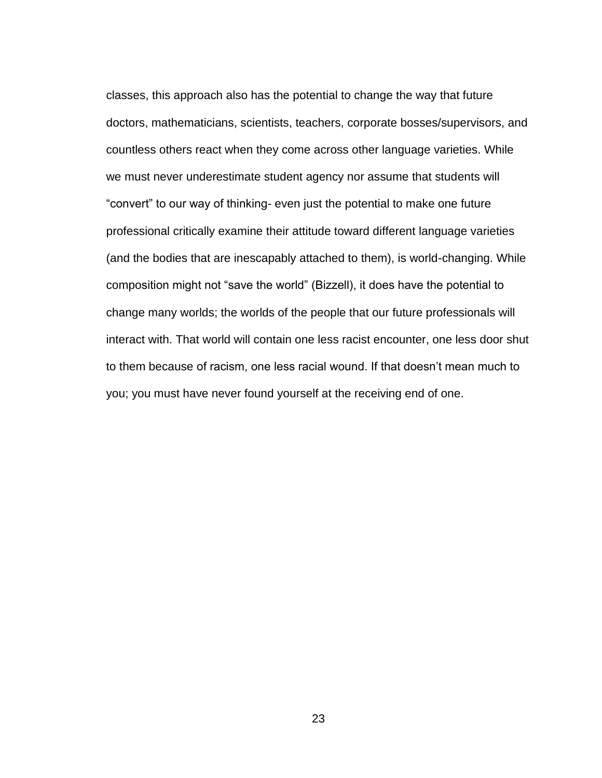classes, this approach also has the potential to change the way that future doctors, mathematicians, scientists, teachers, corporate bosses/supervisors, and countless others react when they come across other language varieties. While we must never underestimate student agency nor assume that students will "convert" to our way of thinking- even just the potential to make one future professional critically examine their attitude toward different language varieties (and the bodies that are inescapably attached to them), is world-changing. While composition might not "save the world" (Bizzell), it does have the potential to change many worlds; the worlds of the people that our future professionals will interact with. That world will contain one less racist encounter, one less door shut to them because of racism, one less racial wound. If that doesn't mean much to you; you must have never found yourself at the receiving end of one.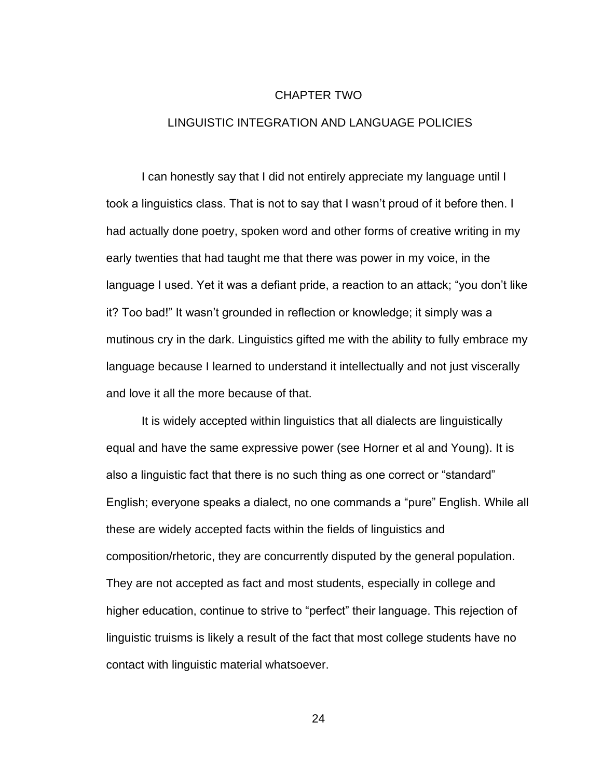#### CHAPTER TWO

### <span id="page-33-0"></span>LINGUISTIC INTEGRATION AND LANGUAGE POLICIES

I can honestly say that I did not entirely appreciate my language until I took a linguistics class. That is not to say that I wasn't proud of it before then. I had actually done poetry, spoken word and other forms of creative writing in my early twenties that had taught me that there was power in my voice, in the language I used. Yet it was a defiant pride, a reaction to an attack; "you don't like it? Too bad!" It wasn't grounded in reflection or knowledge; it simply was a mutinous cry in the dark. Linguistics gifted me with the ability to fully embrace my language because I learned to understand it intellectually and not just viscerally and love it all the more because of that.

It is widely accepted within linguistics that all dialects are linguistically equal and have the same expressive power (see Horner et al and Young). It is also a linguistic fact that there is no such thing as one correct or "standard" English; everyone speaks a dialect, no one commands a "pure" English. While all these are widely accepted facts within the fields of linguistics and composition/rhetoric, they are concurrently disputed by the general population. They are not accepted as fact and most students, especially in college and higher education, continue to strive to "perfect" their language. This rejection of linguistic truisms is likely a result of the fact that most college students have no contact with linguistic material whatsoever.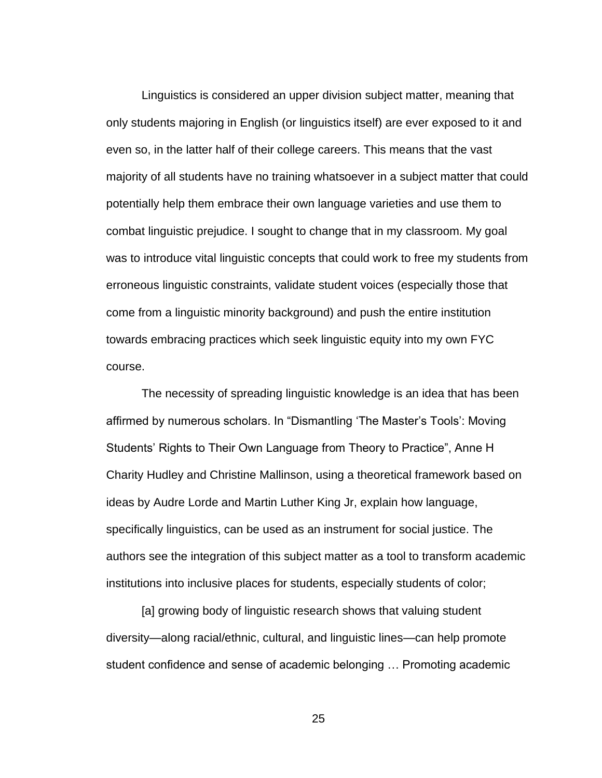Linguistics is considered an upper division subject matter, meaning that only students majoring in English (or linguistics itself) are ever exposed to it and even so, in the latter half of their college careers. This means that the vast majority of all students have no training whatsoever in a subject matter that could potentially help them embrace their own language varieties and use them to combat linguistic prejudice. I sought to change that in my classroom. My goal was to introduce vital linguistic concepts that could work to free my students from erroneous linguistic constraints, validate student voices (especially those that come from a linguistic minority background) and push the entire institution towards embracing practices which seek linguistic equity into my own FYC course.

The necessity of spreading linguistic knowledge is an idea that has been affirmed by numerous scholars. In "Dismantling 'The Master's Tools': Moving Students' Rights to Their Own Language from Theory to Practice", Anne H Charity Hudley and Christine Mallinson, using a theoretical framework based on ideas by Audre Lorde and Martin Luther King Jr, explain how language, specifically linguistics, can be used as an instrument for social justice. The authors see the integration of this subject matter as a tool to transform academic institutions into inclusive places for students, especially students of color;

[a] growing body of linguistic research shows that valuing student diversity—along racial/ethnic, cultural, and linguistic lines—can help promote student confidence and sense of academic belonging … Promoting academic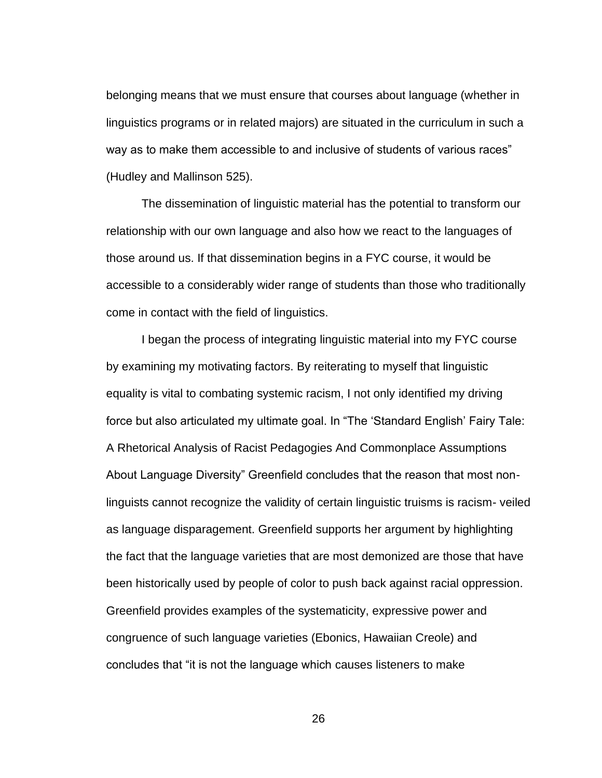belonging means that we must ensure that courses about language (whether in linguistics programs or in related majors) are situated in the curriculum in such a way as to make them accessible to and inclusive of students of various races" (Hudley and Mallinson 525).

The dissemination of linguistic material has the potential to transform our relationship with our own language and also how we react to the languages of those around us. If that dissemination begins in a FYC course, it would be accessible to a considerably wider range of students than those who traditionally come in contact with the field of linguistics.

I began the process of integrating linguistic material into my FYC course by examining my motivating factors. By reiterating to myself that linguistic equality is vital to combating systemic racism, I not only identified my driving force but also articulated my ultimate goal. In "The 'Standard English' Fairy Tale: A Rhetorical Analysis of Racist Pedagogies And Commonplace Assumptions About Language Diversity" Greenfield concludes that the reason that most nonlinguists cannot recognize the validity of certain linguistic truisms is racism- veiled as language disparagement. Greenfield supports her argument by highlighting the fact that the language varieties that are most demonized are those that have been historically used by people of color to push back against racial oppression. Greenfield provides examples of the systematicity, expressive power and congruence of such language varieties (Ebonics, Hawaiian Creole) and concludes that "it is not the language which causes listeners to make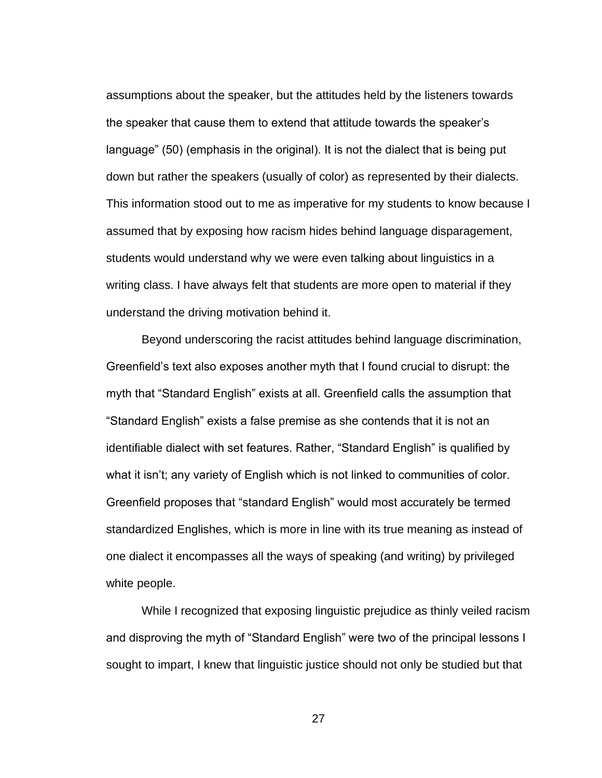assumptions about the speaker, but the attitudes held by the listeners towards the speaker that cause them to extend that attitude towards the speaker's language" (50) (emphasis in the original). It is not the dialect that is being put down but rather the speakers (usually of color) as represented by their dialects. This information stood out to me as imperative for my students to know because I assumed that by exposing how racism hides behind language disparagement, students would understand why we were even talking about linguistics in a writing class. I have always felt that students are more open to material if they understand the driving motivation behind it.

Beyond underscoring the racist attitudes behind language discrimination, Greenfield's text also exposes another myth that I found crucial to disrupt: the myth that "Standard English" exists at all. Greenfield calls the assumption that "Standard English" exists a false premise as she contends that it is not an identifiable dialect with set features. Rather, "Standard English" is qualified by what it isn't; any variety of English which is not linked to communities of color. Greenfield proposes that "standard English" would most accurately be termed standardized Englishes, which is more in line with its true meaning as instead of one dialect it encompasses all the ways of speaking (and writing) by privileged white people.

While I recognized that exposing linguistic prejudice as thinly veiled racism and disproving the myth of "Standard English" were two of the principal lessons I sought to impart, I knew that linguistic justice should not only be studied but that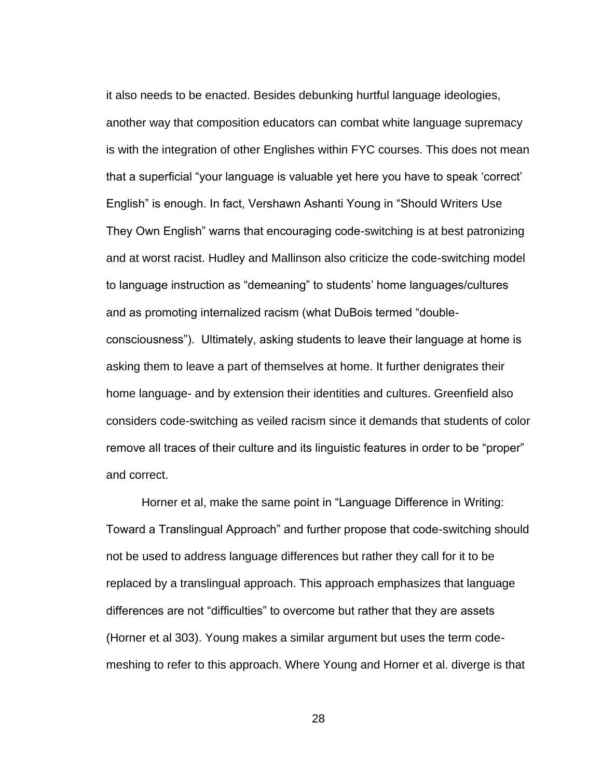it also needs to be enacted. Besides debunking hurtful language ideologies, another way that composition educators can combat white language supremacy is with the integration of other Englishes within FYC courses. This does not mean that a superficial "your language is valuable yet here you have to speak 'correct' English" is enough. In fact, Vershawn Ashanti Young in "Should Writers Use They Own English" warns that encouraging code-switching is at best patronizing and at worst racist. Hudley and Mallinson also criticize the code-switching model to language instruction as "demeaning" to students' home languages/cultures and as promoting internalized racism (what DuBois termed "doubleconsciousness"). Ultimately, asking students to leave their language at home is asking them to leave a part of themselves at home. It further denigrates their home language- and by extension their identities and cultures. Greenfield also considers code-switching as veiled racism since it demands that students of color remove all traces of their culture and its linguistic features in order to be "proper" and correct.

Horner et al, make the same point in "Language Difference in Writing: Toward a Translingual Approach" and further propose that code-switching should not be used to address language differences but rather they call for it to be replaced by a translingual approach. This approach emphasizes that language differences are not "difficulties" to overcome but rather that they are assets (Horner et al 303). Young makes a similar argument but uses the term codemeshing to refer to this approach. Where Young and Horner et al. diverge is that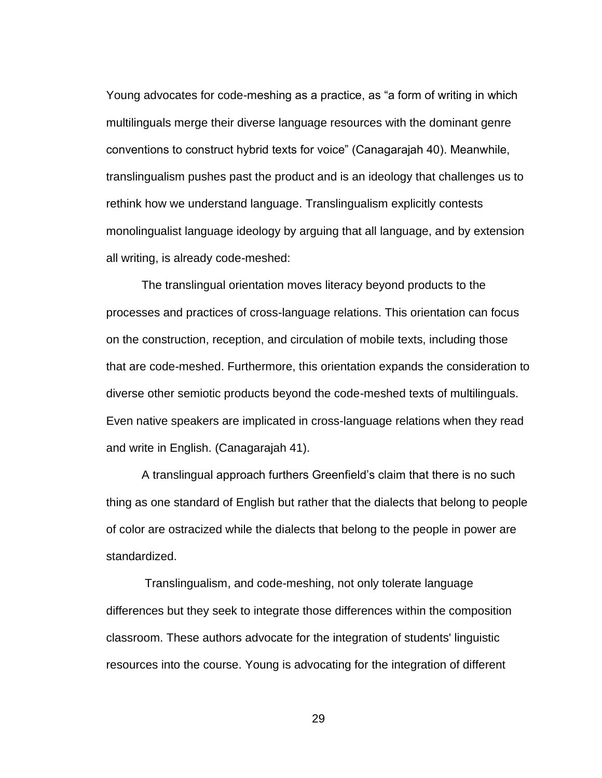Young advocates for code-meshing as a practice, as "a form of writing in which multilinguals merge their diverse language resources with the dominant genre conventions to construct hybrid texts for voice" (Canagarajah 40). Meanwhile, translingualism pushes past the product and is an ideology that challenges us to rethink how we understand language. Translingualism explicitly contests monolingualist language ideology by arguing that all language, and by extension all writing, is already code-meshed:

The translingual orientation moves literacy beyond products to the processes and practices of cross-language relations. This orientation can focus on the construction, reception, and circulation of mobile texts, including those that are code-meshed. Furthermore, this orientation expands the consideration to diverse other semiotic products beyond the code-meshed texts of multilinguals. Even native speakers are implicated in cross-language relations when they read and write in English. (Canagarajah 41).

A translingual approach furthers Greenfield's claim that there is no such thing as one standard of English but rather that the dialects that belong to people of color are ostracized while the dialects that belong to the people in power are standardized.

Translingualism, and code-meshing, not only tolerate language differences but they seek to integrate those differences within the composition classroom. These authors advocate for the integration of students' linguistic resources into the course. Young is advocating for the integration of different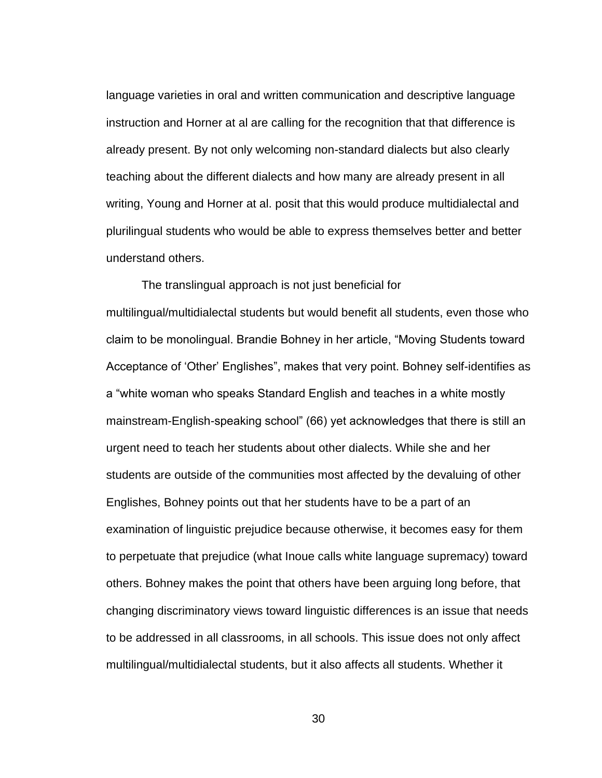language varieties in oral and written communication and descriptive language instruction and Horner at al are calling for the recognition that that difference is already present. By not only welcoming non-standard dialects but also clearly teaching about the different dialects and how many are already present in all writing, Young and Horner at al. posit that this would produce multidialectal and plurilingual students who would be able to express themselves better and better understand others.

The translingual approach is not just beneficial for multilingual/multidialectal students but would benefit all students, even those who claim to be monolingual. Brandie Bohney in her article, "Moving Students toward Acceptance of 'Other' Englishes", makes that very point. Bohney self-identifies as a "white woman who speaks Standard English and teaches in a white mostly mainstream-English-speaking school" (66) yet acknowledges that there is still an urgent need to teach her students about other dialects. While she and her students are outside of the communities most affected by the devaluing of other Englishes, Bohney points out that her students have to be a part of an examination of linguistic prejudice because otherwise, it becomes easy for them to perpetuate that prejudice (what Inoue calls white language supremacy) toward others. Bohney makes the point that others have been arguing long before, that changing discriminatory views toward linguistic differences is an issue that needs to be addressed in all classrooms, in all schools. This issue does not only affect multilingual/multidialectal students, but it also affects all students. Whether it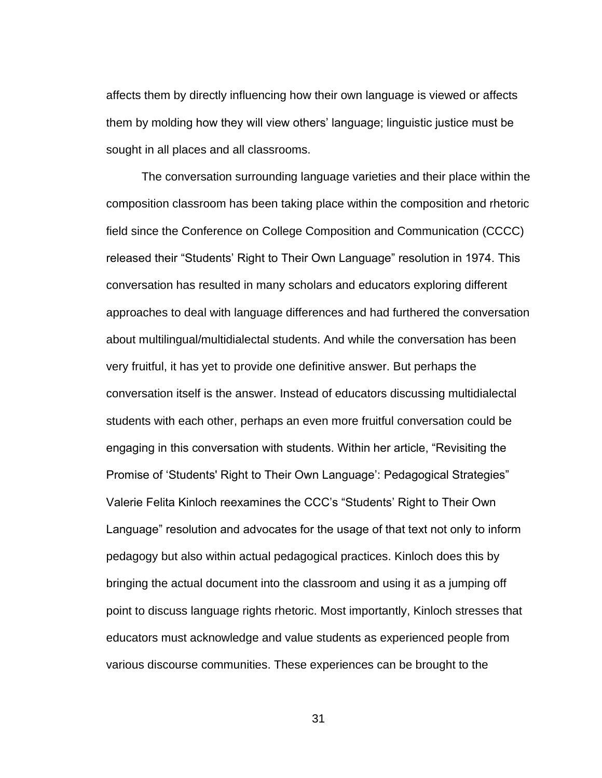affects them by directly influencing how their own language is viewed or affects them by molding how they will view others' language; linguistic justice must be sought in all places and all classrooms.

The conversation surrounding language varieties and their place within the composition classroom has been taking place within the composition and rhetoric field since the Conference on College Composition and Communication (CCCC) released their "Students' Right to Their Own Language" resolution in 1974. This conversation has resulted in many scholars and educators exploring different approaches to deal with language differences and had furthered the conversation about multilingual/multidialectal students. And while the conversation has been very fruitful, it has yet to provide one definitive answer. But perhaps the conversation itself is the answer. Instead of educators discussing multidialectal students with each other, perhaps an even more fruitful conversation could be engaging in this conversation with students. Within her article, "Revisiting the Promise of 'Students' Right to Their Own Language': Pedagogical Strategies" Valerie Felita Kinloch reexamines the CCC's "Students' Right to Their Own Language" resolution and advocates for the usage of that text not only to inform pedagogy but also within actual pedagogical practices. Kinloch does this by bringing the actual document into the classroom and using it as a jumping off point to discuss language rights rhetoric. Most importantly, Kinloch stresses that educators must acknowledge and value students as experienced people from various discourse communities. These experiences can be brought to the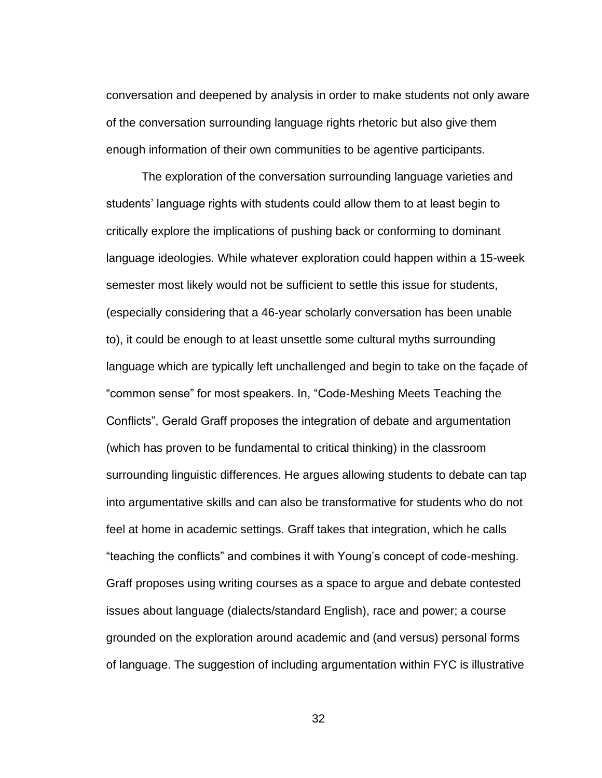conversation and deepened by analysis in order to make students not only aware of the conversation surrounding language rights rhetoric but also give them enough information of their own communities to be agentive participants.

The exploration of the conversation surrounding language varieties and students' language rights with students could allow them to at least begin to critically explore the implications of pushing back or conforming to dominant language ideologies. While whatever exploration could happen within a 15-week semester most likely would not be sufficient to settle this issue for students, (especially considering that a 46-year scholarly conversation has been unable to), it could be enough to at least unsettle some cultural myths surrounding language which are typically left unchallenged and begin to take on the façade of "common sense" for most speakers. In, "Code-Meshing Meets Teaching the Conflicts", Gerald Graff proposes the integration of debate and argumentation (which has proven to be fundamental to critical thinking) in the classroom surrounding linguistic differences. He argues allowing students to debate can tap into argumentative skills and can also be transformative for students who do not feel at home in academic settings. Graff takes that integration, which he calls "teaching the conflicts" and combines it with Young's concept of code-meshing. Graff proposes using writing courses as a space to argue and debate contested issues about language (dialects/standard English), race and power; a course grounded on the exploration around academic and (and versus) personal forms of language. The suggestion of including argumentation within FYC is illustrative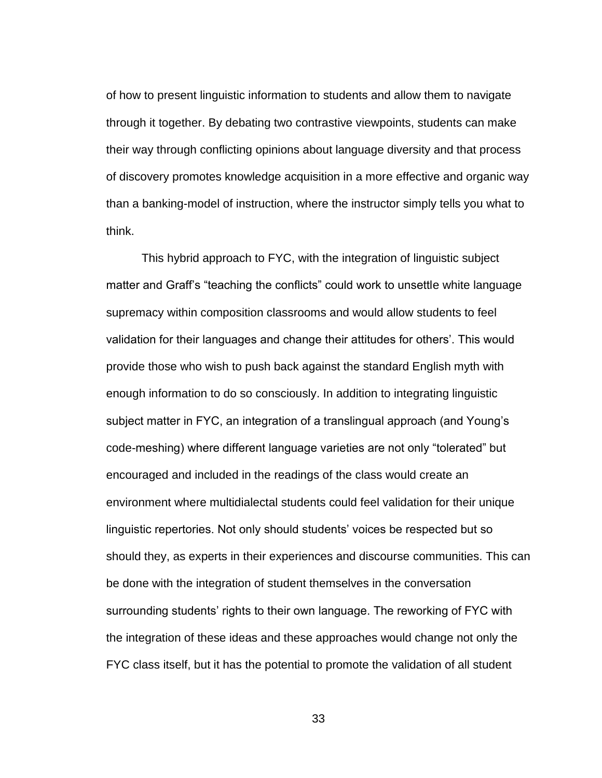of how to present linguistic information to students and allow them to navigate through it together. By debating two contrastive viewpoints, students can make their way through conflicting opinions about language diversity and that process of discovery promotes knowledge acquisition in a more effective and organic way than a banking-model of instruction, where the instructor simply tells you what to think.

This hybrid approach to FYC, with the integration of linguistic subject matter and Graff's "teaching the conflicts" could work to unsettle white language supremacy within composition classrooms and would allow students to feel validation for their languages and change their attitudes for others'. This would provide those who wish to push back against the standard English myth with enough information to do so consciously. In addition to integrating linguistic subject matter in FYC, an integration of a translingual approach (and Young's code-meshing) where different language varieties are not only "tolerated" but encouraged and included in the readings of the class would create an environment where multidialectal students could feel validation for their unique linguistic repertories. Not only should students' voices be respected but so should they, as experts in their experiences and discourse communities. This can be done with the integration of student themselves in the conversation surrounding students' rights to their own language. The reworking of FYC with the integration of these ideas and these approaches would change not only the FYC class itself, but it has the potential to promote the validation of all student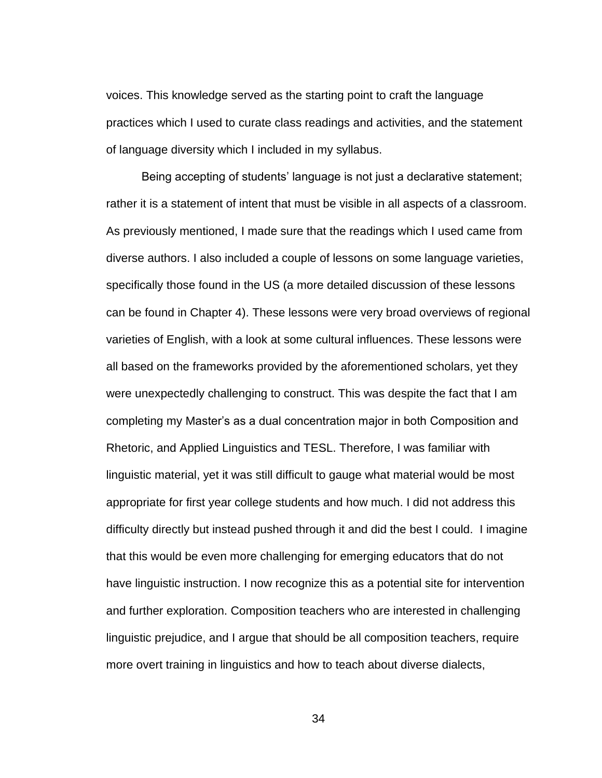voices. This knowledge served as the starting point to craft the language practices which I used to curate class readings and activities, and the statement of language diversity which I included in my syllabus.

Being accepting of students' language is not just a declarative statement; rather it is a statement of intent that must be visible in all aspects of a classroom. As previously mentioned, I made sure that the readings which I used came from diverse authors. I also included a couple of lessons on some language varieties, specifically those found in the US (a more detailed discussion of these lessons can be found in Chapter 4). These lessons were very broad overviews of regional varieties of English, with a look at some cultural influences. These lessons were all based on the frameworks provided by the aforementioned scholars, yet they were unexpectedly challenging to construct. This was despite the fact that I am completing my Master's as a dual concentration major in both Composition and Rhetoric, and Applied Linguistics and TESL. Therefore, I was familiar with linguistic material, yet it was still difficult to gauge what material would be most appropriate for first year college students and how much. I did not address this difficulty directly but instead pushed through it and did the best I could. I imagine that this would be even more challenging for emerging educators that do not have linguistic instruction. I now recognize this as a potential site for intervention and further exploration. Composition teachers who are interested in challenging linguistic prejudice, and I argue that should be all composition teachers, require more overt training in linguistics and how to teach about diverse dialects,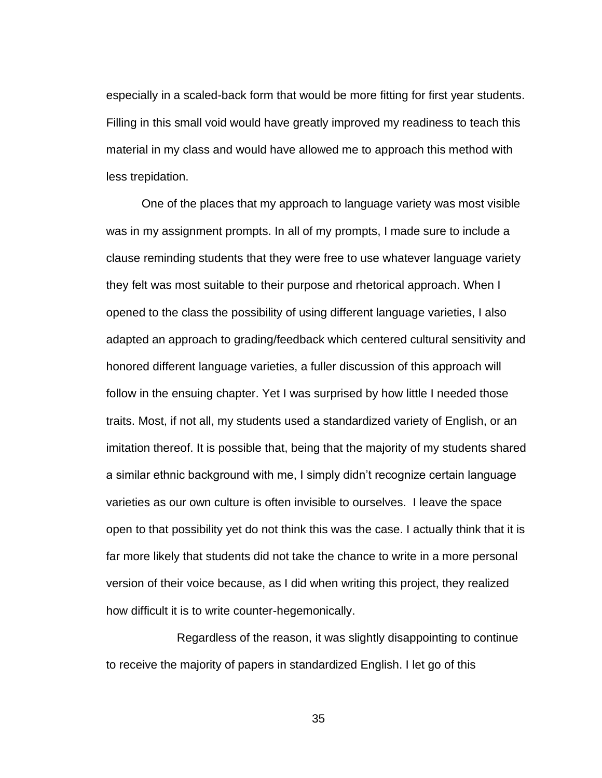especially in a scaled-back form that would be more fitting for first year students. Filling in this small void would have greatly improved my readiness to teach this material in my class and would have allowed me to approach this method with less trepidation.

One of the places that my approach to language variety was most visible was in my assignment prompts. In all of my prompts, I made sure to include a clause reminding students that they were free to use whatever language variety they felt was most suitable to their purpose and rhetorical approach. When I opened to the class the possibility of using different language varieties, I also adapted an approach to grading/feedback which centered cultural sensitivity and honored different language varieties, a fuller discussion of this approach will follow in the ensuing chapter. Yet I was surprised by how little I needed those traits. Most, if not all, my students used a standardized variety of English, or an imitation thereof. It is possible that, being that the majority of my students shared a similar ethnic background with me, I simply didn't recognize certain language varieties as our own culture is often invisible to ourselves. I leave the space open to that possibility yet do not think this was the case. I actually think that it is far more likely that students did not take the chance to write in a more personal version of their voice because, as I did when writing this project, they realized how difficult it is to write counter-hegemonically.

Regardless of the reason, it was slightly disappointing to continue to receive the majority of papers in standardized English. I let go of this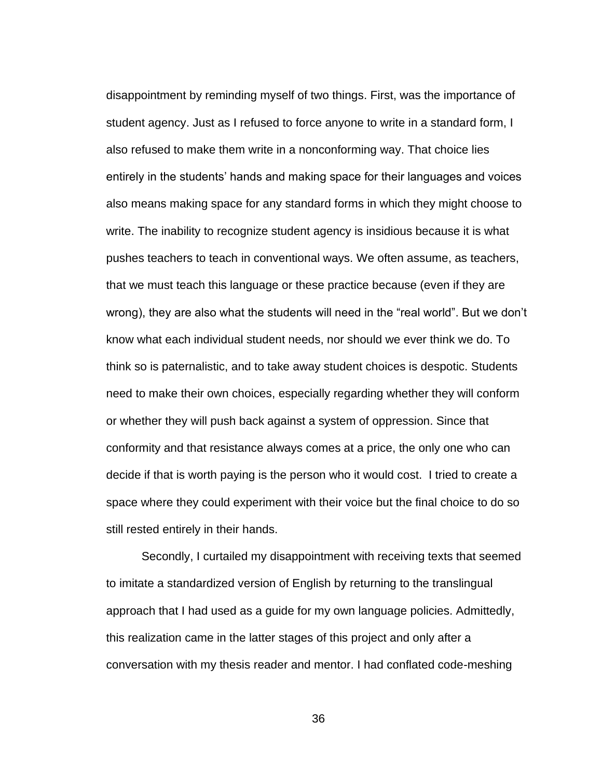disappointment by reminding myself of two things. First, was the importance of student agency. Just as I refused to force anyone to write in a standard form, I also refused to make them write in a nonconforming way. That choice lies entirely in the students' hands and making space for their languages and voices also means making space for any standard forms in which they might choose to write. The inability to recognize student agency is insidious because it is what pushes teachers to teach in conventional ways. We often assume, as teachers, that we must teach this language or these practice because (even if they are wrong), they are also what the students will need in the "real world". But we don't know what each individual student needs, nor should we ever think we do. To think so is paternalistic, and to take away student choices is despotic. Students need to make their own choices, especially regarding whether they will conform or whether they will push back against a system of oppression. Since that conformity and that resistance always comes at a price, the only one who can decide if that is worth paying is the person who it would cost. I tried to create a space where they could experiment with their voice but the final choice to do so still rested entirely in their hands.

Secondly, I curtailed my disappointment with receiving texts that seemed to imitate a standardized version of English by returning to the translingual approach that I had used as a guide for my own language policies. Admittedly, this realization came in the latter stages of this project and only after a conversation with my thesis reader and mentor. I had conflated code-meshing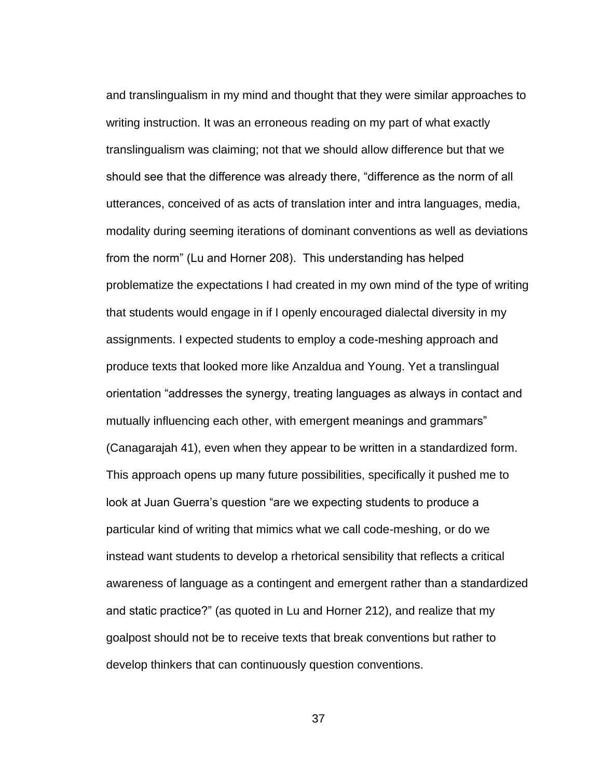and translingualism in my mind and thought that they were similar approaches to writing instruction. It was an erroneous reading on my part of what exactly translingualism was claiming; not that we should allow difference but that we should see that the difference was already there, "difference as the norm of all utterances, conceived of as acts of translation inter and intra languages, media, modality during seeming iterations of dominant conventions as well as deviations from the norm" (Lu and Horner 208). This understanding has helped problematize the expectations I had created in my own mind of the type of writing that students would engage in if I openly encouraged dialectal diversity in my assignments. I expected students to employ a code-meshing approach and produce texts that looked more like Anzaldua and Young. Yet a translingual orientation "addresses the synergy, treating languages as always in contact and mutually influencing each other, with emergent meanings and grammars" (Canagarajah 41), even when they appear to be written in a standardized form. This approach opens up many future possibilities, specifically it pushed me to look at Juan Guerra's question "are we expecting students to produce a particular kind of writing that mimics what we call code-meshing, or do we instead want students to develop a rhetorical sensibility that reflects a critical awareness of language as a contingent and emergent rather than a standardized and static practice?" (as quoted in Lu and Horner 212), and realize that my goalpost should not be to receive texts that break conventions but rather to develop thinkers that can continuously question conventions.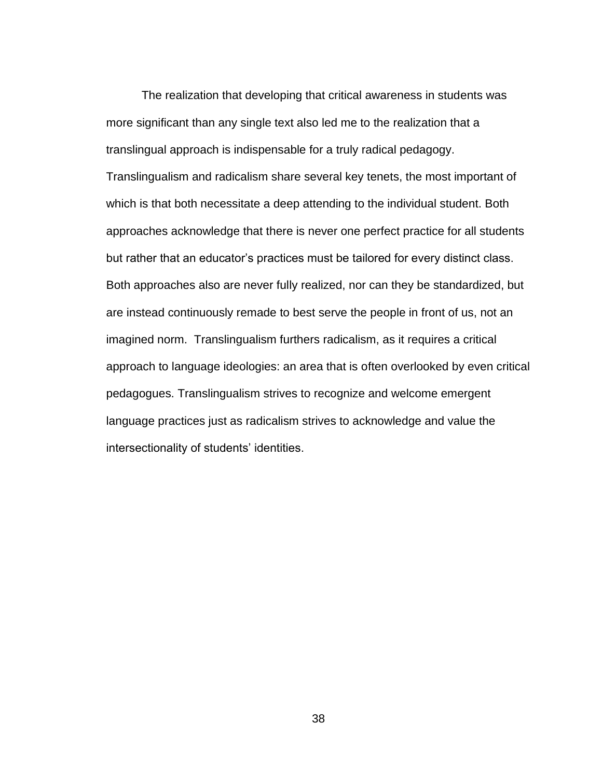The realization that developing that critical awareness in students was more significant than any single text also led me to the realization that a translingual approach is indispensable for a truly radical pedagogy. Translingualism and radicalism share several key tenets, the most important of which is that both necessitate a deep attending to the individual student. Both approaches acknowledge that there is never one perfect practice for all students but rather that an educator's practices must be tailored for every distinct class. Both approaches also are never fully realized, nor can they be standardized, but are instead continuously remade to best serve the people in front of us, not an imagined norm. Translingualism furthers radicalism, as it requires a critical approach to language ideologies: an area that is often overlooked by even critical pedagogues. Translingualism strives to recognize and welcome emergent language practices just as radicalism strives to acknowledge and value the intersectionality of students' identities.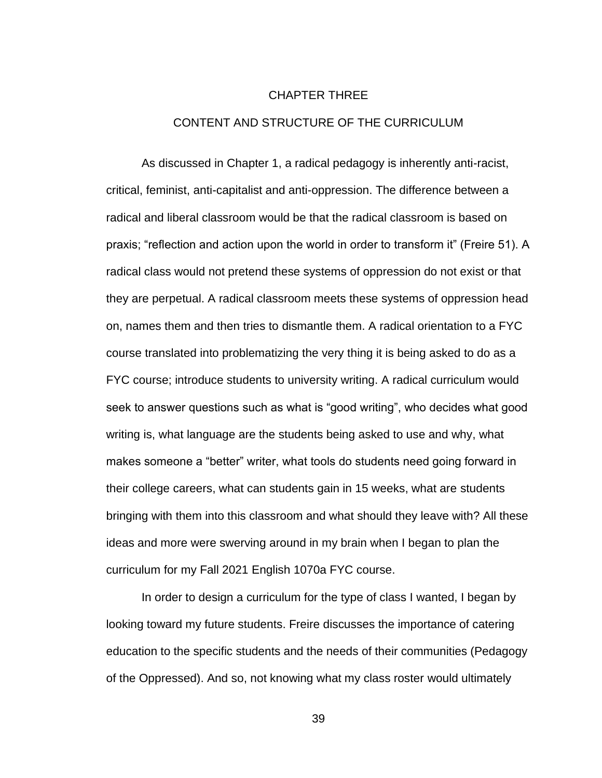## CHAPTER THREE

## CONTENT AND STRUCTURE OF THE CURRICULUM

As discussed in Chapter 1, a radical pedagogy is inherently anti-racist, critical, feminist, anti-capitalist and anti-oppression. The difference between a radical and liberal classroom would be that the radical classroom is based on praxis; "reflection and action upon the world in order to transform it" (Freire 51). A radical class would not pretend these systems of oppression do not exist or that they are perpetual. A radical classroom meets these systems of oppression head on, names them and then tries to dismantle them. A radical orientation to a FYC course translated into problematizing the very thing it is being asked to do as a FYC course; introduce students to university writing. A radical curriculum would seek to answer questions such as what is "good writing", who decides what good writing is, what language are the students being asked to use and why, what makes someone a "better" writer, what tools do students need going forward in their college careers, what can students gain in 15 weeks, what are students bringing with them into this classroom and what should they leave with? All these ideas and more were swerving around in my brain when I began to plan the curriculum for my Fall 2021 English 1070a FYC course.

In order to design a curriculum for the type of class I wanted, I began by looking toward my future students. Freire discusses the importance of catering education to the specific students and the needs of their communities (Pedagogy of the Oppressed). And so, not knowing what my class roster would ultimately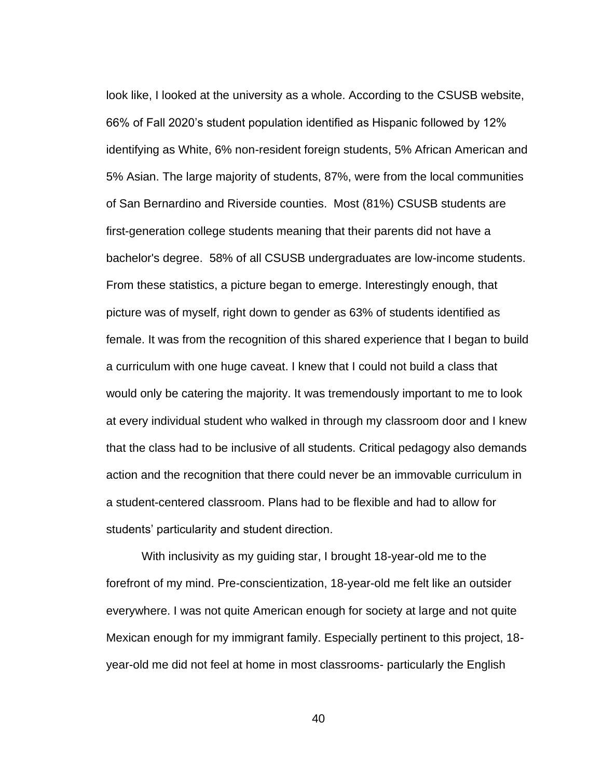look like, I looked at the university as a whole. According to the CSUSB website, 66% of Fall 2020's student population identified as Hispanic followed by 12% identifying as White, 6% non-resident foreign students, 5% African American and 5% Asian. The large majority of students, 87%, were from the local communities of San Bernardino and Riverside counties. Most (81%) CSUSB students are first-generation college students meaning that their parents did not have a bachelor's degree. 58% of all CSUSB undergraduates are low-income students. From these statistics, a picture began to emerge. Interestingly enough, that picture was of myself, right down to gender as 63% of students identified as female. It was from the recognition of this shared experience that I began to build a curriculum with one huge caveat. I knew that I could not build a class that would only be catering the majority. It was tremendously important to me to look at every individual student who walked in through my classroom door and I knew that the class had to be inclusive of all students. Critical pedagogy also demands action and the recognition that there could never be an immovable curriculum in a student-centered classroom. Plans had to be flexible and had to allow for students' particularity and student direction.

With inclusivity as my guiding star, I brought 18-year-old me to the forefront of my mind. Pre-conscientization, 18-year-old me felt like an outsider everywhere. I was not quite American enough for society at large and not quite Mexican enough for my immigrant family. Especially pertinent to this project, 18 year-old me did not feel at home in most classrooms- particularly the English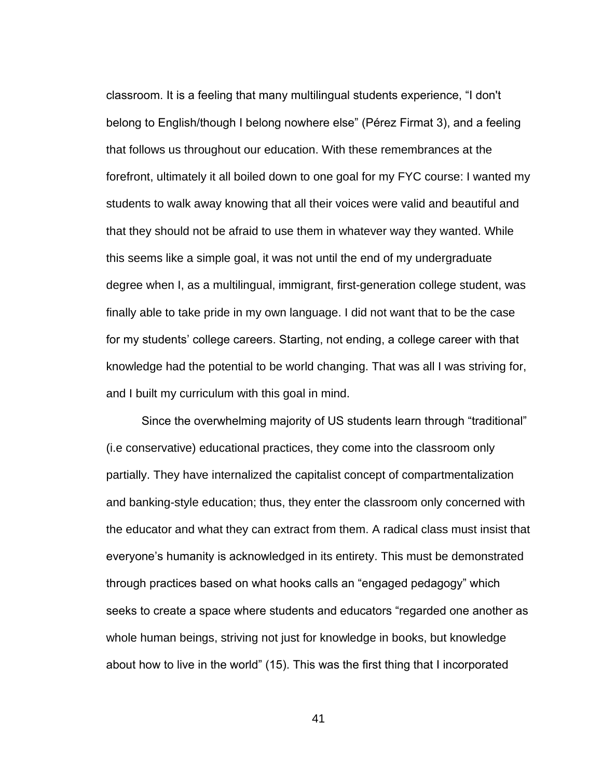classroom. It is a feeling that many multilingual students experience, "I don't belong to English/though I belong nowhere else" (Pérez Firmat 3), and a feeling that follows us throughout our education. With these remembrances at the forefront, ultimately it all boiled down to one goal for my FYC course: I wanted my students to walk away knowing that all their voices were valid and beautiful and that they should not be afraid to use them in whatever way they wanted. While this seems like a simple goal, it was not until the end of my undergraduate degree when I, as a multilingual, immigrant, first-generation college student, was finally able to take pride in my own language. I did not want that to be the case for my students' college careers. Starting, not ending, a college career with that knowledge had the potential to be world changing. That was all I was striving for, and I built my curriculum with this goal in mind.

Since the overwhelming majority of US students learn through "traditional" (i.e conservative) educational practices, they come into the classroom only partially. They have internalized the capitalist concept of compartmentalization and banking-style education; thus, they enter the classroom only concerned with the educator and what they can extract from them. A radical class must insist that everyone's humanity is acknowledged in its entirety. This must be demonstrated through practices based on what hooks calls an "engaged pedagogy" which seeks to create a space where students and educators "regarded one another as whole human beings, striving not just for knowledge in books, but knowledge about how to live in the world" (15). This was the first thing that I incorporated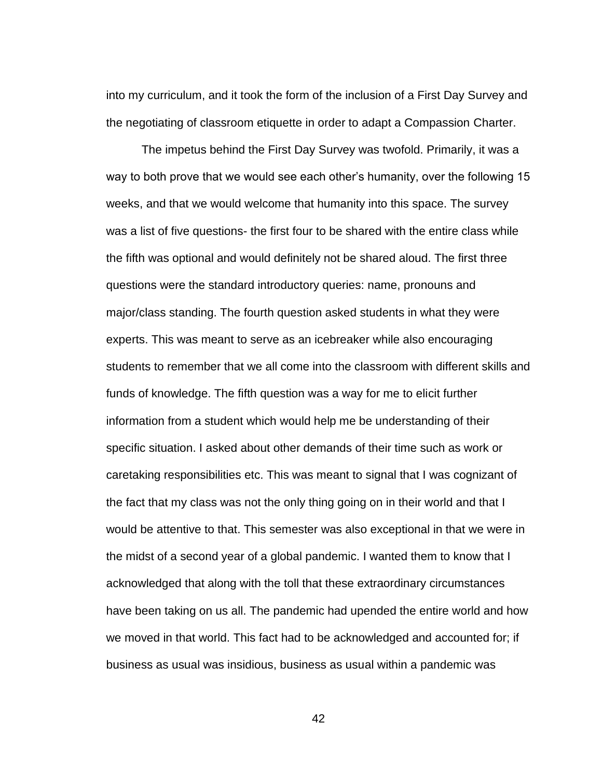into my curriculum, and it took the form of the inclusion of a First Day Survey and the negotiating of classroom etiquette in order to adapt a Compassion Charter.

The impetus behind the First Day Survey was twofold. Primarily, it was a way to both prove that we would see each other's humanity, over the following 15 weeks, and that we would welcome that humanity into this space. The survey was a list of five questions- the first four to be shared with the entire class while the fifth was optional and would definitely not be shared aloud. The first three questions were the standard introductory queries: name, pronouns and major/class standing. The fourth question asked students in what they were experts. This was meant to serve as an icebreaker while also encouraging students to remember that we all come into the classroom with different skills and funds of knowledge. The fifth question was a way for me to elicit further information from a student which would help me be understanding of their specific situation. I asked about other demands of their time such as work or caretaking responsibilities etc. This was meant to signal that I was cognizant of the fact that my class was not the only thing going on in their world and that I would be attentive to that. This semester was also exceptional in that we were in the midst of a second year of a global pandemic. I wanted them to know that I acknowledged that along with the toll that these extraordinary circumstances have been taking on us all. The pandemic had upended the entire world and how we moved in that world. This fact had to be acknowledged and accounted for; if business as usual was insidious, business as usual within a pandemic was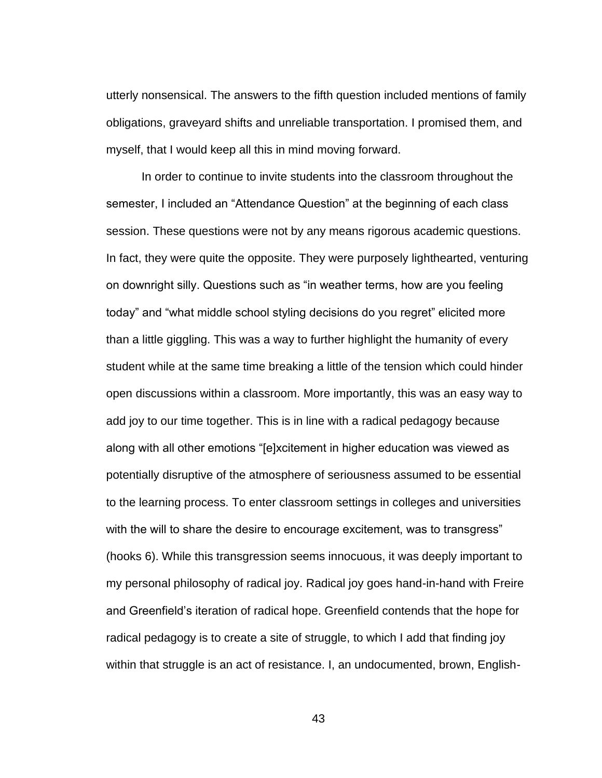utterly nonsensical. The answers to the fifth question included mentions of family obligations, graveyard shifts and unreliable transportation. I promised them, and myself, that I would keep all this in mind moving forward.

In order to continue to invite students into the classroom throughout the semester, I included an "Attendance Question" at the beginning of each class session. These questions were not by any means rigorous academic questions. In fact, they were quite the opposite. They were purposely lighthearted, venturing on downright silly. Questions such as "in weather terms, how are you feeling today" and "what middle school styling decisions do you regret" elicited more than a little giggling. This was a way to further highlight the humanity of every student while at the same time breaking a little of the tension which could hinder open discussions within a classroom. More importantly, this was an easy way to add joy to our time together. This is in line with a radical pedagogy because along with all other emotions "[e]xcitement in higher education was viewed as potentially disruptive of the atmosphere of seriousness assumed to be essential to the learning process. To enter classroom settings in colleges and universities with the will to share the desire to encourage excitement, was to transgress" (hooks 6). While this transgression seems innocuous, it was deeply important to my personal philosophy of radical joy. Radical joy goes hand-in-hand with Freire and Greenfield's iteration of radical hope. Greenfield contends that the hope for radical pedagogy is to create a site of struggle, to which I add that finding joy within that struggle is an act of resistance. I, an undocumented, brown, English-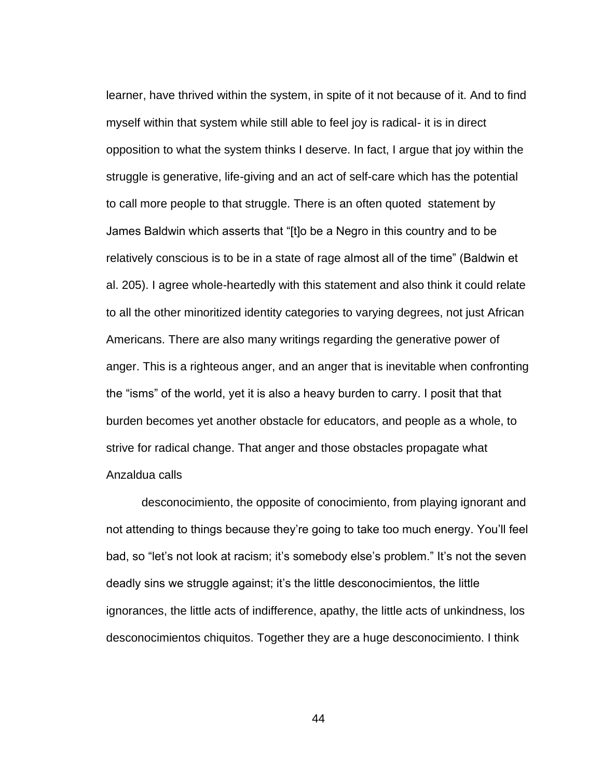learner, have thrived within the system, in spite of it not because of it. And to find myself within that system while still able to feel joy is radical- it is in direct opposition to what the system thinks I deserve. In fact, I argue that joy within the struggle is generative, life-giving and an act of self-care which has the potential to call more people to that struggle. There is an often quoted statement by James Baldwin which asserts that "[t]o be a Negro in this country and to be relatively conscious is to be in a state of rage almost all of the time" (Baldwin et al. 205). I agree whole-heartedly with this statement and also think it could relate to all the other minoritized identity categories to varying degrees, not just African Americans. There are also many writings regarding the generative power of anger. This is a righteous anger, and an anger that is inevitable when confronting the "isms" of the world, yet it is also a heavy burden to carry. I posit that that burden becomes yet another obstacle for educators, and people as a whole, to strive for radical change. That anger and those obstacles propagate what Anzaldua calls

desconocimiento, the opposite of conocimiento, from playing ignorant and not attending to things because they're going to take too much energy. You'll feel bad, so "let's not look at racism; it's somebody else's problem." It's not the seven deadly sins we struggle against; it's the little desconocimientos, the little ignorances, the little acts of indifference, apathy, the little acts of unkindness, los desconocimientos chiquitos. Together they are a huge desconocimiento. I think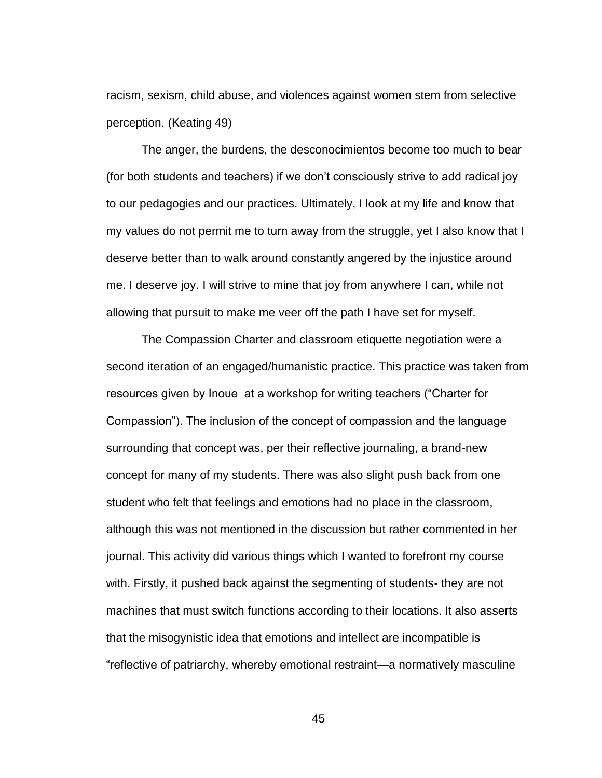racism, sexism, child abuse, and violences against women stem from selective perception. (Keating 49)

The anger, the burdens, the desconocimientos become too much to bear (for both students and teachers) if we don't consciously strive to add radical joy to our pedagogies and our practices. Ultimately, I look at my life and know that my values do not permit me to turn away from the struggle, yet I also know that I deserve better than to walk around constantly angered by the injustice around me. I deserve joy. I will strive to mine that joy from anywhere I can, while not allowing that pursuit to make me veer off the path I have set for myself.

The Compassion Charter and classroom etiquette negotiation were a second iteration of an engaged/humanistic practice. This practice was taken from resources given by Inoue at a workshop for writing teachers ("Charter for Compassion"). The inclusion of the concept of compassion and the language surrounding that concept was, per their reflective journaling, a brand-new concept for many of my students. There was also slight push back from one student who felt that feelings and emotions had no place in the classroom, although this was not mentioned in the discussion but rather commented in her journal. This activity did various things which I wanted to forefront my course with. Firstly, it pushed back against the segmenting of students- they are not machines that must switch functions according to their locations. It also asserts that the misogynistic idea that emotions and intellect are incompatible is "reflective of patriarchy, whereby emotional restraint—a normatively masculine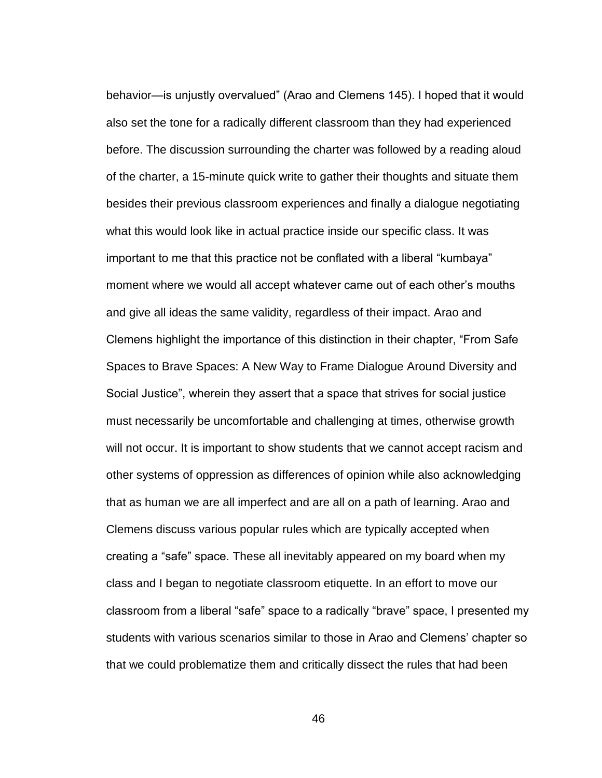behavior—is unjustly overvalued" (Arao and Clemens 145). I hoped that it would also set the tone for a radically different classroom than they had experienced before. The discussion surrounding the charter was followed by a reading aloud of the charter, a 15-minute quick write to gather their thoughts and situate them besides their previous classroom experiences and finally a dialogue negotiating what this would look like in actual practice inside our specific class. It was important to me that this practice not be conflated with a liberal "kumbaya" moment where we would all accept whatever came out of each other's mouths and give all ideas the same validity, regardless of their impact. Arao and Clemens highlight the importance of this distinction in their chapter, "From Safe Spaces to Brave Spaces: A New Way to Frame Dialogue Around Diversity and Social Justice", wherein they assert that a space that strives for social justice must necessarily be uncomfortable and challenging at times, otherwise growth will not occur. It is important to show students that we cannot accept racism and other systems of oppression as differences of opinion while also acknowledging that as human we are all imperfect and are all on a path of learning. Arao and Clemens discuss various popular rules which are typically accepted when creating a "safe" space. These all inevitably appeared on my board when my class and I began to negotiate classroom etiquette. In an effort to move our classroom from a liberal "safe" space to a radically "brave" space, I presented my students with various scenarios similar to those in Arao and Clemens' chapter so that we could problematize them and critically dissect the rules that had been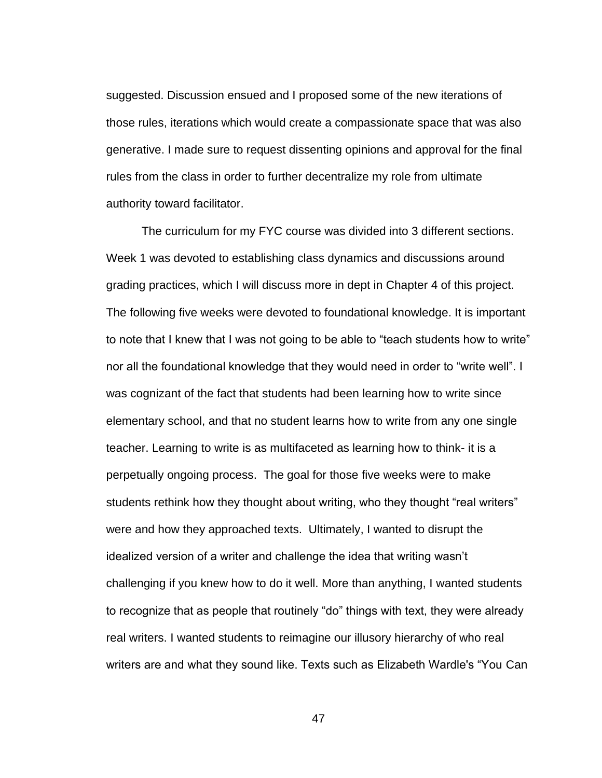suggested. Discussion ensued and I proposed some of the new iterations of those rules, iterations which would create a compassionate space that was also generative. I made sure to request dissenting opinions and approval for the final rules from the class in order to further decentralize my role from ultimate authority toward facilitator.

The curriculum for my FYC course was divided into 3 different sections. Week 1 was devoted to establishing class dynamics and discussions around grading practices, which I will discuss more in dept in Chapter 4 of this project. The following five weeks were devoted to foundational knowledge. It is important to note that I knew that I was not going to be able to "teach students how to write" nor all the foundational knowledge that they would need in order to "write well". I was cognizant of the fact that students had been learning how to write since elementary school, and that no student learns how to write from any one single teacher. Learning to write is as multifaceted as learning how to think- it is a perpetually ongoing process. The goal for those five weeks were to make students rethink how they thought about writing, who they thought "real writers" were and how they approached texts. Ultimately, I wanted to disrupt the idealized version of a writer and challenge the idea that writing wasn't challenging if you knew how to do it well. More than anything, I wanted students to recognize that as people that routinely "do" things with text, they were already real writers. I wanted students to reimagine our illusory hierarchy of who real writers are and what they sound like. Texts such as Elizabeth Wardle's "You Can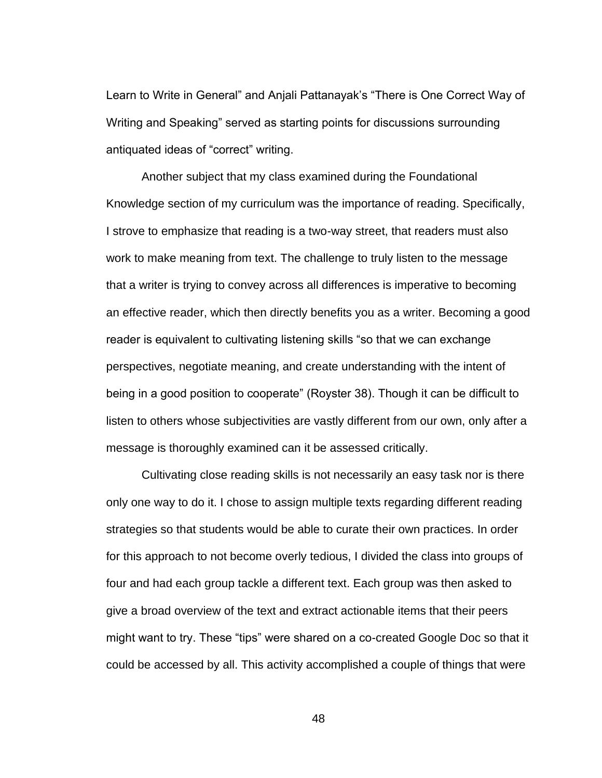Learn to Write in General" and Anjali Pattanayak's "There is One Correct Way of Writing and Speaking" served as starting points for discussions surrounding antiquated ideas of "correct" writing.

Another subject that my class examined during the Foundational Knowledge section of my curriculum was the importance of reading. Specifically, I strove to emphasize that reading is a two-way street, that readers must also work to make meaning from text. The challenge to truly listen to the message that a writer is trying to convey across all differences is imperative to becoming an effective reader, which then directly benefits you as a writer. Becoming a good reader is equivalent to cultivating listening skills "so that we can exchange perspectives, negotiate meaning, and create understanding with the intent of being in a good position to cooperate" (Royster 38). Though it can be difficult to listen to others whose subjectivities are vastly different from our own, only after a message is thoroughly examined can it be assessed critically.

Cultivating close reading skills is not necessarily an easy task nor is there only one way to do it. I chose to assign multiple texts regarding different reading strategies so that students would be able to curate their own practices. In order for this approach to not become overly tedious, I divided the class into groups of four and had each group tackle a different text. Each group was then asked to give a broad overview of the text and extract actionable items that their peers might want to try. These "tips" were shared on a co-created Google Doc so that it could be accessed by all. This activity accomplished a couple of things that were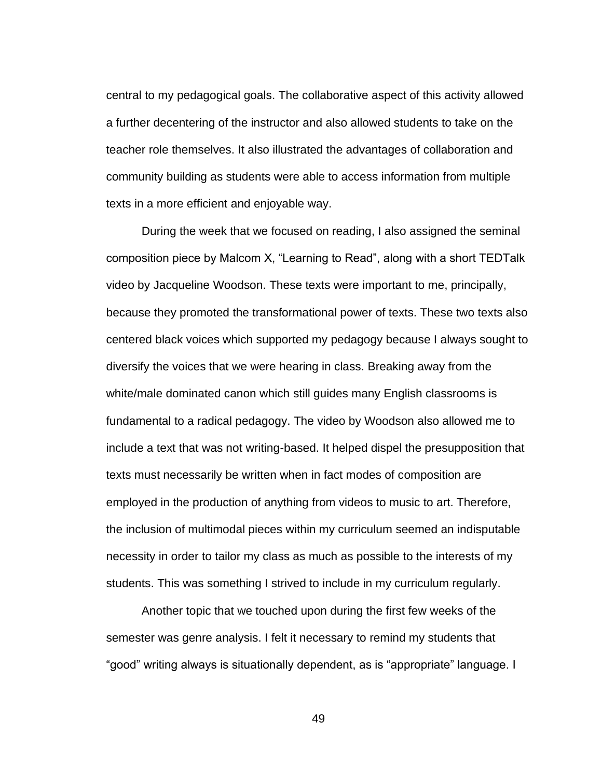central to my pedagogical goals. The collaborative aspect of this activity allowed a further decentering of the instructor and also allowed students to take on the teacher role themselves. It also illustrated the advantages of collaboration and community building as students were able to access information from multiple texts in a more efficient and enjoyable way.

During the week that we focused on reading, I also assigned the seminal composition piece by Malcom X, "Learning to Read", along with a short TEDTalk video by Jacqueline Woodson. These texts were important to me, principally, because they promoted the transformational power of texts. These two texts also centered black voices which supported my pedagogy because I always sought to diversify the voices that we were hearing in class. Breaking away from the white/male dominated canon which still guides many English classrooms is fundamental to a radical pedagogy. The video by Woodson also allowed me to include a text that was not writing-based. It helped dispel the presupposition that texts must necessarily be written when in fact modes of composition are employed in the production of anything from videos to music to art. Therefore, the inclusion of multimodal pieces within my curriculum seemed an indisputable necessity in order to tailor my class as much as possible to the interests of my students. This was something I strived to include in my curriculum regularly.

Another topic that we touched upon during the first few weeks of the semester was genre analysis. I felt it necessary to remind my students that "good" writing always is situationally dependent, as is "appropriate" language. I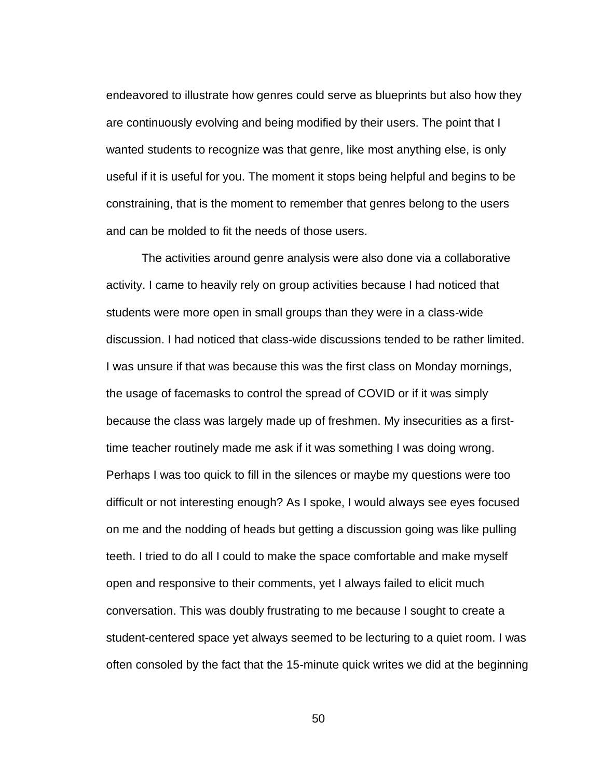endeavored to illustrate how genres could serve as blueprints but also how they are continuously evolving and being modified by their users. The point that I wanted students to recognize was that genre, like most anything else, is only useful if it is useful for you. The moment it stops being helpful and begins to be constraining, that is the moment to remember that genres belong to the users and can be molded to fit the needs of those users.

The activities around genre analysis were also done via a collaborative activity. I came to heavily rely on group activities because I had noticed that students were more open in small groups than they were in a class-wide discussion. I had noticed that class-wide discussions tended to be rather limited. I was unsure if that was because this was the first class on Monday mornings, the usage of facemasks to control the spread of COVID or if it was simply because the class was largely made up of freshmen. My insecurities as a firsttime teacher routinely made me ask if it was something I was doing wrong. Perhaps I was too quick to fill in the silences or maybe my questions were too difficult or not interesting enough? As I spoke, I would always see eyes focused on me and the nodding of heads but getting a discussion going was like pulling teeth. I tried to do all I could to make the space comfortable and make myself open and responsive to their comments, yet I always failed to elicit much conversation. This was doubly frustrating to me because I sought to create a student-centered space yet always seemed to be lecturing to a quiet room. I was often consoled by the fact that the 15-minute quick writes we did at the beginning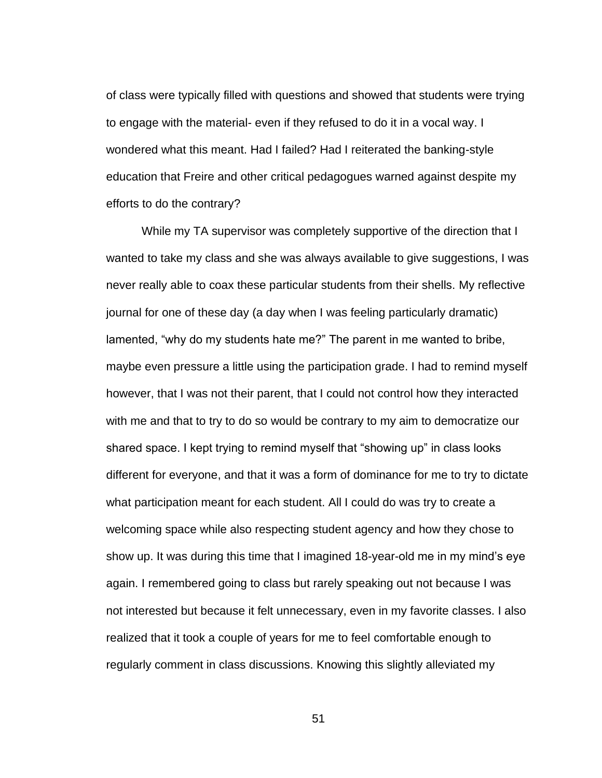of class were typically filled with questions and showed that students were trying to engage with the material- even if they refused to do it in a vocal way. I wondered what this meant. Had I failed? Had I reiterated the banking-style education that Freire and other critical pedagogues warned against despite my efforts to do the contrary?

While my TA supervisor was completely supportive of the direction that I wanted to take my class and she was always available to give suggestions, I was never really able to coax these particular students from their shells. My reflective journal for one of these day (a day when I was feeling particularly dramatic) lamented, "why do my students hate me?" The parent in me wanted to bribe, maybe even pressure a little using the participation grade. I had to remind myself however, that I was not their parent, that I could not control how they interacted with me and that to try to do so would be contrary to my aim to democratize our shared space. I kept trying to remind myself that "showing up" in class looks different for everyone, and that it was a form of dominance for me to try to dictate what participation meant for each student. All I could do was try to create a welcoming space while also respecting student agency and how they chose to show up. It was during this time that I imagined 18-year-old me in my mind's eye again. I remembered going to class but rarely speaking out not because I was not interested but because it felt unnecessary, even in my favorite classes. I also realized that it took a couple of years for me to feel comfortable enough to regularly comment in class discussions. Knowing this slightly alleviated my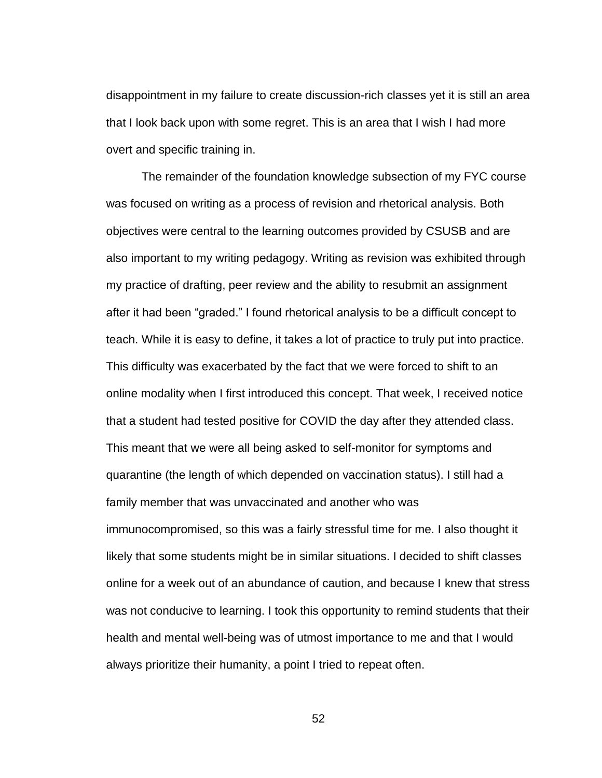disappointment in my failure to create discussion-rich classes yet it is still an area that I look back upon with some regret. This is an area that I wish I had more overt and specific training in.

The remainder of the foundation knowledge subsection of my FYC course was focused on writing as a process of revision and rhetorical analysis. Both objectives were central to the learning outcomes provided by CSUSB and are also important to my writing pedagogy. Writing as revision was exhibited through my practice of drafting, peer review and the ability to resubmit an assignment after it had been "graded." I found rhetorical analysis to be a difficult concept to teach. While it is easy to define, it takes a lot of practice to truly put into practice. This difficulty was exacerbated by the fact that we were forced to shift to an online modality when I first introduced this concept. That week, I received notice that a student had tested positive for COVID the day after they attended class. This meant that we were all being asked to self-monitor for symptoms and quarantine (the length of which depended on vaccination status). I still had a family member that was unvaccinated and another who was immunocompromised, so this was a fairly stressful time for me. I also thought it likely that some students might be in similar situations. I decided to shift classes online for a week out of an abundance of caution, and because I knew that stress was not conducive to learning. I took this opportunity to remind students that their health and mental well-being was of utmost importance to me and that I would always prioritize their humanity, a point I tried to repeat often.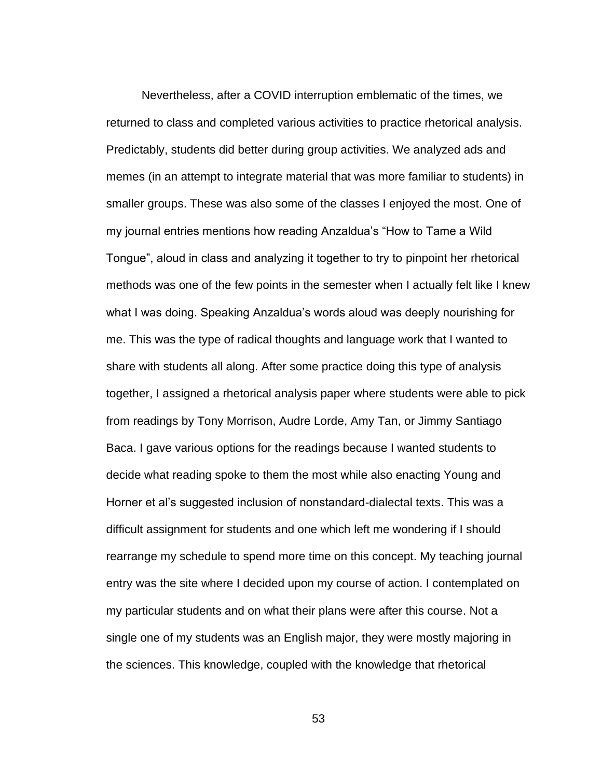Nevertheless, after a COVID interruption emblematic of the times, we returned to class and completed various activities to practice rhetorical analysis. Predictably, students did better during group activities. We analyzed ads and memes (in an attempt to integrate material that was more familiar to students) in smaller groups. These was also some of the classes I enjoyed the most. One of my journal entries mentions how reading Anzaldua's "How to Tame a Wild Tongue", aloud in class and analyzing it together to try to pinpoint her rhetorical methods was one of the few points in the semester when I actually felt like I knew what I was doing. Speaking Anzaldua's words aloud was deeply nourishing for me. This was the type of radical thoughts and language work that I wanted to share with students all along. After some practice doing this type of analysis together, I assigned a rhetorical analysis paper where students were able to pick from readings by Tony Morrison, Audre Lorde, Amy Tan, or Jimmy Santiago Baca. I gave various options for the readings because I wanted students to decide what reading spoke to them the most while also enacting Young and Horner et al's suggested inclusion of nonstandard-dialectal texts. This was a difficult assignment for students and one which left me wondering if I should rearrange my schedule to spend more time on this concept. My teaching journal entry was the site where I decided upon my course of action. I contemplated on my particular students and on what their plans were after this course. Not a single one of my students was an English major, they were mostly majoring in the sciences. This knowledge, coupled with the knowledge that rhetorical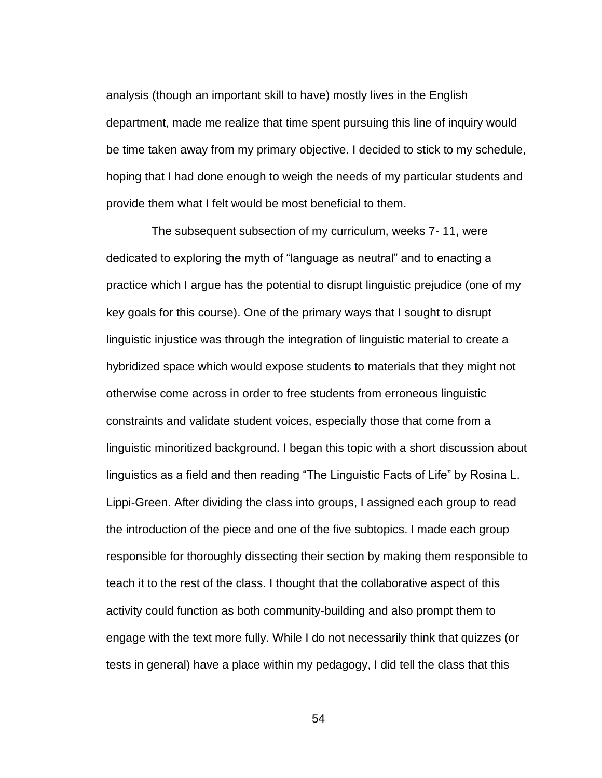analysis (though an important skill to have) mostly lives in the English department, made me realize that time spent pursuing this line of inquiry would be time taken away from my primary objective. I decided to stick to my schedule, hoping that I had done enough to weigh the needs of my particular students and provide them what I felt would be most beneficial to them.

 The subsequent subsection of my curriculum, weeks 7- 11, were dedicated to exploring the myth of "language as neutral" and to enacting a practice which I argue has the potential to disrupt linguistic prejudice (one of my key goals for this course). One of the primary ways that I sought to disrupt linguistic injustice was through the integration of linguistic material to create a hybridized space which would expose students to materials that they might not otherwise come across in order to free students from erroneous linguistic constraints and validate student voices, especially those that come from a linguistic minoritized background. I began this topic with a short discussion about linguistics as a field and then reading "The Linguistic Facts of Life" by Rosina L. Lippi-Green. After dividing the class into groups, I assigned each group to read the introduction of the piece and one of the five subtopics. I made each group responsible for thoroughly dissecting their section by making them responsible to teach it to the rest of the class. I thought that the collaborative aspect of this activity could function as both community-building and also prompt them to engage with the text more fully. While I do not necessarily think that quizzes (or tests in general) have a place within my pedagogy, I did tell the class that this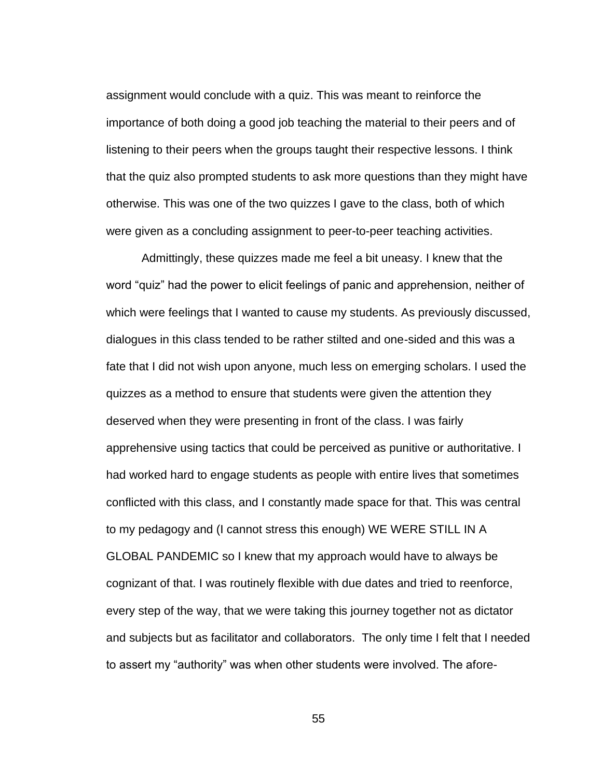assignment would conclude with a quiz. This was meant to reinforce the importance of both doing a good job teaching the material to their peers and of listening to their peers when the groups taught their respective lessons. I think that the quiz also prompted students to ask more questions than they might have otherwise. This was one of the two quizzes I gave to the class, both of which were given as a concluding assignment to peer-to-peer teaching activities.

Admittingly, these quizzes made me feel a bit uneasy. I knew that the word "quiz" had the power to elicit feelings of panic and apprehension, neither of which were feelings that I wanted to cause my students. As previously discussed, dialogues in this class tended to be rather stilted and one-sided and this was a fate that I did not wish upon anyone, much less on emerging scholars. I used the quizzes as a method to ensure that students were given the attention they deserved when they were presenting in front of the class. I was fairly apprehensive using tactics that could be perceived as punitive or authoritative. I had worked hard to engage students as people with entire lives that sometimes conflicted with this class, and I constantly made space for that. This was central to my pedagogy and (I cannot stress this enough) WE WERE STILL IN A GLOBAL PANDEMIC so I knew that my approach would have to always be cognizant of that. I was routinely flexible with due dates and tried to reenforce, every step of the way, that we were taking this journey together not as dictator and subjects but as facilitator and collaborators. The only time I felt that I needed to assert my "authority" was when other students were involved. The afore-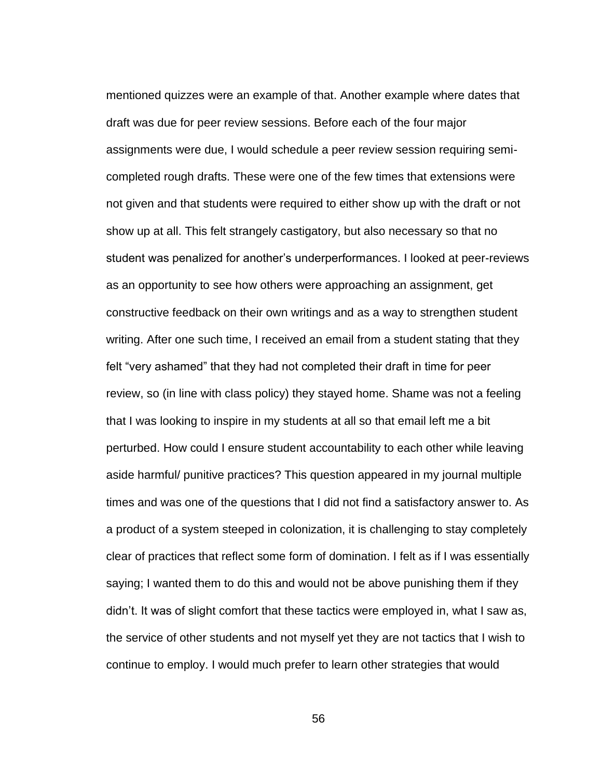mentioned quizzes were an example of that. Another example where dates that draft was due for peer review sessions. Before each of the four major assignments were due, I would schedule a peer review session requiring semicompleted rough drafts. These were one of the few times that extensions were not given and that students were required to either show up with the draft or not show up at all. This felt strangely castigatory, but also necessary so that no student was penalized for another's underperformances. I looked at peer-reviews as an opportunity to see how others were approaching an assignment, get constructive feedback on their own writings and as a way to strengthen student writing. After one such time, I received an email from a student stating that they felt "very ashamed" that they had not completed their draft in time for peer review, so (in line with class policy) they stayed home. Shame was not a feeling that I was looking to inspire in my students at all so that email left me a bit perturbed. How could I ensure student accountability to each other while leaving aside harmful/ punitive practices? This question appeared in my journal multiple times and was one of the questions that I did not find a satisfactory answer to. As a product of a system steeped in colonization, it is challenging to stay completely clear of practices that reflect some form of domination. I felt as if I was essentially saying; I wanted them to do this and would not be above punishing them if they didn't. It was of slight comfort that these tactics were employed in, what I saw as, the service of other students and not myself yet they are not tactics that I wish to continue to employ. I would much prefer to learn other strategies that would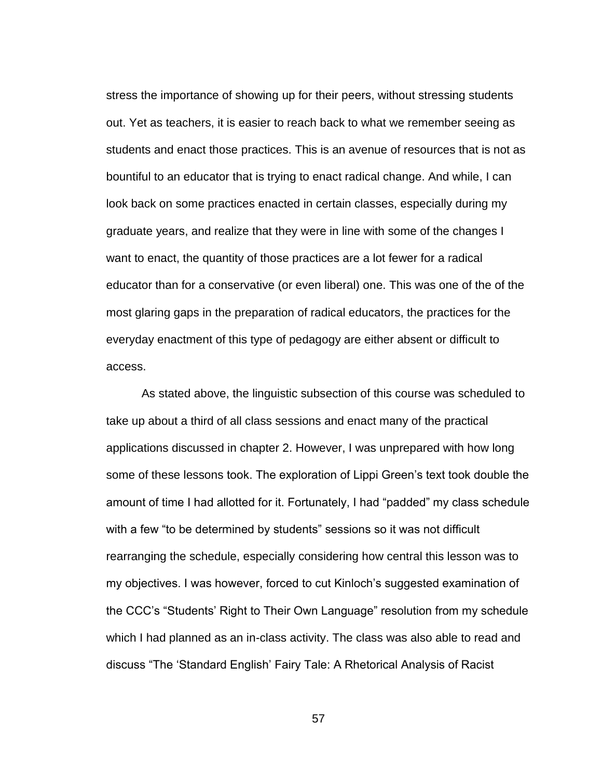stress the importance of showing up for their peers, without stressing students out. Yet as teachers, it is easier to reach back to what we remember seeing as students and enact those practices. This is an avenue of resources that is not as bountiful to an educator that is trying to enact radical change. And while, I can look back on some practices enacted in certain classes, especially during my graduate years, and realize that they were in line with some of the changes I want to enact, the quantity of those practices are a lot fewer for a radical educator than for a conservative (or even liberal) one. This was one of the of the most glaring gaps in the preparation of radical educators, the practices for the everyday enactment of this type of pedagogy are either absent or difficult to access.

As stated above, the linguistic subsection of this course was scheduled to take up about a third of all class sessions and enact many of the practical applications discussed in chapter 2. However, I was unprepared with how long some of these lessons took. The exploration of Lippi Green's text took double the amount of time I had allotted for it. Fortunately, I had "padded" my class schedule with a few "to be determined by students" sessions so it was not difficult rearranging the schedule, especially considering how central this lesson was to my objectives. I was however, forced to cut Kinloch's suggested examination of the CCC's "Students' Right to Their Own Language" resolution from my schedule which I had planned as an in-class activity. The class was also able to read and discuss "The 'Standard English' Fairy Tale: A Rhetorical Analysis of Racist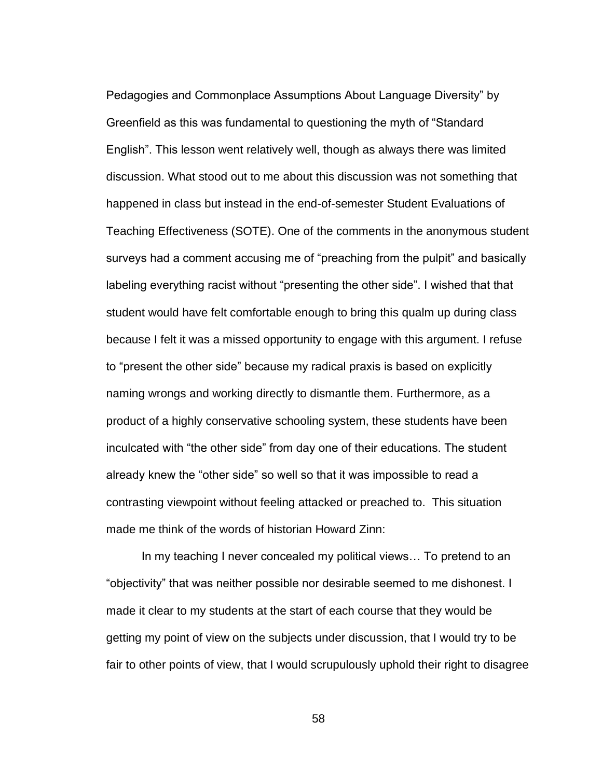Pedagogies and Commonplace Assumptions About Language Diversity" by Greenfield as this was fundamental to questioning the myth of "Standard English". This lesson went relatively well, though as always there was limited discussion. What stood out to me about this discussion was not something that happened in class but instead in the end-of-semester Student Evaluations of Teaching Effectiveness (SOTE). One of the comments in the anonymous student surveys had a comment accusing me of "preaching from the pulpit" and basically labeling everything racist without "presenting the other side". I wished that that student would have felt comfortable enough to bring this qualm up during class because I felt it was a missed opportunity to engage with this argument. I refuse to "present the other side" because my radical praxis is based on explicitly naming wrongs and working directly to dismantle them. Furthermore, as a product of a highly conservative schooling system, these students have been inculcated with "the other side" from day one of their educations. The student already knew the "other side" so well so that it was impossible to read a contrasting viewpoint without feeling attacked or preached to. This situation made me think of the words of historian Howard Zinn:

In my teaching I never concealed my political views… To pretend to an "objectivity" that was neither possible nor desirable seemed to me dishonest. I made it clear to my students at the start of each course that they would be getting my point of view on the subjects under discussion, that I would try to be fair to other points of view, that I would scrupulously uphold their right to disagree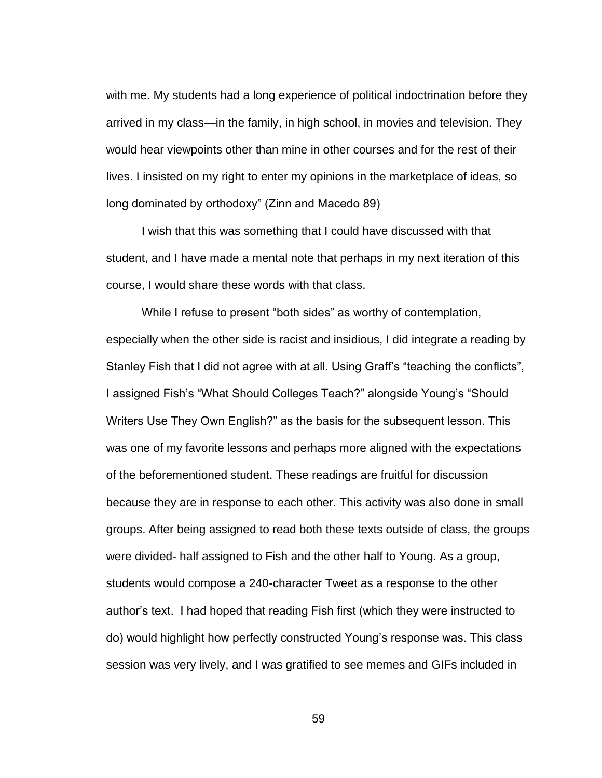with me. My students had a long experience of political indoctrination before they arrived in my class—in the family, in high school, in movies and television. They would hear viewpoints other than mine in other courses and for the rest of their lives. I insisted on my right to enter my opinions in the marketplace of ideas, so long dominated by orthodoxy" (Zinn and Macedo 89)

I wish that this was something that I could have discussed with that student, and I have made a mental note that perhaps in my next iteration of this course, I would share these words with that class.

While I refuse to present "both sides" as worthy of contemplation, especially when the other side is racist and insidious, I did integrate a reading by Stanley Fish that I did not agree with at all. Using Graff's "teaching the conflicts", I assigned Fish's "What Should Colleges Teach?" alongside Young's "Should Writers Use They Own English?" as the basis for the subsequent lesson. This was one of my favorite lessons and perhaps more aligned with the expectations of the beforementioned student. These readings are fruitful for discussion because they are in response to each other. This activity was also done in small groups. After being assigned to read both these texts outside of class, the groups were divided- half assigned to Fish and the other half to Young. As a group, students would compose a 240-character Tweet as a response to the other author's text. I had hoped that reading Fish first (which they were instructed to do) would highlight how perfectly constructed Young's response was. This class session was very lively, and I was gratified to see memes and GIFs included in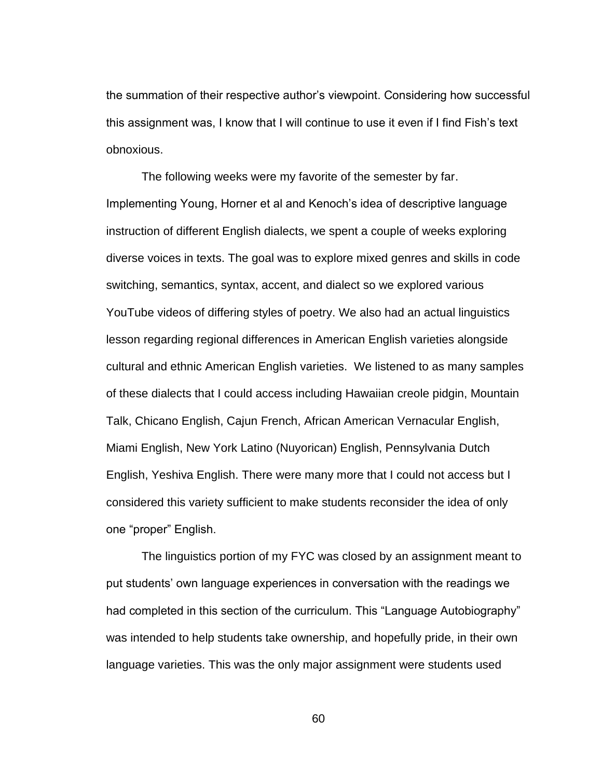the summation of their respective author's viewpoint. Considering how successful this assignment was, I know that I will continue to use it even if I find Fish's text obnoxious.

The following weeks were my favorite of the semester by far. Implementing Young, Horner et al and Kenoch's idea of descriptive language instruction of different English dialects, we spent a couple of weeks exploring diverse voices in texts. The goal was to explore mixed genres and skills in code switching, semantics, syntax, accent, and dialect so we explored various YouTube videos of differing styles of poetry. We also had an actual linguistics lesson regarding regional differences in American English varieties alongside cultural and ethnic American English varieties. We listened to as many samples of these dialects that I could access including Hawaiian creole pidgin, Mountain Talk, Chicano English, Cajun French, African American Vernacular English, Miami English, New York Latino (Nuyorican) English, Pennsylvania Dutch English, Yeshiva English. There were many more that I could not access but I considered this variety sufficient to make students reconsider the idea of only one "proper" English.

The linguistics portion of my FYC was closed by an assignment meant to put students' own language experiences in conversation with the readings we had completed in this section of the curriculum. This "Language Autobiography" was intended to help students take ownership, and hopefully pride, in their own language varieties. This was the only major assignment were students used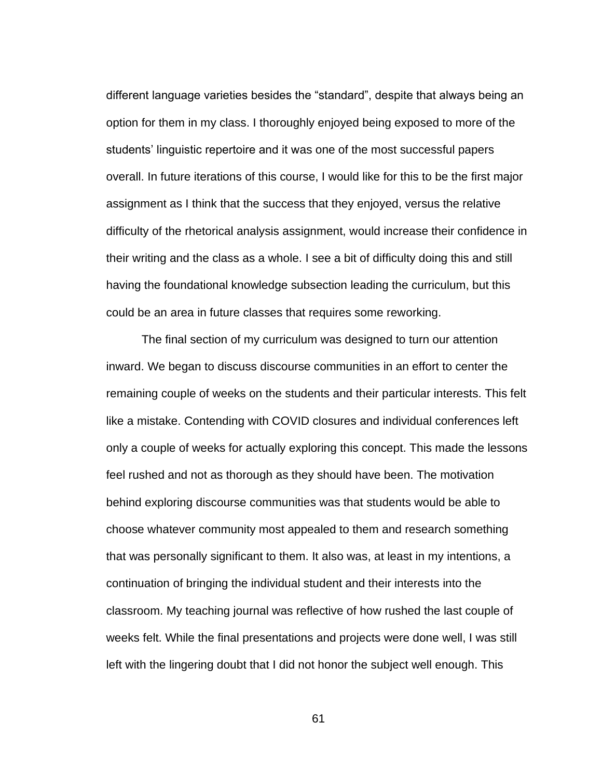different language varieties besides the "standard", despite that always being an option for them in my class. I thoroughly enjoyed being exposed to more of the students' linguistic repertoire and it was one of the most successful papers overall. In future iterations of this course, I would like for this to be the first major assignment as I think that the success that they enjoyed, versus the relative difficulty of the rhetorical analysis assignment, would increase their confidence in their writing and the class as a whole. I see a bit of difficulty doing this and still having the foundational knowledge subsection leading the curriculum, but this could be an area in future classes that requires some reworking.

The final section of my curriculum was designed to turn our attention inward. We began to discuss discourse communities in an effort to center the remaining couple of weeks on the students and their particular interests. This felt like a mistake. Contending with COVID closures and individual conferences left only a couple of weeks for actually exploring this concept. This made the lessons feel rushed and not as thorough as they should have been. The motivation behind exploring discourse communities was that students would be able to choose whatever community most appealed to them and research something that was personally significant to them. It also was, at least in my intentions, a continuation of bringing the individual student and their interests into the classroom. My teaching journal was reflective of how rushed the last couple of weeks felt. While the final presentations and projects were done well, I was still left with the lingering doubt that I did not honor the subject well enough. This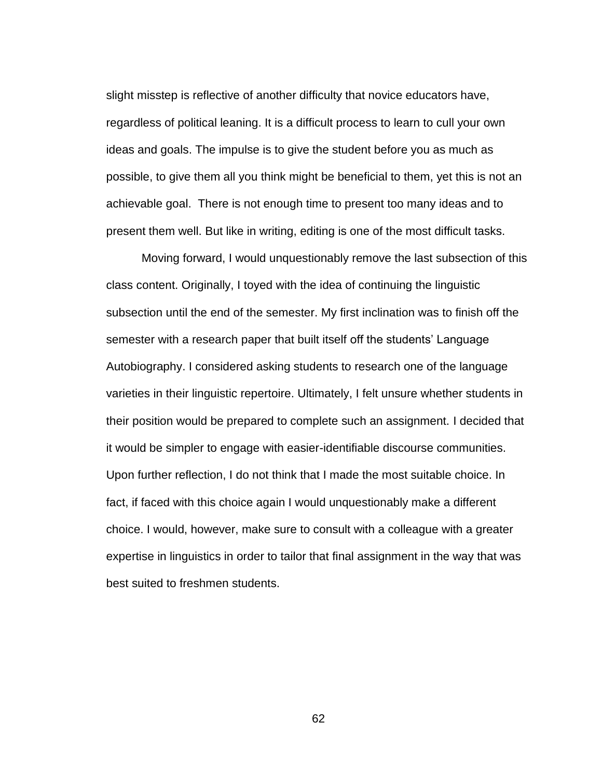slight misstep is reflective of another difficulty that novice educators have, regardless of political leaning. It is a difficult process to learn to cull your own ideas and goals. The impulse is to give the student before you as much as possible, to give them all you think might be beneficial to them, yet this is not an achievable goal. There is not enough time to present too many ideas and to present them well. But like in writing, editing is one of the most difficult tasks.

Moving forward, I would unquestionably remove the last subsection of this class content. Originally, I toyed with the idea of continuing the linguistic subsection until the end of the semester. My first inclination was to finish off the semester with a research paper that built itself off the students' Language Autobiography. I considered asking students to research one of the language varieties in their linguistic repertoire. Ultimately, I felt unsure whether students in their position would be prepared to complete such an assignment. I decided that it would be simpler to engage with easier-identifiable discourse communities. Upon further reflection, I do not think that I made the most suitable choice. In fact, if faced with this choice again I would unquestionably make a different choice. I would, however, make sure to consult with a colleague with a greater expertise in linguistics in order to tailor that final assignment in the way that was best suited to freshmen students.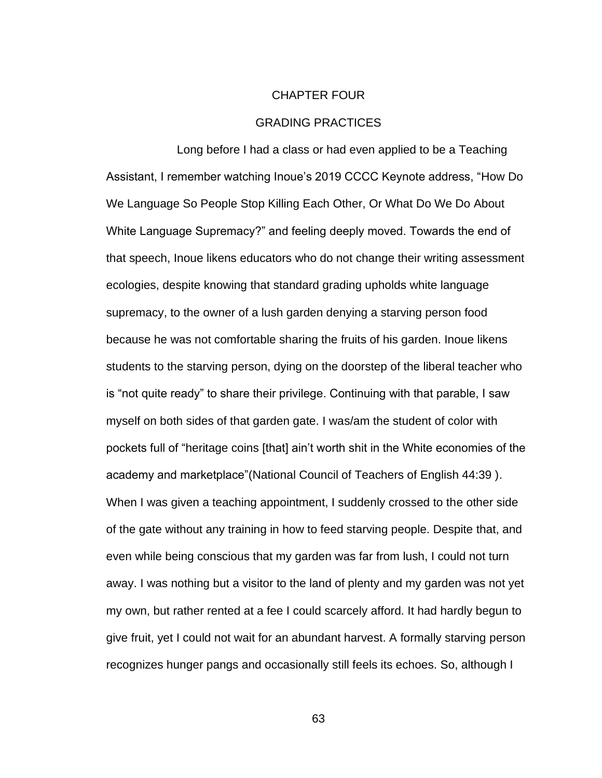## CHAPTER FOUR

## GRADING PRACTICES

Long before I had a class or had even applied to be a Teaching Assistant, I remember watching Inoue's 2019 CCCC Keynote address, "How Do We Language So People Stop Killing Each Other, Or What Do We Do About White Language Supremacy?" and feeling deeply moved. Towards the end of that speech, Inoue likens educators who do not change their writing assessment ecologies, despite knowing that standard grading upholds white language supremacy, to the owner of a lush garden denying a starving person food because he was not comfortable sharing the fruits of his garden. Inoue likens students to the starving person, dying on the doorstep of the liberal teacher who is "not quite ready" to share their privilege. Continuing with that parable, I saw myself on both sides of that garden gate. I was/am the student of color with pockets full of "heritage coins [that] ain't worth shit in the White economies of the academy and marketplace"(National Council of Teachers of English 44:39 ). When I was given a teaching appointment, I suddenly crossed to the other side of the gate without any training in how to feed starving people. Despite that, and even while being conscious that my garden was far from lush, I could not turn away. I was nothing but a visitor to the land of plenty and my garden was not yet my own, but rather rented at a fee I could scarcely afford. It had hardly begun to give fruit, yet I could not wait for an abundant harvest. A formally starving person recognizes hunger pangs and occasionally still feels its echoes. So, although I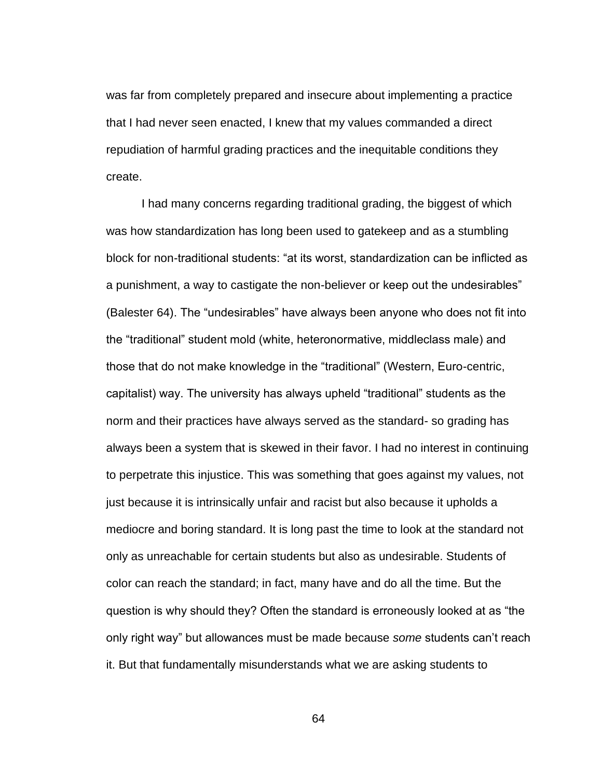was far from completely prepared and insecure about implementing a practice that I had never seen enacted, I knew that my values commanded a direct repudiation of harmful grading practices and the inequitable conditions they create.

I had many concerns regarding traditional grading, the biggest of which was how standardization has long been used to gatekeep and as a stumbling block for non-traditional students: "at its worst, standardization can be inflicted as a punishment, a way to castigate the non-believer or keep out the undesirables" (Balester 64). The "undesirables" have always been anyone who does not fit into the "traditional" student mold (white, heteronormative, middleclass male) and those that do not make knowledge in the "traditional" (Western, Euro-centric, capitalist) way. The university has always upheld "traditional" students as the norm and their practices have always served as the standard- so grading has always been a system that is skewed in their favor. I had no interest in continuing to perpetrate this injustice. This was something that goes against my values, not just because it is intrinsically unfair and racist but also because it upholds a mediocre and boring standard. It is long past the time to look at the standard not only as unreachable for certain students but also as undesirable. Students of color can reach the standard; in fact, many have and do all the time. But the question is why should they? Often the standard is erroneously looked at as "the only right way" but allowances must be made because *some* students can't reach it. But that fundamentally misunderstands what we are asking students to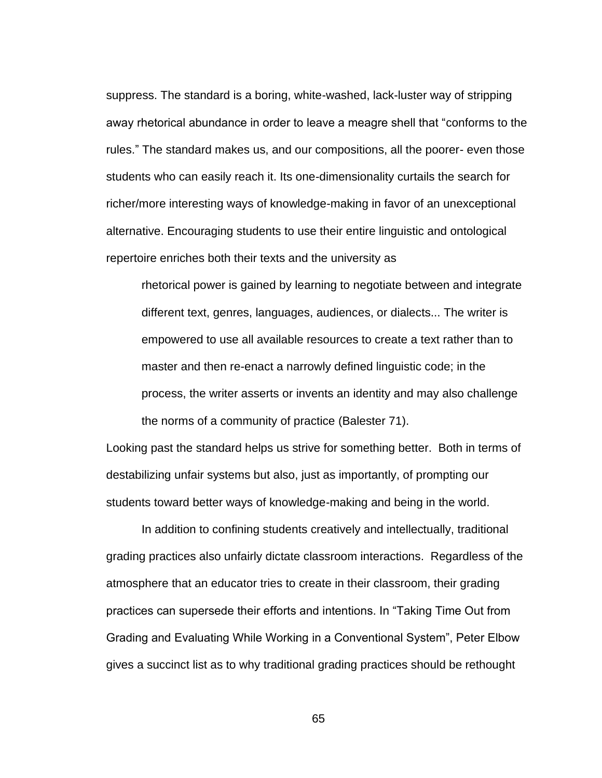suppress. The standard is a boring, white-washed, lack-luster way of stripping away rhetorical abundance in order to leave a meagre shell that "conforms to the rules." The standard makes us, and our compositions, all the poorer- even those students who can easily reach it. Its one-dimensionality curtails the search for richer/more interesting ways of knowledge-making in favor of an unexceptional alternative. Encouraging students to use their entire linguistic and ontological repertoire enriches both their texts and the university as

rhetorical power is gained by learning to negotiate between and integrate different text, genres, languages, audiences, or dialects... The writer is empowered to use all available resources to create a text rather than to master and then re-enact a narrowly defined linguistic code; in the process, the writer asserts or invents an identity and may also challenge the norms of a community of practice (Balester 71).

Looking past the standard helps us strive for something better. Both in terms of destabilizing unfair systems but also, just as importantly, of prompting our students toward better ways of knowledge-making and being in the world.

In addition to confining students creatively and intellectually, traditional grading practices also unfairly dictate classroom interactions. Regardless of the atmosphere that an educator tries to create in their classroom, their grading practices can supersede their efforts and intentions. In "Taking Time Out from Grading and Evaluating While Working in a Conventional System", Peter Elbow gives a succinct list as to why traditional grading practices should be rethought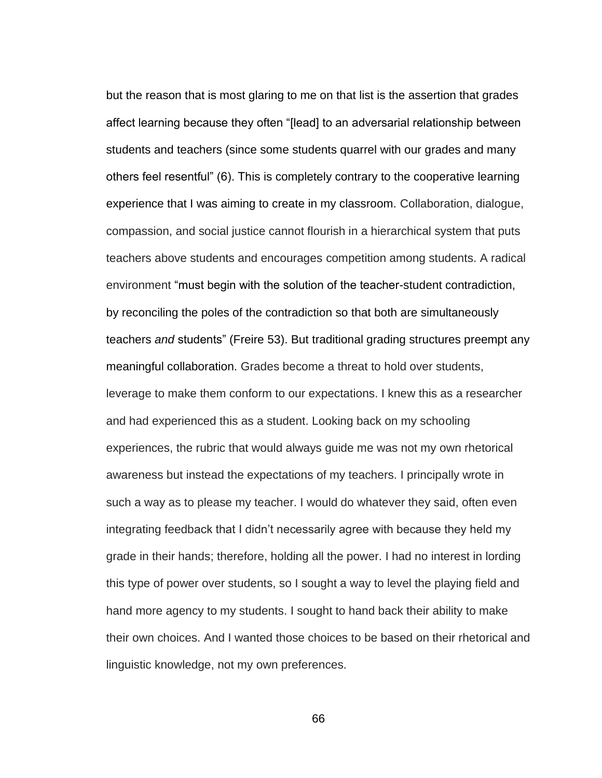but the reason that is most glaring to me on that list is the assertion that grades affect learning because they often "[lead] to an adversarial relationship between students and teachers (since some students quarrel with our grades and many others feel resentful" (6). This is completely contrary to the cooperative learning experience that I was aiming to create in my classroom. Collaboration, dialogue, compassion, and social justice cannot flourish in a hierarchical system that puts teachers above students and encourages competition among students. A radical environment "must begin with the solution of the teacher-student contradiction, by reconciling the poles of the contradiction so that both are simultaneously teachers *and* students" (Freire 53). But traditional grading structures preempt any meaningful collaboration. Grades become a threat to hold over students, leverage to make them conform to our expectations. I knew this as a researcher and had experienced this as a student. Looking back on my schooling experiences, the rubric that would always guide me was not my own rhetorical awareness but instead the expectations of my teachers. I principally wrote in such a way as to please my teacher. I would do whatever they said, often even integrating feedback that I didn't necessarily agree with because they held my grade in their hands; therefore, holding all the power. I had no interest in lording this type of power over students, so I sought a way to level the playing field and hand more agency to my students. I sought to hand back their ability to make their own choices. And I wanted those choices to be based on their rhetorical and linguistic knowledge, not my own preferences.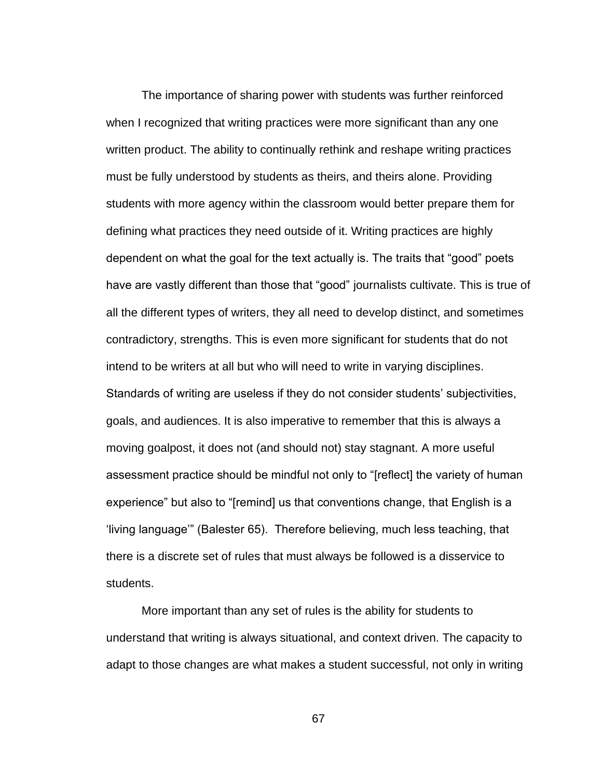The importance of sharing power with students was further reinforced when I recognized that writing practices were more significant than any one written product. The ability to continually rethink and reshape writing practices must be fully understood by students as theirs, and theirs alone. Providing students with more agency within the classroom would better prepare them for defining what practices they need outside of it. Writing practices are highly dependent on what the goal for the text actually is. The traits that "good" poets have are vastly different than those that "good" journalists cultivate. This is true of all the different types of writers, they all need to develop distinct, and sometimes contradictory, strengths. This is even more significant for students that do not intend to be writers at all but who will need to write in varying disciplines. Standards of writing are useless if they do not consider students' subjectivities, goals, and audiences. It is also imperative to remember that this is always a moving goalpost, it does not (and should not) stay stagnant. A more useful assessment practice should be mindful not only to "[reflect] the variety of human experience" but also to "[remind] us that conventions change, that English is a 'living language'" (Balester 65). Therefore believing, much less teaching, that there is a discrete set of rules that must always be followed is a disservice to students.

More important than any set of rules is the ability for students to understand that writing is always situational, and context driven. The capacity to adapt to those changes are what makes a student successful, not only in writing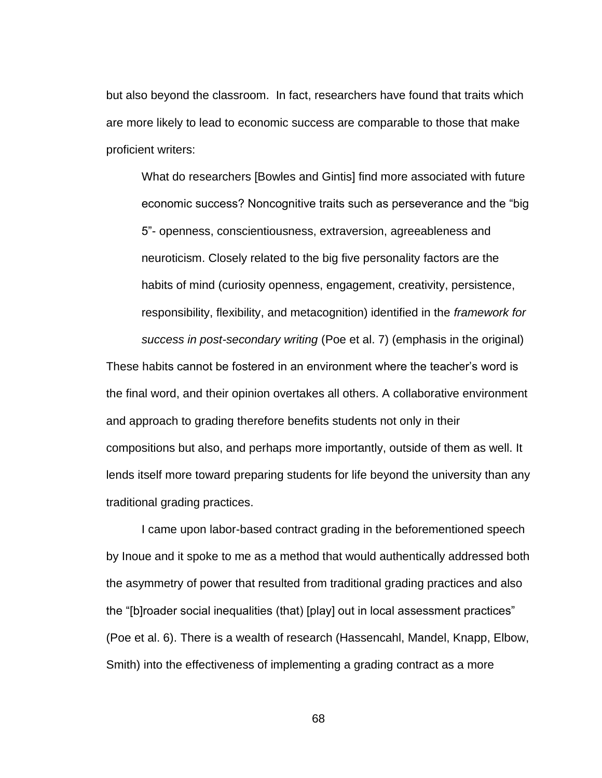but also beyond the classroom. In fact, researchers have found that traits which are more likely to lead to economic success are comparable to those that make proficient writers:

What do researchers [Bowles and Gintis] find more associated with future economic success? Noncognitive traits such as perseverance and the "big 5"- openness, conscientiousness, extraversion, agreeableness and neuroticism. Closely related to the big five personality factors are the habits of mind (curiosity openness, engagement, creativity, persistence, responsibility, flexibility, and metacognition) identified in the *framework for success in post-secondary writing* (Poe et al. 7) (emphasis in the original)

These habits cannot be fostered in an environment where the teacher's word is the final word, and their opinion overtakes all others. A collaborative environment and approach to grading therefore benefits students not only in their compositions but also, and perhaps more importantly, outside of them as well. It lends itself more toward preparing students for life beyond the university than any traditional grading practices.

I came upon labor-based contract grading in the beforementioned speech by Inoue and it spoke to me as a method that would authentically addressed both the asymmetry of power that resulted from traditional grading practices and also the "[b]roader social inequalities (that) [play] out in local assessment practices" (Poe et al. 6). There is a wealth of research (Hassencahl, Mandel, Knapp, Elbow, Smith) into the effectiveness of implementing a grading contract as a more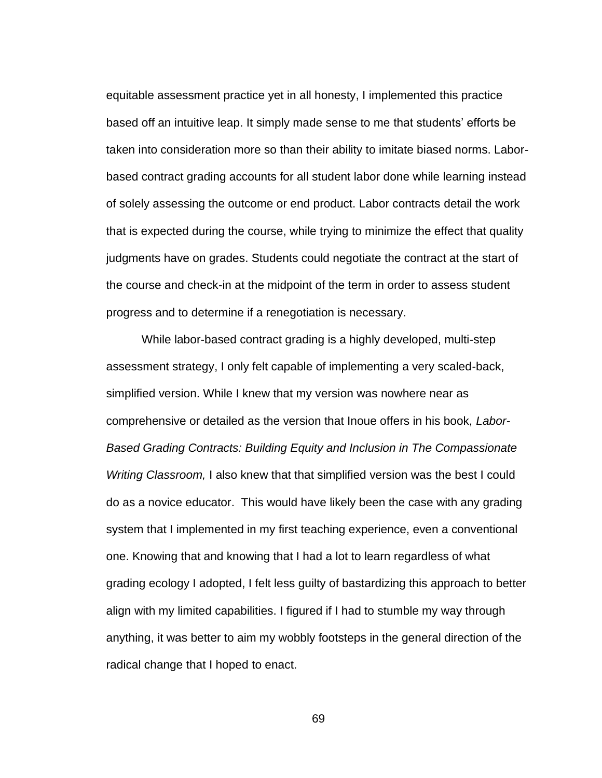equitable assessment practice yet in all honesty, I implemented this practice based off an intuitive leap. It simply made sense to me that students' efforts be taken into consideration more so than their ability to imitate biased norms. Laborbased contract grading accounts for all student labor done while learning instead of solely assessing the outcome or end product. Labor contracts detail the work that is expected during the course, while trying to minimize the effect that quality judgments have on grades. Students could negotiate the contract at the start of the course and check-in at the midpoint of the term in order to assess student progress and to determine if a renegotiation is necessary.

While labor-based contract grading is a highly developed, multi-step assessment strategy, I only felt capable of implementing a very scaled-back, simplified version. While I knew that my version was nowhere near as comprehensive or detailed as the version that Inoue offers in his book, *Labor-Based Grading Contracts: Building Equity and Inclusion in The Compassionate Writing Classroom,* I also knew that that simplified version was the best I could do as a novice educator. This would have likely been the case with any grading system that I implemented in my first teaching experience, even a conventional one. Knowing that and knowing that I had a lot to learn regardless of what grading ecology I adopted, I felt less guilty of bastardizing this approach to better align with my limited capabilities. I figured if I had to stumble my way through anything, it was better to aim my wobbly footsteps in the general direction of the radical change that I hoped to enact.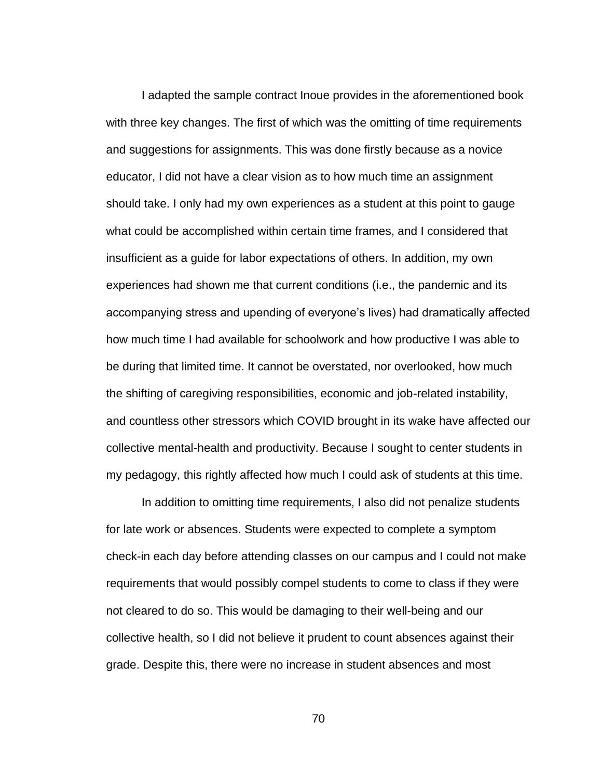I adapted the sample contract Inoue provides in the aforementioned book with three key changes. The first of which was the omitting of time requirements and suggestions for assignments. This was done firstly because as a novice educator, I did not have a clear vision as to how much time an assignment should take. I only had my own experiences as a student at this point to gauge what could be accomplished within certain time frames, and I considered that insufficient as a guide for labor expectations of others. In addition, my own experiences had shown me that current conditions (i.e., the pandemic and its accompanying stress and upending of everyone's lives) had dramatically affected how much time I had available for schoolwork and how productive I was able to be during that limited time. It cannot be overstated, nor overlooked, how much the shifting of caregiving responsibilities, economic and job-related instability, and countless other stressors which COVID brought in its wake have affected our collective mental-health and productivity. Because I sought to center students in my pedagogy, this rightly affected how much I could ask of students at this time.

In addition to omitting time requirements, I also did not penalize students for late work or absences. Students were expected to complete a symptom check-in each day before attending classes on our campus and I could not make requirements that would possibly compel students to come to class if they were not cleared to do so. This would be damaging to their well-being and our collective health, so I did not believe it prudent to count absences against their grade. Despite this, there were no increase in student absences and most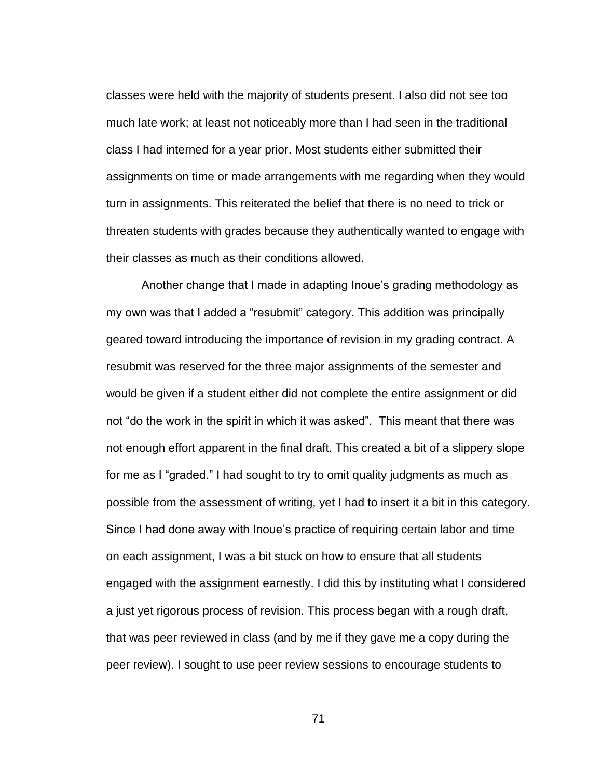classes were held with the majority of students present. I also did not see too much late work; at least not noticeably more than I had seen in the traditional class I had interned for a year prior. Most students either submitted their assignments on time or made arrangements with me regarding when they would turn in assignments. This reiterated the belief that there is no need to trick or threaten students with grades because they authentically wanted to engage with their classes as much as their conditions allowed.

Another change that I made in adapting Inoue's grading methodology as my own was that I added a "resubmit" category. This addition was principally geared toward introducing the importance of revision in my grading contract. A resubmit was reserved for the three major assignments of the semester and would be given if a student either did not complete the entire assignment or did not "do the work in the spirit in which it was asked". This meant that there was not enough effort apparent in the final draft. This created a bit of a slippery slope for me as I "graded." I had sought to try to omit quality judgments as much as possible from the assessment of writing, yet I had to insert it a bit in this category. Since I had done away with Inoue's practice of requiring certain labor and time on each assignment, I was a bit stuck on how to ensure that all students engaged with the assignment earnestly. I did this by instituting what I considered a just yet rigorous process of revision. This process began with a rough draft, that was peer reviewed in class (and by me if they gave me a copy during the peer review). I sought to use peer review sessions to encourage students to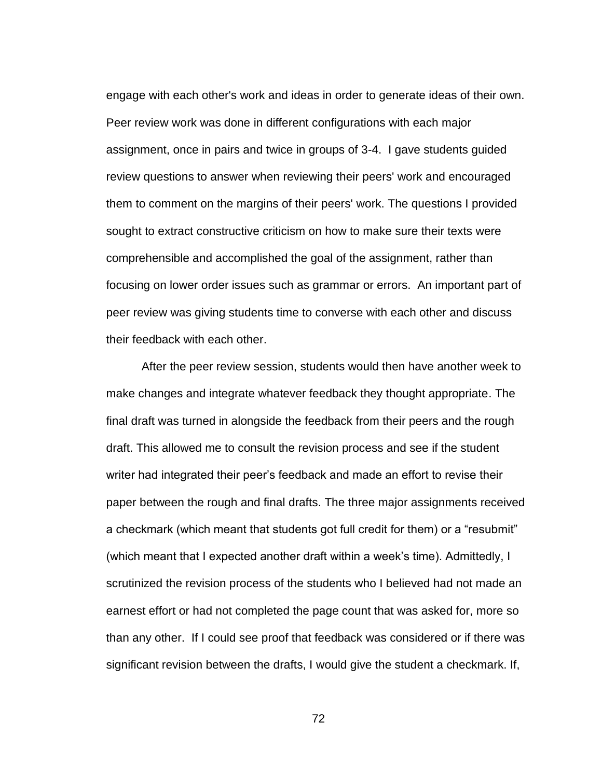engage with each other's work and ideas in order to generate ideas of their own. Peer review work was done in different configurations with each major assignment, once in pairs and twice in groups of 3-4. I gave students guided review questions to answer when reviewing their peers' work and encouraged them to comment on the margins of their peers' work. The questions I provided sought to extract constructive criticism on how to make sure their texts were comprehensible and accomplished the goal of the assignment, rather than focusing on lower order issues such as grammar or errors. An important part of peer review was giving students time to converse with each other and discuss their feedback with each other.

After the peer review session, students would then have another week to make changes and integrate whatever feedback they thought appropriate. The final draft was turned in alongside the feedback from their peers and the rough draft. This allowed me to consult the revision process and see if the student writer had integrated their peer's feedback and made an effort to revise their paper between the rough and final drafts. The three major assignments received a checkmark (which meant that students got full credit for them) or a "resubmit" (which meant that I expected another draft within a week's time). Admittedly, I scrutinized the revision process of the students who I believed had not made an earnest effort or had not completed the page count that was asked for, more so than any other. If I could see proof that feedback was considered or if there was significant revision between the drafts, I would give the student a checkmark. If,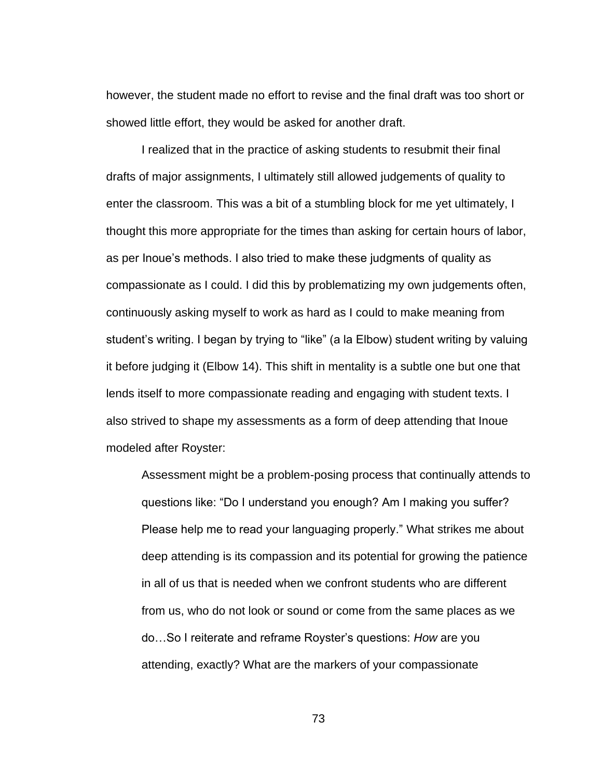however, the student made no effort to revise and the final draft was too short or showed little effort, they would be asked for another draft.

I realized that in the practice of asking students to resubmit their final drafts of major assignments, I ultimately still allowed judgements of quality to enter the classroom. This was a bit of a stumbling block for me yet ultimately, I thought this more appropriate for the times than asking for certain hours of labor, as per Inoue's methods. I also tried to make these judgments of quality as compassionate as I could. I did this by problematizing my own judgements often, continuously asking myself to work as hard as I could to make meaning from student's writing. I began by trying to "like" (a la Elbow) student writing by valuing it before judging it (Elbow 14). This shift in mentality is a subtle one but one that lends itself to more compassionate reading and engaging with student texts. I also strived to shape my assessments as a form of deep attending that Inoue modeled after Royster:

Assessment might be a problem-posing process that continually attends to questions like: "Do I understand you enough? Am I making you suffer? Please help me to read your languaging properly." What strikes me about deep attending is its compassion and its potential for growing the patience in all of us that is needed when we confront students who are different from us, who do not look or sound or come from the same places as we do…So I reiterate and reframe Royster's questions: *How* are you attending, exactly? What are the markers of your compassionate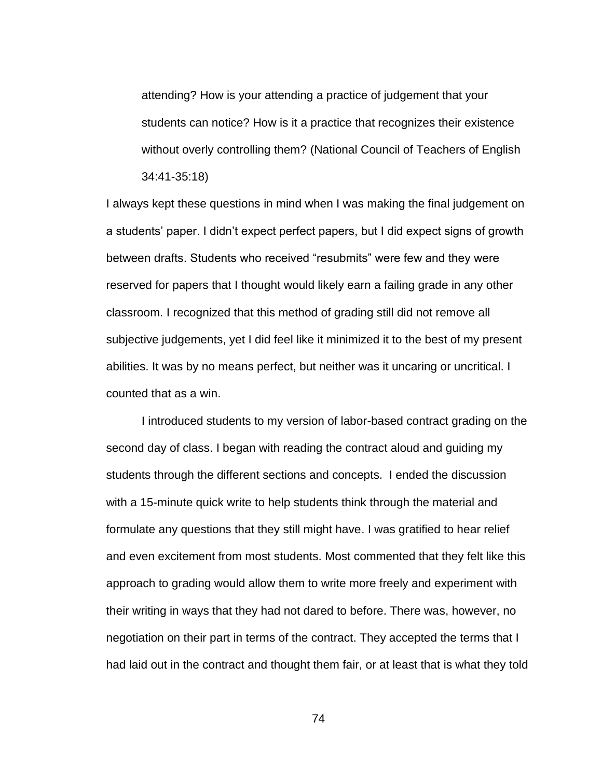attending? How is your attending a practice of judgement that your students can notice? How is it a practice that recognizes their existence without overly controlling them? (National Council of Teachers of English 34:41-35:18)

I always kept these questions in mind when I was making the final judgement on a students' paper. I didn't expect perfect papers, but I did expect signs of growth between drafts. Students who received "resubmits" were few and they were reserved for papers that I thought would likely earn a failing grade in any other classroom. I recognized that this method of grading still did not remove all subjective judgements, yet I did feel like it minimized it to the best of my present abilities. It was by no means perfect, but neither was it uncaring or uncritical. I counted that as a win.

I introduced students to my version of labor-based contract grading on the second day of class. I began with reading the contract aloud and guiding my students through the different sections and concepts. I ended the discussion with a 15-minute quick write to help students think through the material and formulate any questions that they still might have. I was gratified to hear relief and even excitement from most students. Most commented that they felt like this approach to grading would allow them to write more freely and experiment with their writing in ways that they had not dared to before. There was, however, no negotiation on their part in terms of the contract. They accepted the terms that I had laid out in the contract and thought them fair, or at least that is what they told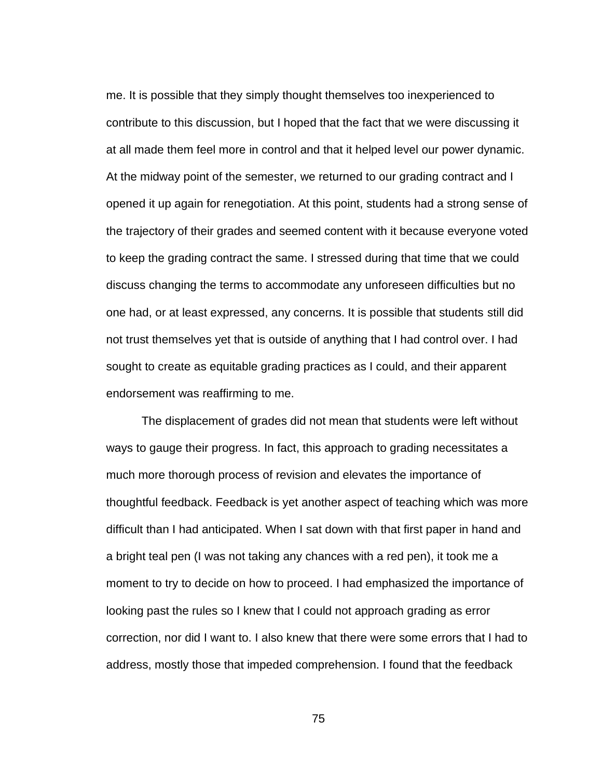me. It is possible that they simply thought themselves too inexperienced to contribute to this discussion, but I hoped that the fact that we were discussing it at all made them feel more in control and that it helped level our power dynamic. At the midway point of the semester, we returned to our grading contract and I opened it up again for renegotiation. At this point, students had a strong sense of the trajectory of their grades and seemed content with it because everyone voted to keep the grading contract the same. I stressed during that time that we could discuss changing the terms to accommodate any unforeseen difficulties but no one had, or at least expressed, any concerns. It is possible that students still did not trust themselves yet that is outside of anything that I had control over. I had sought to create as equitable grading practices as I could, and their apparent endorsement was reaffirming to me.

The displacement of grades did not mean that students were left without ways to gauge their progress. In fact, this approach to grading necessitates a much more thorough process of revision and elevates the importance of thoughtful feedback. Feedback is yet another aspect of teaching which was more difficult than I had anticipated. When I sat down with that first paper in hand and a bright teal pen (I was not taking any chances with a red pen), it took me a moment to try to decide on how to proceed. I had emphasized the importance of looking past the rules so I knew that I could not approach grading as error correction, nor did I want to. I also knew that there were some errors that I had to address, mostly those that impeded comprehension. I found that the feedback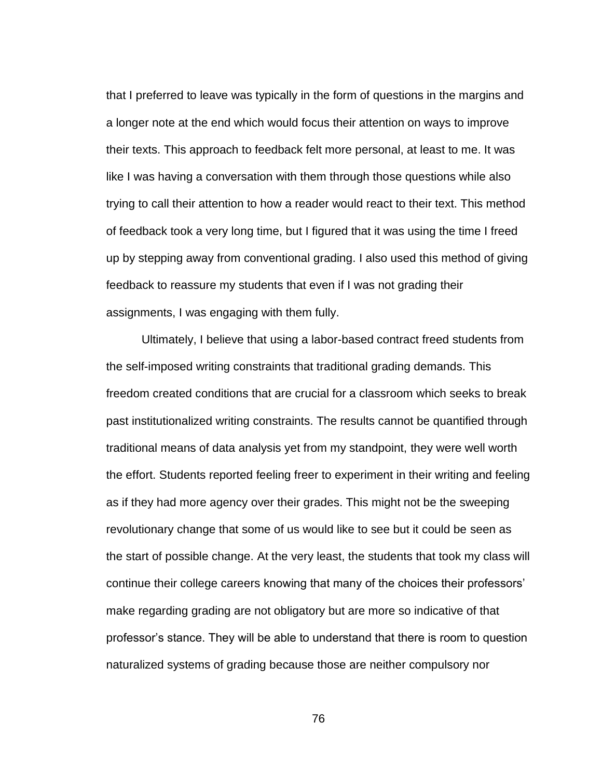that I preferred to leave was typically in the form of questions in the margins and a longer note at the end which would focus their attention on ways to improve their texts. This approach to feedback felt more personal, at least to me. It was like I was having a conversation with them through those questions while also trying to call their attention to how a reader would react to their text. This method of feedback took a very long time, but I figured that it was using the time I freed up by stepping away from conventional grading. I also used this method of giving feedback to reassure my students that even if I was not grading their assignments, I was engaging with them fully.

Ultimately, I believe that using a labor-based contract freed students from the self-imposed writing constraints that traditional grading demands. This freedom created conditions that are crucial for a classroom which seeks to break past institutionalized writing constraints. The results cannot be quantified through traditional means of data analysis yet from my standpoint, they were well worth the effort. Students reported feeling freer to experiment in their writing and feeling as if they had more agency over their grades. This might not be the sweeping revolutionary change that some of us would like to see but it could be seen as the start of possible change. At the very least, the students that took my class will continue their college careers knowing that many of the choices their professors' make regarding grading are not obligatory but are more so indicative of that professor's stance. They will be able to understand that there is room to question naturalized systems of grading because those are neither compulsory nor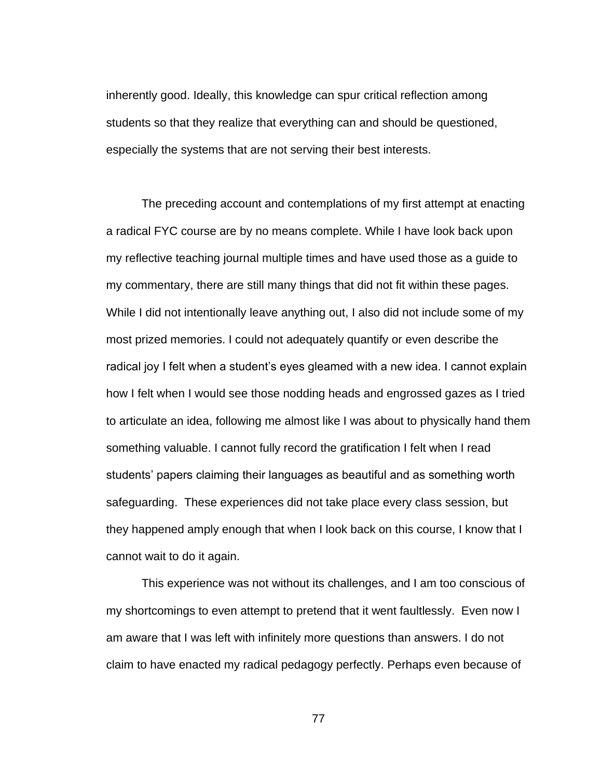inherently good. Ideally, this knowledge can spur critical reflection among students so that they realize that everything can and should be questioned, especially the systems that are not serving their best interests.

The preceding account and contemplations of my first attempt at enacting a radical FYC course are by no means complete. While I have look back upon my reflective teaching journal multiple times and have used those as a guide to my commentary, there are still many things that did not fit within these pages. While I did not intentionally leave anything out, I also did not include some of my most prized memories. I could not adequately quantify or even describe the radical joy I felt when a student's eyes gleamed with a new idea. I cannot explain how I felt when I would see those nodding heads and engrossed gazes as I tried to articulate an idea, following me almost like I was about to physically hand them something valuable. I cannot fully record the gratification I felt when I read students' papers claiming their languages as beautiful and as something worth safeguarding. These experiences did not take place every class session, but they happened amply enough that when I look back on this course, I know that I cannot wait to do it again.

This experience was not without its challenges, and I am too conscious of my shortcomings to even attempt to pretend that it went faultlessly. Even now I am aware that I was left with infinitely more questions than answers. I do not claim to have enacted my radical pedagogy perfectly. Perhaps even because of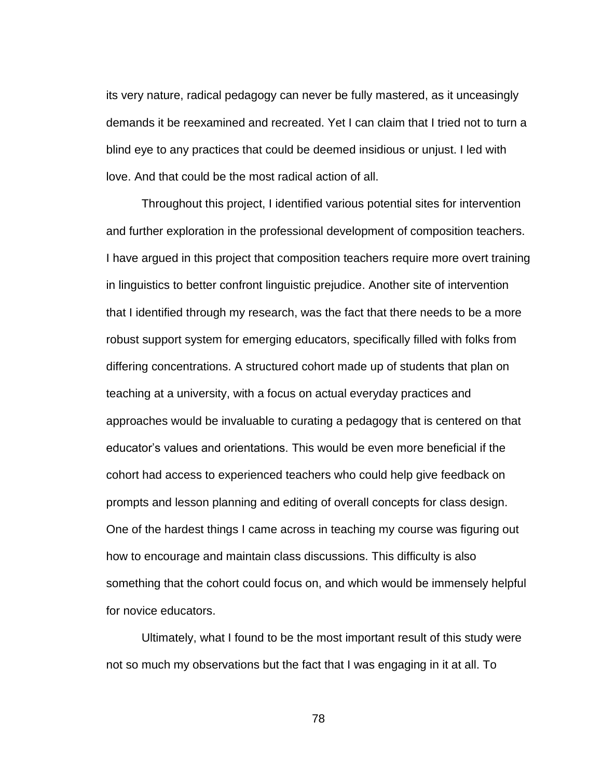its very nature, radical pedagogy can never be fully mastered, as it unceasingly demands it be reexamined and recreated. Yet I can claim that I tried not to turn a blind eye to any practices that could be deemed insidious or unjust. I led with love. And that could be the most radical action of all.

Throughout this project, I identified various potential sites for intervention and further exploration in the professional development of composition teachers. I have argued in this project that composition teachers require more overt training in linguistics to better confront linguistic prejudice. Another site of intervention that I identified through my research, was the fact that there needs to be a more robust support system for emerging educators, specifically filled with folks from differing concentrations. A structured cohort made up of students that plan on teaching at a university, with a focus on actual everyday practices and approaches would be invaluable to curating a pedagogy that is centered on that educator's values and orientations. This would be even more beneficial if the cohort had access to experienced teachers who could help give feedback on prompts and lesson planning and editing of overall concepts for class design. One of the hardest things I came across in teaching my course was figuring out how to encourage and maintain class discussions. This difficulty is also something that the cohort could focus on, and which would be immensely helpful for novice educators.

Ultimately, what I found to be the most important result of this study were not so much my observations but the fact that I was engaging in it at all. To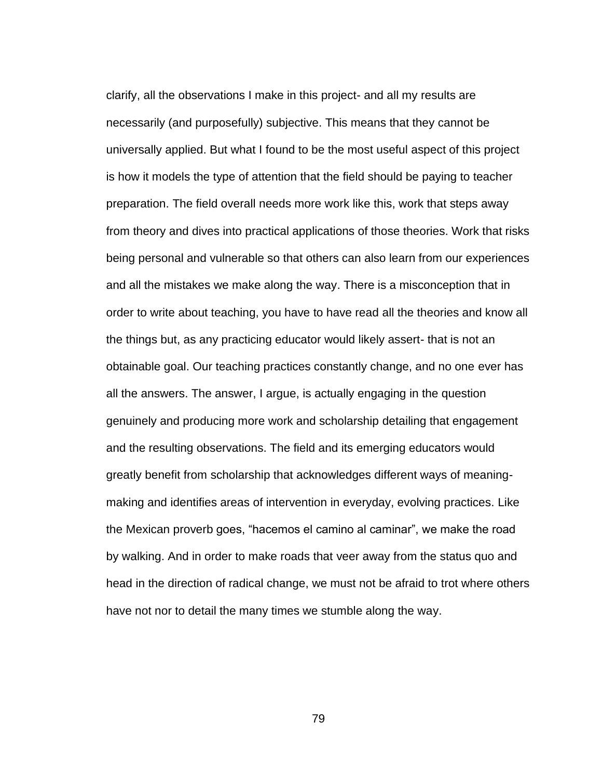clarify, all the observations I make in this project- and all my results are necessarily (and purposefully) subjective. This means that they cannot be universally applied. But what I found to be the most useful aspect of this project is how it models the type of attention that the field should be paying to teacher preparation. The field overall needs more work like this, work that steps away from theory and dives into practical applications of those theories. Work that risks being personal and vulnerable so that others can also learn from our experiences and all the mistakes we make along the way. There is a misconception that in order to write about teaching, you have to have read all the theories and know all the things but, as any practicing educator would likely assert- that is not an obtainable goal. Our teaching practices constantly change, and no one ever has all the answers. The answer, I argue, is actually engaging in the question genuinely and producing more work and scholarship detailing that engagement and the resulting observations. The field and its emerging educators would greatly benefit from scholarship that acknowledges different ways of meaningmaking and identifies areas of intervention in everyday, evolving practices. Like the Mexican proverb goes, "hacemos el camino al caminar", we make the road by walking. And in order to make roads that veer away from the status quo and head in the direction of radical change, we must not be afraid to trot where others have not nor to detail the many times we stumble along the way.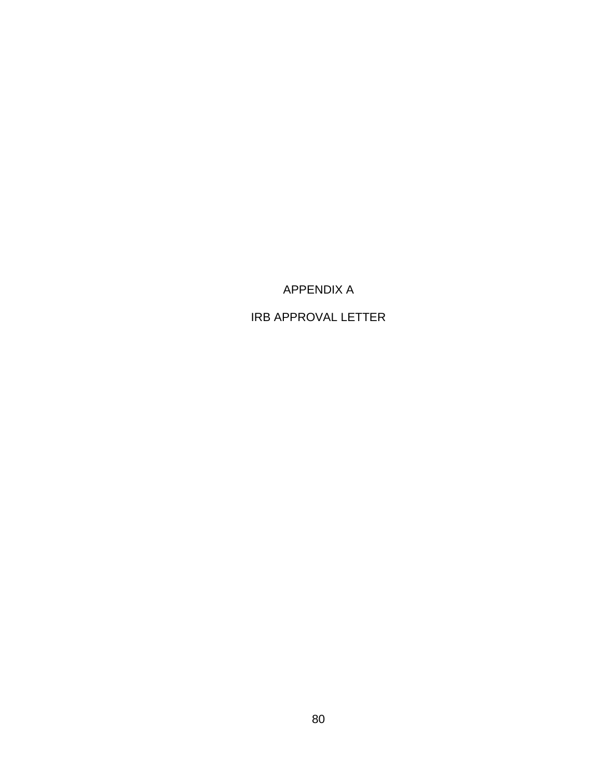APPENDIX A

IRB APPROVAL LETTER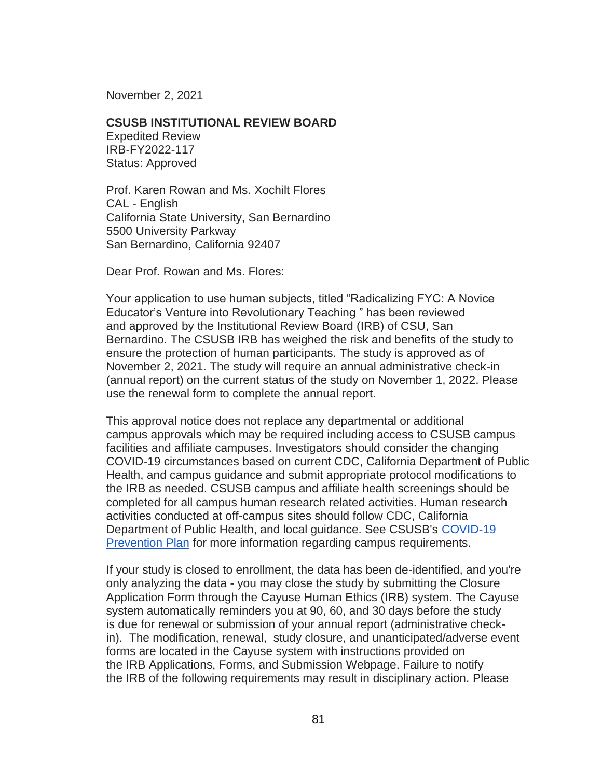November 2, 2021

## **CSUSB INSTITUTIONAL REVIEW BOARD**

Expedited Review IRB-FY2022-117 Status: Approved

Prof. Karen Rowan and Ms. Xochilt Flores CAL - English California State University, San Bernardino 5500 University Parkway San Bernardino, California 92407

Dear Prof. Rowan and Ms. Flores:

Your application to use human subjects, titled "Radicalizing FYC: A Novice Educator's Venture into Revolutionary Teaching " has been reviewed and approved by the Institutional Review Board (IRB) of CSU, San Bernardino. The CSUSB IRB has weighed the risk and benefits of the study to ensure the protection of human participants. The study is approved as of November 2, 2021. The study will require an annual administrative check-in (annual report) on the current status of the study on November 1, 2022. Please use the renewal form to complete the annual report.

This approval notice does not replace any departmental or additional campus approvals which may be required including access to CSUSB campus facilities and affiliate campuses. Investigators should consider the changing COVID-19 circumstances based on current CDC, California Department of Public Health, and campus guidance and submit appropriate protocol modifications to the IRB as needed. CSUSB campus and affiliate health screenings should be completed for all campus human research related activities. Human research activities conducted at off-campus sites should follow CDC, California Department of Public Health, and local guidance. See CSUSB's COVID-19 [Prevention Plan](https://www.csusb.edu/ehs/covid-19-prevention-planning) for more information regarding campus requirements.

If your study is closed to enrollment, the data has been de-identified, and you're only analyzing the data - you may close the study by submitting the Closure Application Form through the Cayuse Human Ethics (IRB) system. The Cayuse system automatically reminders you at 90, 60, and 30 days before the study is due for renewal or submission of your annual report (administrative checkin). The modification, renewal, study closure, and unanticipated/adverse event forms are located in the Cayuse system with instructions provided on the IRB Applications, Forms, and Submission Webpage. Failure to notify the IRB of the following requirements may result in disciplinary action. Please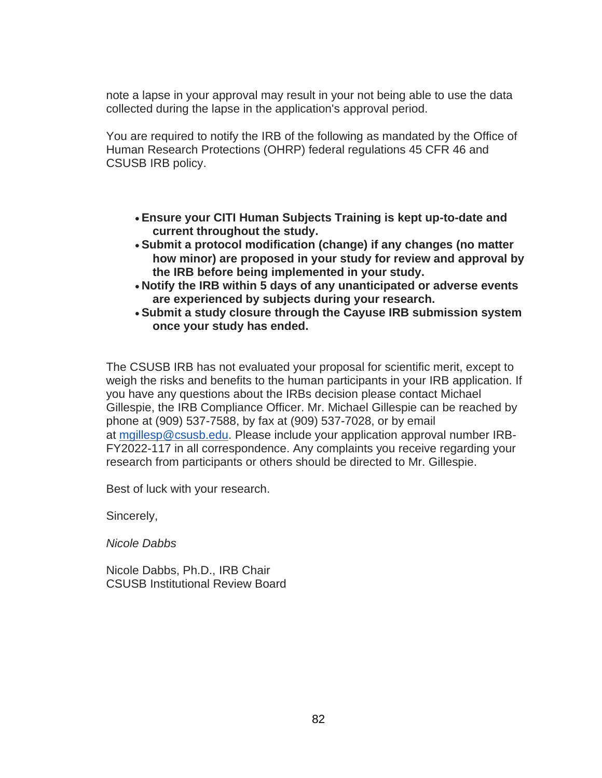note a lapse in your approval may result in your not being able to use the data collected during the lapse in the application's approval period.

You are required to notify the IRB of the following as mandated by the Office of Human Research Protections (OHRP) federal regulations 45 CFR 46 and CSUSB IRB policy.

- **Ensure your CITI Human Subjects Training is kept up-to-date and current throughout the study.**
- **Submit a protocol modification (change) if any changes (no matter how minor) are proposed in your study for review and approval by the IRB before being implemented in your study.**
- **Notify the IRB within 5 days of any unanticipated or adverse events are experienced by subjects during your research.**
- **Submit a study closure through the Cayuse IRB submission system once your study has ended.**

The CSUSB IRB has not evaluated your proposal for scientific merit, except to weigh the risks and benefits to the human participants in your IRB application. If you have any questions about the IRBs decision please contact Michael Gillespie, the IRB Compliance Officer. Mr. Michael Gillespie can be reached by phone at (909) 537-7588, by fax at (909) 537-7028, or by email at [mgillesp@csusb.edu.](mailto:mgillesp@csusb.edu) Please include your application approval number IRB-FY2022-117 in all correspondence. Any complaints you receive regarding your research from participants or others should be directed to Mr. Gillespie.

Best of luck with your research.

Sincerely,

*Nicole Dabbs*

Nicole Dabbs, Ph.D., IRB Chair CSUSB Institutional Review Board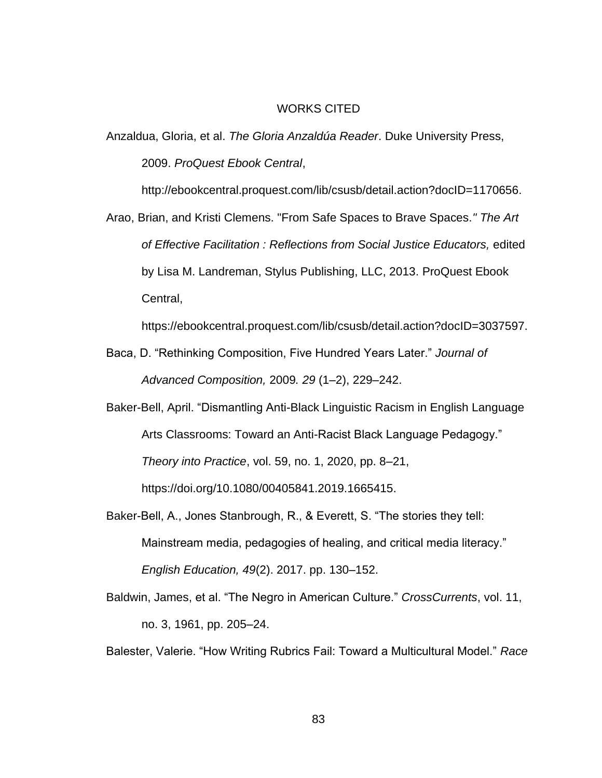## WORKS CITED

Anzaldua, Gloria, et al. *The Gloria Anzaldúa Reader*. Duke University Press, 2009. *ProQuest Ebook Central*,

http://ebookcentral.proquest.com/lib/csusb/detail.action?docID=1170656.

Arao, Brian, and Kristi Clemens. "From Safe Spaces to Brave Spaces.*" The Art of Effective Facilitation : Reflections from Social Justice Educators,* edited by Lisa M. Landreman, Stylus Publishing, LLC, 2013. ProQuest Ebook Central,

https://ebookcentral.proquest.com/lib/csusb/detail.action?docID=3037597.

- Baca, D. "Rethinking Composition, Five Hundred Years Later." *Journal of Advanced Composition,* 2009*. 29* (1–2), 229–242.
- Baker-Bell, April. "Dismantling Anti-Black Linguistic Racism in English Language Arts Classrooms: Toward an Anti-Racist Black Language Pedagogy." *Theory into Practice*, vol. 59, no. 1, 2020, pp. 8–21, https://doi.org/10.1080/00405841.2019.1665415.
- Baker-Bell, A., Jones Stanbrough, R., & Everett, S. "The stories they tell: Mainstream media, pedagogies of healing, and critical media literacy." *English Education, 49*(2). 2017. pp. 130–152.
- Baldwin, James, et al. "The Negro in American Culture." *CrossCurrents*, vol. 11, no. 3, 1961, pp. 205–24.

Balester, Valerie. "How Writing Rubrics Fail: Toward a Multicultural Model." *Race*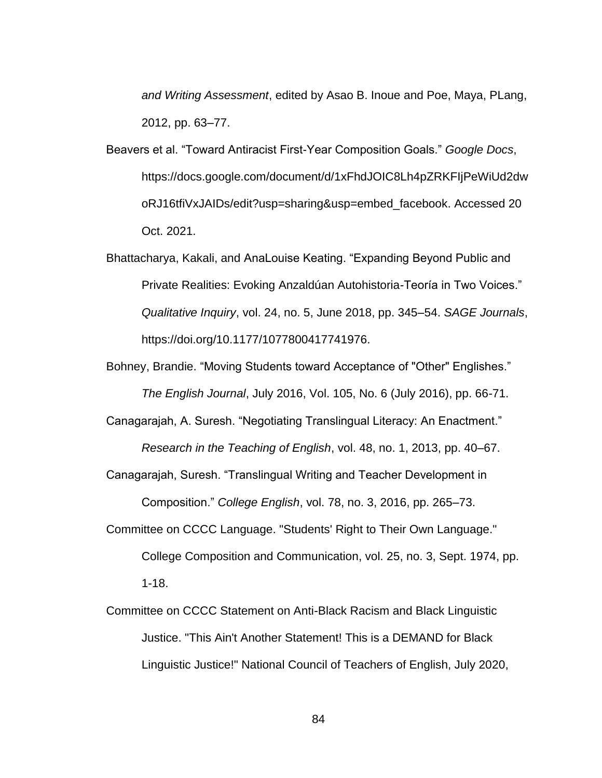*and Writing Assessment*, edited by Asao B. Inoue and Poe, Maya, PLang, 2012, pp. 63–77.

- Beavers et al. "Toward Antiracist First-Year Composition Goals." *Google Docs*, https://docs.google.com/document/d/1xFhdJOIC8Lh4pZRKFIjPeWiUd2dw oRJ16tfiVxJAIDs/edit?usp=sharing&usp=embed\_facebook. Accessed 20 Oct. 2021.
- Bhattacharya, Kakali, and AnaLouise Keating. "Expanding Beyond Public and Private Realities: Evoking Anzaldúan Autohistoria-Teoría in Two Voices." *Qualitative Inquiry*, vol. 24, no. 5, June 2018, pp. 345–54. *SAGE Journals*, https://doi.org/10.1177/1077800417741976.
- Bohney, Brandie. "Moving Students toward Acceptance of "Other" Englishes." *The English Journal*, July 2016, Vol. 105, No. 6 (July 2016), pp. 66-71.
- Canagarajah, A. Suresh. "Negotiating Translingual Literacy: An Enactment." *Research in the Teaching of English*, vol. 48, no. 1, 2013, pp. 40–67.

Canagarajah, Suresh. "Translingual Writing and Teacher Development in Composition." *College English*, vol. 78, no. 3, 2016, pp. 265–73.

- Committee on CCCC Language. "Students' Right to Their Own Language." College Composition and Communication, vol. 25, no. 3, Sept. 1974, pp. 1-18.
- Committee on CCCC Statement on Anti-Black Racism and Black Linguistic Justice. "This Ain't Another Statement! This is a DEMAND for Black Linguistic Justice!" National Council of Teachers of English, July 2020,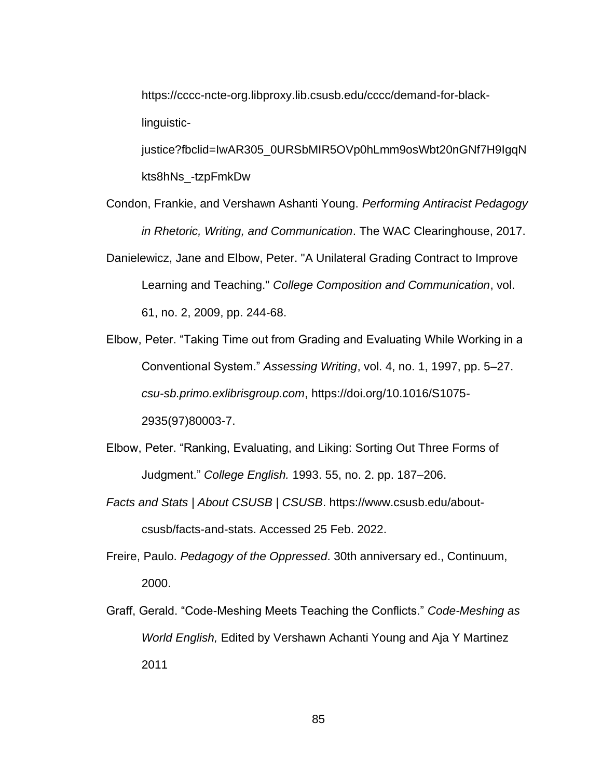https://cccc-ncte-org.libproxy.lib.csusb.edu/cccc/demand-for-blacklinguistic-

justice?fbclid=IwAR305\_0URSbMIR5OVp0hLmm9osWbt20nGNf7H9IgqN kts8hNs\_-tzpFmkDw

- Condon, Frankie, and Vershawn Ashanti Young. *Performing Antiracist Pedagogy in Rhetoric, Writing, and Communication*. The WAC Clearinghouse, 2017. Danielewicz, Jane and Elbow, Peter. "A Unilateral Grading Contract to Improve
- Learning and Teaching." *College Composition and Communication*, vol. 61, no. 2, 2009, pp. 244-68.
- Elbow, Peter. "Taking Time out from Grading and Evaluating While Working in a Conventional System." *Assessing Writing*, vol. 4, no. 1, 1997, pp. 5–27. *csu-sb.primo.exlibrisgroup.com*, https://doi.org/10.1016/S1075- 2935(97)80003-7.
- Elbow, Peter. "Ranking, Evaluating, and Liking: Sorting Out Three Forms of Judgment." *College English.* 1993. 55, no. 2. pp. 187–206.
- *Facts and Stats | About CSUSB | CSUSB*. https://www.csusb.edu/aboutcsusb/facts-and-stats. Accessed 25 Feb. 2022.
- Freire, Paulo. *Pedagogy of the Oppressed*. 30th anniversary ed., Continuum, 2000.
- Graff, Gerald. "Code-Meshing Meets Teaching the Conflicts." *Code-Meshing as World English,* Edited by Vershawn Achanti Young and Aja Y Martinez 2011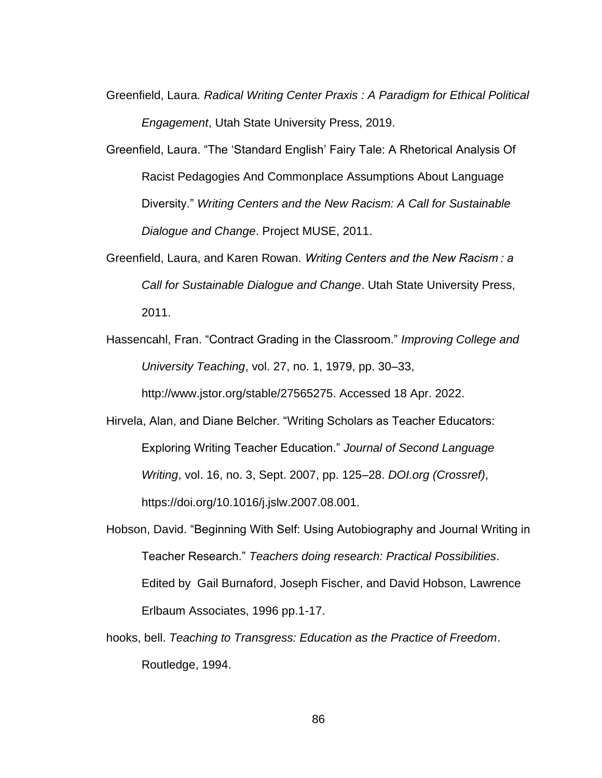- Greenfield, Laura*. Radical Writing Center Praxis : A Paradigm for Ethical Political Engagement*, Utah State University Press, 2019.
- Greenfield, Laura. "The 'Standard English' Fairy Tale: A Rhetorical Analysis Of Racist Pedagogies And Commonplace Assumptions About Language Diversity." *Writing Centers and the New Racism: A Call for Sustainable Dialogue and Change*. Project MUSE, 2011.
- Greenfield, Laura, and Karen Rowan. *Writing Centers and the New Racism : a Call for Sustainable Dialogue and Change*. Utah State University Press, 2011.
- Hassencahl, Fran. "Contract Grading in the Classroom." *Improving College and University Teaching*, vol. 27, no. 1, 1979, pp. 30–33,

http://www.jstor.org/stable/27565275. Accessed 18 Apr. 2022.

- Hirvela, Alan, and Diane Belcher. "Writing Scholars as Teacher Educators: Exploring Writing Teacher Education." *Journal of Second Language Writing*, vol. 16, no. 3, Sept. 2007, pp. 125–28. *DOI.org (Crossref)*, https://doi.org/10.1016/j.jslw.2007.08.001.
- Hobson, David. "Beginning With Self: Using Autobiography and Journal Writing in Teacher Research." *Teachers doing research: Practical Possibilities*. Edited by Gail Burnaford, Joseph Fischer, and David Hobson, Lawrence Erlbaum Associates, 1996 pp.1-17.
- hooks, bell. *Teaching to Transgress: Education as the Practice of Freedom*. Routledge, 1994.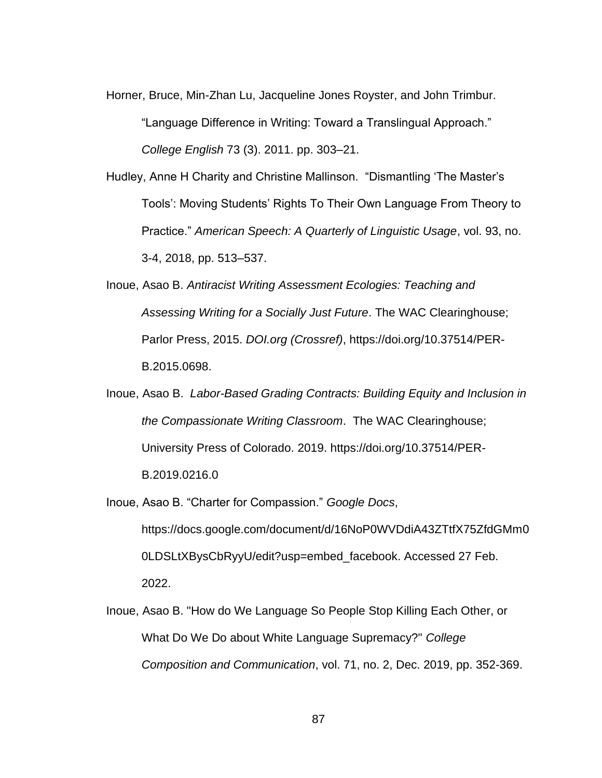Horner, Bruce, Min-Zhan Lu, Jacqueline Jones Royster, and John Trimbur.

"Language Difference in Writing: Toward a Translingual Approach." *College English* 73 (3). 2011. pp. 303–21.

Hudley, Anne H Charity and Christine Mallinson. "Dismantling 'The Master's Tools': Moving Students' Rights To Their Own Language From Theory to Practice." *American Speech: A Quarterly of Linguistic Usage*, vol. 93, no. 3-4, 2018, pp. 513–537.

- Inoue, Asao B. *Antiracist Writing Assessment Ecologies: Teaching and Assessing Writing for a Socially Just Future*. The WAC Clearinghouse; Parlor Press, 2015. *DOI.org (Crossref)*, https://doi.org/10.37514/PER-B.2015.0698.
- Inoue, Asao B. *Labor-Based Grading Contracts: Building Equity and Inclusion in the Compassionate Writing Classroom*. The WAC Clearinghouse; University Press of Colorado. 2019. https://doi.org/10.37514/PER-B.2019.0216.0

Inoue, Asao B. "Charter for Compassion." *Google Docs*, https://docs.google.com/document/d/16NoP0WVDdiA43ZTtfX75ZfdGMm0 0LDSLtXBysCbRyyU/edit?usp=embed\_facebook. Accessed 27 Feb. 2022.

Inoue, Asao B. "How do We Language So People Stop Killing Each Other, or What Do We Do about White Language Supremacy?" *College Composition and Communication*, vol. 71, no. 2, Dec. 2019, pp. 352-369.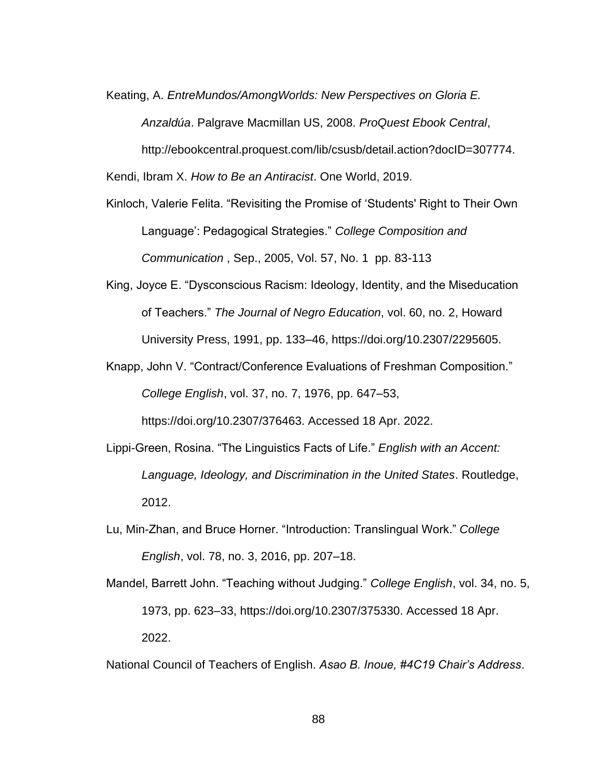Keating, A. *EntreMundos/AmongWorlds: New Perspectives on Gloria E. Anzaldúa*. Palgrave Macmillan US, 2008. *ProQuest Ebook Central*, http://ebookcentral.proquest.com/lib/csusb/detail.action?docID=307774.

Kendi, Ibram X. *How to Be an Antiracist*. One World, 2019.

- Kinloch, Valerie Felita. "Revisiting the Promise of 'Students' Right to Their Own Language': Pedagogical Strategies." *College Composition and Communication* , Sep., 2005, Vol. 57, No. 1 pp. 83-113
- King, Joyce E. "Dysconscious Racism: Ideology, Identity, and the Miseducation of Teachers." *The Journal of Negro Education*, vol. 60, no. 2, Howard University Press, 1991, pp. 133–46, https://doi.org/10.2307/2295605.
- Knapp, John V. "Contract/Conference Evaluations of Freshman Composition." *College English*, vol. 37, no. 7, 1976, pp. 647–53, https://doi.org/10.2307/376463. Accessed 18 Apr. 2022.
- Lippi-Green, Rosina. "The Linguistics Facts of Life." *English with an Accent: Language, Ideology, and Discrimination in the United States*. Routledge, 2012.
- Lu, Min-Zhan, and Bruce Horner. "Introduction: Translingual Work." *College English*, vol. 78, no. 3, 2016, pp. 207–18.
- Mandel, Barrett John. "Teaching without Judging." *College English*, vol. 34, no. 5, 1973, pp. 623–33, https://doi.org/10.2307/375330. Accessed 18 Apr. 2022.

National Council of Teachers of English. *Asao B. Inoue, #4C19 Chair's Address*.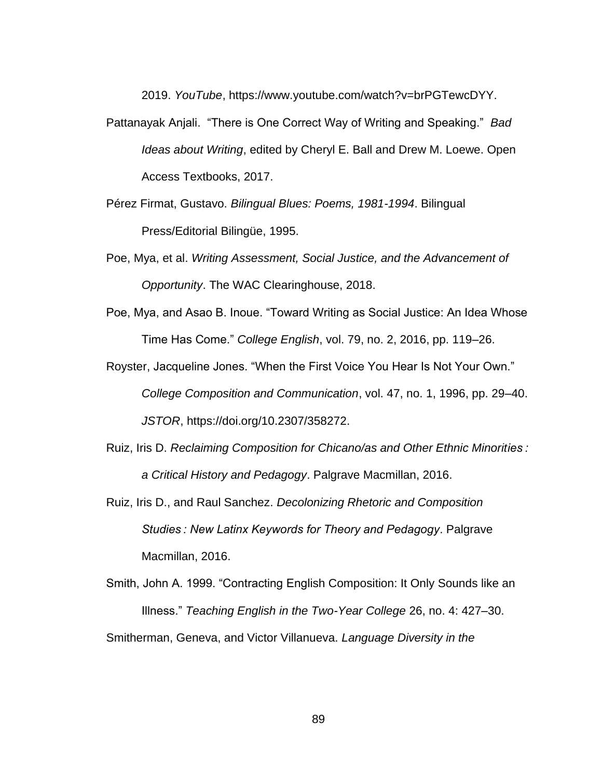2019. *YouTube*, https://www.youtube.com/watch?v=brPGTewcDYY.

- Pattanayak Anjali. "There is One Correct Way of Writing and Speaking." *Bad Ideas about Writing*, edited by Cheryl E. Ball and Drew M. Loewe. Open Access Textbooks, 2017.
- Pérez Firmat, Gustavo. *Bilingual Blues: Poems, 1981-1994*. Bilingual Press/Editorial Bilingüe, 1995.
- Poe, Mya, et al. *Writing Assessment, Social Justice, and the Advancement of Opportunity*. The WAC Clearinghouse, 2018.
- Poe, Mya, and Asao B. Inoue. "Toward Writing as Social Justice: An Idea Whose Time Has Come." *College English*, vol. 79, no. 2, 2016, pp. 119–26.
- Royster, Jacqueline Jones. "When the First Voice You Hear Is Not Your Own." *College Composition and Communication*, vol. 47, no. 1, 1996, pp. 29–40. *JSTOR*, https://doi.org/10.2307/358272.
- Ruiz, Iris D. *Reclaiming Composition for Chicano/as and Other Ethnic Minorities : a Critical History and Pedagogy*. Palgrave Macmillan, 2016.
- Ruiz, Iris D., and Raul Sanchez. *Decolonizing Rhetoric and Composition Studies : New Latinx Keywords for Theory and Pedagogy*. Palgrave Macmillan, 2016.
- Smith, John A. 1999. "Contracting English Composition: It Only Sounds like an Illness." *Teaching English in the Two-Year College* 26, no. 4: 427–30. Smitherman, Geneva, and Victor Villanueva. *Language Diversity in the*